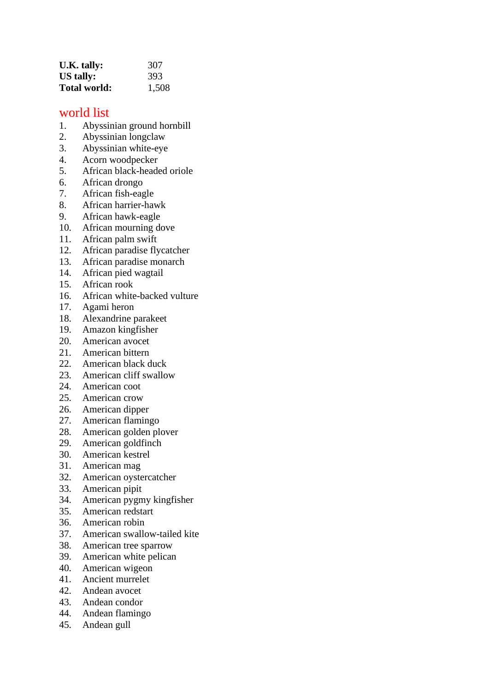| U.K. tally:  | 307   |
|--------------|-------|
| US tally:    | 393   |
| Total world: | 1,508 |

## world list

- 1. Abyssinian ground hornbill
- 2. Abyssinian longclaw
- 3. Abyssinian white-eye
- 4. Acorn woodpecker
- 5. African black-headed oriole
- 6. African drongo
- 7. African fish-eagle
- 8. African harrier-hawk
- 9. African hawk-eagle
- 10. African mourning dove
- 11. African palm swift
- 12. African paradise flycatcher
- 13. African paradise monarch
- 14. African pied wagtail
- 15. African rook
- 16. African white-backed vulture
- 17. Agami heron
- 18. Alexandrine parakeet
- 19. Amazon kingfisher
- 20. American avocet
- 21. American bittern
- 22. American black duck
- 23. American cliff swallow
- 24. American coot
- 25. American crow
- 26. American dipper
- 27. American flamingo
- 28. American golden plover
- 29. American goldfinch
- 30. American kestrel
- 31. American mag
- 32. American oystercatcher
- 33. American pipit
- 34. American pygmy kingfisher
- 35. American redstart
- 36. American robin
- 37. American swallow-tailed kite
- 38. American tree sparrow
- 39. American white pelican
- 40. American wigeon
- 41. Ancient murrelet
- 42. Andean avocet
- 43. Andean condor
- 44. Andean flamingo
- 45. Andean gull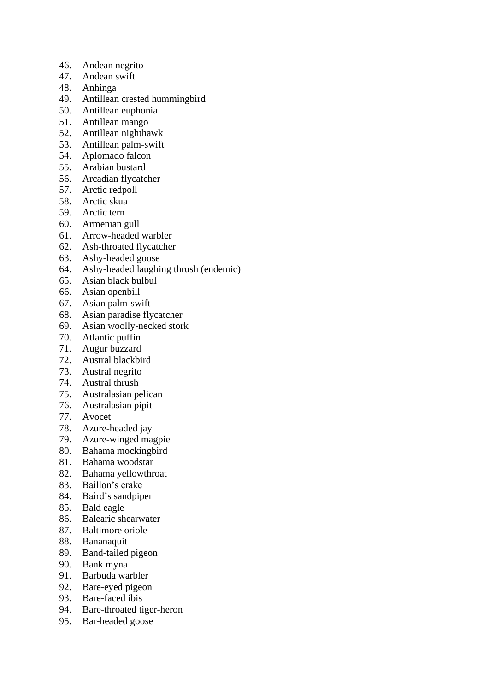- 46. Andean negrito
- 47. Andean swift
- 48. Anhinga
- 49. Antillean crested hummingbird
- 50. Antillean euphonia
- 51. Antillean mango
- 52. Antillean nighthawk
- 53. Antillean palm-swift
- 54. Aplomado falcon
- 55. Arabian bustard
- 56. Arcadian flycatcher
- 57. Arctic redpoll
- 58. Arctic skua
- 59. Arctic tern
- 60. Armenian gull
- 61. Arrow-headed warbler
- 62. Ash-throated flycatcher
- 63. Ashy-headed goose
- 64. Ashy-headed laughing thrush (endemic)
- 65. Asian black bulbul
- 66. Asian openbill
- 67. Asian palm-swift
- 68. Asian paradise flycatcher
- 69. Asian woolly-necked stork
- 70. Atlantic puffin
- 71. Augur buzzard
- 72. Austral blackbird
- 73. Austral negrito
- Austral thrush
- 75. Australasian pelican
- 76. Australasian pipit
- 77. Avocet
- 78. Azure-headed jay
- 79. Azure-winged magpie
- 80. Bahama mockingbird
- 81. Bahama woodstar
- 82. Bahama yellowthroat
- 83. Baillon's crake
- 84. Baird's sandpiper
- 85. Bald eagle
- 86. Balearic shearwater
- 87. Baltimore oriole
- 88. Bananaquit
- 89. Band-tailed pigeon
- 90. Bank myna
- 91. Barbuda warbler
- 92. Bare-eyed pigeon
- 93. Bare-faced ibis
- 94. Bare-throated tiger-heron
- 95. Bar-headed goose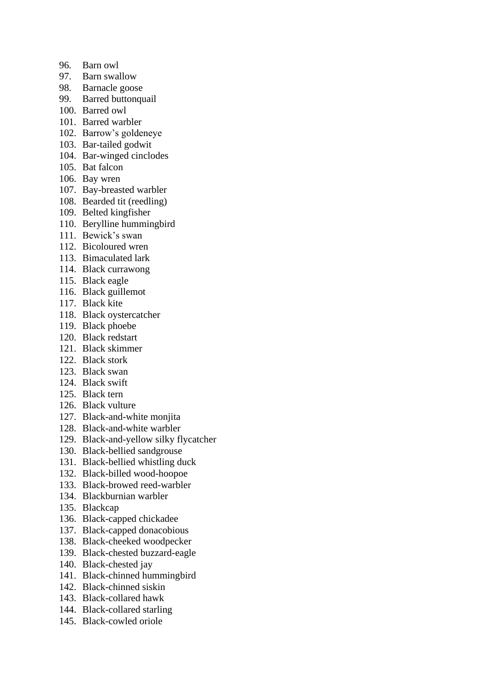- 96. Barn owl
- 97. Barn swallow
- 98. Barnacle goose
- 99. Barred buttonquail
- 100. Barred owl
- 101. Barred warbler
- 102. Barrow's goldeneye
- 103. Bar-tailed godwit
- 104. Bar-winged cinclodes
- 105. Bat falcon
- 106. Bay wren
- 107. Bay-breasted warbler
- 108. Bearded tit (reedling)
- 109. Belted kingfisher
- 110. Berylline hummingbird
- 111. Bewick's swan
- 112. Bicoloured wren
- 113. Bimaculated lark
- 114. Black currawong
- 115. Black eagle
- 116. Black guillemot
- 117. Black kite
- 118. Black oystercatcher
- 119. Black phoebe
- 120. Black redstart
- 121. Black skimmer
- 122. Black stork
- 123. Black swan
- 124. Black swift
- 125. Black tern
- 126. Black vulture
- 127. Black-and-white monjita
- 128. Black-and-white warbler
- 129. Black-and-yellow silky flycatcher
- 130. Black-bellied sandgrouse
- 131. Black-bellied whistling duck
- 132. Black-billed wood-hoopoe
- 133. Black-browed reed-warbler
- 134. Blackburnian warbler
- 135. Blackcap
- 136. Black-capped chickadee
- 137. Black-capped donacobious
- 138. Black-cheeked woodpecker
- 139. Black-chested buzzard-eagle
- 140. Black-chested jay
- 141. Black-chinned hummingbird
- 142. Black-chinned siskin
- 143. Black-collared hawk
- 144. Black-collared starling
- 145. Black-cowled oriole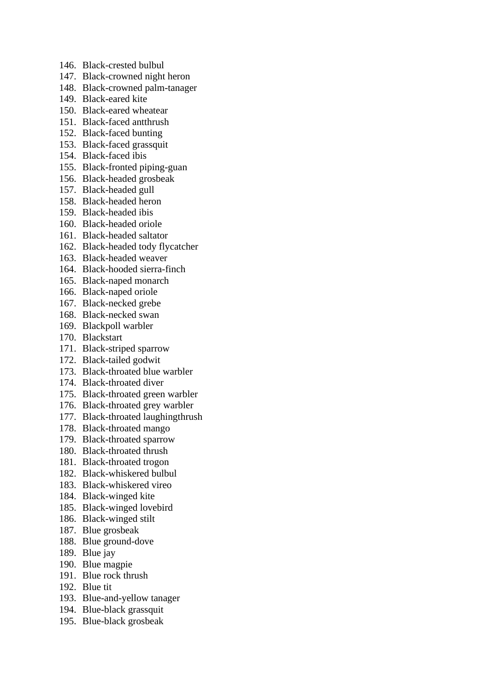- 146. Black-crested bulbul
- 147. Black-crowned night heron
- 148. Black-crowned palm-tanager
- 149. Black-eared kite
- 150. Black-eared wheatear
- 151. Black-faced antthrush
- 152. Black-faced bunting
- 153. Black-faced grassquit
- 154. Black-faced ibis
- 155. Black-fronted piping-guan
- 156. Black-headed grosbeak
- 157. Black-headed gull
- 158. Black-headed heron
- 159. Black-headed ibis
- 160. Black-headed oriole
- 161. Black-headed saltator
- 162. Black-headed tody flycatcher
- 163. Black-headed weaver
- 164. Black-hooded sierra-finch
- 165. Black-naped monarch
- 166. Black-naped oriole
- 167. Black-necked grebe
- 168. Black-necked swan
- 169. Blackpoll warbler
- 170. Blackstart
- 171. Black-striped sparrow
- 172. Black-tailed godwit
- 173. Black-throated blue warbler
- 174. Black-throated diver
- 175. Black-throated green warbler
- 176. Black-throated grey warbler
- 177. Black-throated laughingthrush
- 178. Black-throated mango
- 179. Black-throated sparrow
- 180. Black-throated thrush
- 181. Black-throated trogon
- 182. Black-whiskered bulbul
- 183. Black-whiskered vireo
- 184. Black-winged kite
- 185. Black-winged lovebird
- 186. Black-winged stilt
- 187. Blue grosbeak
- 188. Blue ground-dove
- 189. Blue jay
- 190. Blue magpie
- 191. Blue rock thrush
- 192. Blue tit
- 193. Blue-and-yellow tanager
- 194. Blue-black grassquit
- 195. Blue-black grosbeak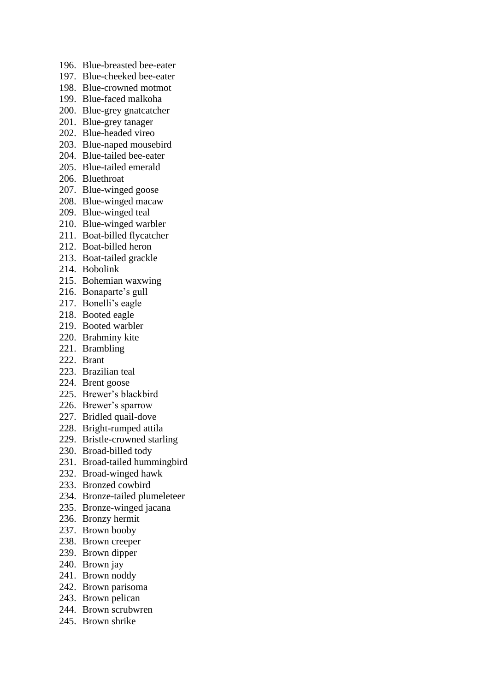- 196. Blue-breasted bee-eater
- 197. Blue-cheeked bee-eater
- 198. Blue-crowned motmot
- 199. Blue-faced malkoha
- 200. Blue-grey gnatcatcher
- 201. Blue-grey tanager
- 202. Blue-headed vireo
- 203. Blue-naped mousebird
- 204. Blue-tailed bee-eater
- 205. Blue-tailed emerald
- 206. Bluethroat
- 207. Blue-winged goose
- 208. Blue-winged macaw
- 209. Blue-winged teal
- 210. Blue-winged warbler
- 211. Boat-billed flycatcher
- 212. Boat-billed heron
- 213. Boat-tailed grackle
- 214. Bobolink
- 215. Bohemian waxwing
- 216. Bonaparte's gull
- 217. Bonelli's eagle
- 218. Booted eagle
- 219. Booted warbler
- 220. Brahminy kite
- 221. Brambling
- 222. Brant
- 223. Brazilian teal
- 224. Brent goose
- 225. Brewer's blackbird
- 226. Brewer's sparrow
- 227. Bridled quail-dove
- 228. Bright-rumped attila
- 229. Bristle-crowned starling
- 230. Broad-billed tody
- 231. Broad-tailed hummingbird
- 232. Broad-winged hawk
- 233. Bronzed cowbird
- 234. Bronze-tailed plumeleteer
- 235. Bronze-winged jacana
- 236. Bronzy hermit
- 237. Brown booby
- 238. Brown creeper
- 239. Brown dipper
- 240. Brown jay
- 241. Brown noddy
- 242. Brown parisoma
- 243. Brown pelican
- 244. Brown scrubwren
- 245. Brown shrike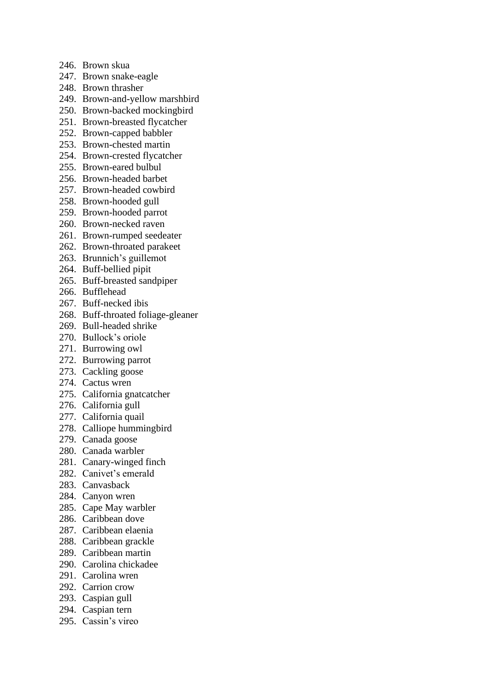- 246. Brown skua
- 247. Brown snake-eagle
- 248. Brown thrasher
- 249. Brown-and-yellow marshbird
- 250. Brown-backed mockingbird
- 251. Brown-breasted flycatcher
- 252. Brown-capped babbler
- 253. Brown-chested martin
- 254. Brown-crested flycatcher
- 255. Brown-eared bulbul
- 256. Brown-headed barbet
- 257. Brown-headed cowbird
- 258. Brown-hooded gull
- 259. Brown-hooded parrot
- 260. Brown-necked raven
- 261. Brown-rumped seedeater
- 262. Brown-throated parakeet
- 263. Brunnich's guillemot
- 264. Buff-bellied pipit
- 265. Buff-breasted sandpiper
- 266. Bufflehead
- 267. Buff-necked ibis
- 268. Buff-throated foliage-gleaner
- 269. Bull-headed shrike
- 270. Bullock's oriole
- 271. Burrowing owl
- 272. Burrowing parrot
- 273. Cackling goose
- 274. Cactus wren
- 275. California gnatcatcher
- 276. California gull
- 277. California quail
- 278. Calliope hummingbird
- 279. Canada goose
- 280. Canada warbler
- 281. Canary-winged finch
- 282. Canivet's emerald
- 283. Canvasback
- 284. Canyon wren
- 285. Cape May warbler
- 286. Caribbean dove
- 287. Caribbean elaenia
- 288. Caribbean grackle
- 289. Caribbean martin
- 290. Carolina chickadee
- 291. Carolina wren
- 292. Carrion crow
- 293. Caspian gull
- 294. Caspian tern
- 295. Cassin's vireo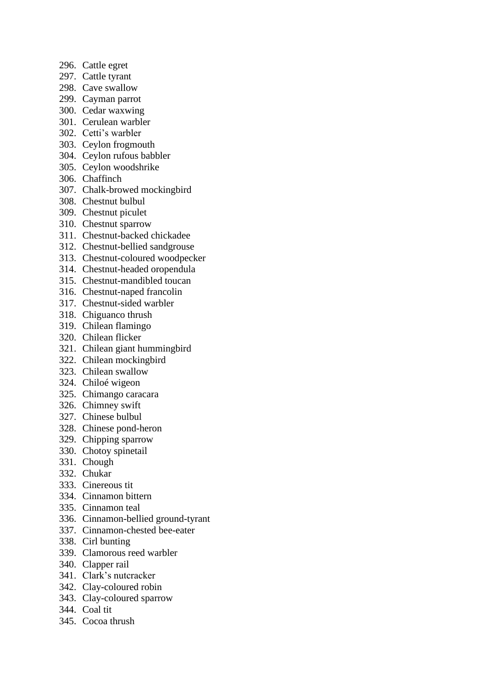- 296. Cattle egret
- 297. Cattle tyrant
- 298. Cave swallow
- 299. Cayman parrot
- 300. Cedar waxwing
- 301. Cerulean warbler
- 302. Cetti's warbler
- 303. Ceylon frogmouth
- 304. Ceylon rufous babbler
- 305. Ceylon woodshrike
- 306. Chaffinch
- 307. Chalk-browed mockingbird
- 308. Chestnut bulbul
- 309. Chestnut piculet
- 310. Chestnut sparrow
- 311. Chestnut-backed chickadee
- 312. Chestnut-bellied sandgrouse
- 313. Chestnut-coloured woodpecker
- 314. Chestnut-headed oropendula
- 315. Chestnut-mandibled toucan
- 316. Chestnut-naped francolin
- 317. Chestnut-sided warbler
- 318. Chiguanco thrush
- 319. Chilean flamingo
- 320. Chilean flicker
- 321. Chilean giant hummingbird
- 322. Chilean mockingbird
- 323. Chilean swallow
- 324. Chiloé wigeon
- 325. Chimango caracara
- 326. Chimney swift
- 327. Chinese bulbul
- 328. Chinese pond-heron
- 329. Chipping sparrow
- 330. Chotoy spinetail
- 331. Chough
- 332. Chukar
- 333. Cinereous tit
- 334. Cinnamon bittern
- 335. Cinnamon teal
- 336. Cinnamon-bellied ground-tyrant
- 337. Cinnamon-chested bee-eater
- 338. Cirl bunting
- 339. Clamorous reed warbler
- 340. Clapper rail
- 341. Clark's nutcracker
- 342. Clay-coloured robin
- 343. Clay-coloured sparrow
- 344. Coal tit
- 345. Cocoa thrush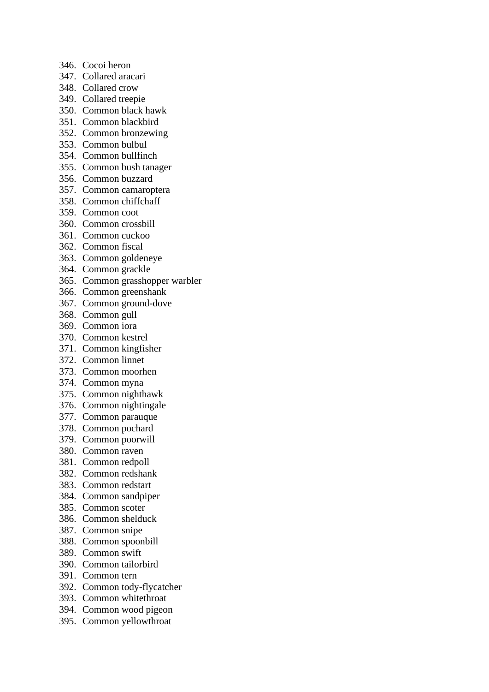- 346. Cocoi heron
- 347. Collared aracari
- 348. Collared crow
- 349. Collared treepie
- 350. Common black hawk
- 351. Common blackbird
- 352. Common bronzewing
- 353. Common bulbul
- 354. Common bullfinch
- 355. Common bush tanager
- 356. Common buzzard
- 357. Common camaroptera
- 358. Common chiffchaff
- 359. Common coot
- 360. Common crossbill
- 361. Common cuckoo
- 362. Common fiscal
- 363. Common goldeneye
- 364. Common grackle
- 365. Common grasshopper warbler
- 366. Common greenshank
- 367. Common ground-dove
- 368. Common gull
- 369. Common iora
- 370. Common kestrel
- 371. Common kingfisher
- 372. Common linnet
- 373. Common moorhen
- 374. Common myna
- 375. Common nighthawk
- 376. Common nightingale
- 377. Common parauque
- 378. Common pochard
- 379. Common poorwill
- 380. Common raven
- 381. Common redpoll
- 382. Common redshank
- 383. Common redstart
- 384. Common sandpiper
- 385. Common scoter
- 386. Common shelduck
- 387. Common snipe
- 388. Common spoonbill
- 389. Common swift
- 390. Common tailorbird
- 391. Common tern
- 392. Common tody-flycatcher
- 393. Common whitethroat
- 394. Common wood pigeon
- 395. Common yellowthroat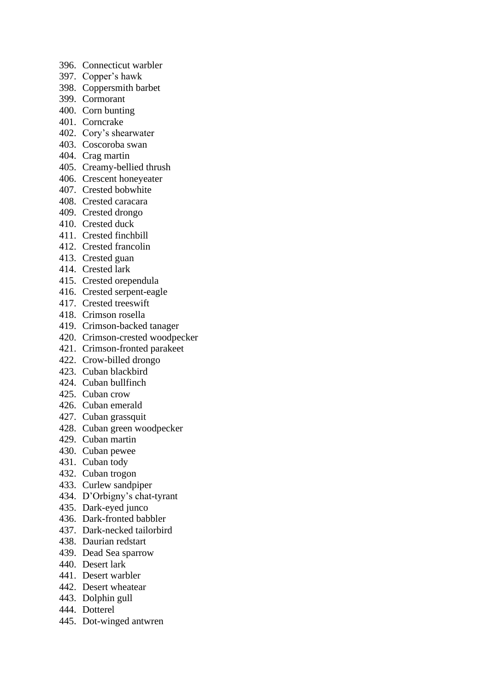- 396. Connecticut warbler
- 397. Copper's hawk
- 398. Coppersmith barbet
- 399. Cormorant
- 400. Corn bunting
- 401. Corncrake
- 402. Cory's shearwater
- 403. Coscoroba swan
- 404. Crag martin
- 405. Creamy-bellied thrush
- 406. Crescent honeyeater
- 407. Crested bobwhite
- 408. Crested caracara
- 409. Crested drongo
- 410. Crested duck
- 411. Crested finchbill
- 412. Crested francolin
- 413. Crested guan
- 414. Crested lark
- 415. Crested orependula
- 416. Crested serpent-eagle
- 417. Crested treeswift
- 418. Crimson rosella
- 419. Crimson-backed tanager
- 420. Crimson-crested woodpecker
- 421. Crimson-fronted parakeet
- 422. Crow-billed drongo
- 423. Cuban blackbird
- 424. Cuban bullfinch
- 425. Cuban crow
- 426. Cuban emerald
- 427. Cuban grassquit
- 428. Cuban green woodpecker
- 429. Cuban martin
- 430. Cuban pewee
- 431. Cuban tody
- 432. Cuban trogon
- 433. Curlew sandpiper
- 434. D'Orbigny's chat-tyrant
- 435. Dark-eyed junco
- 436. Dark-fronted babbler
- 437. Dark-necked tailorbird
- 438. Daurian redstart
- 439. Dead Sea sparrow
- 440. Desert lark
- 441. Desert warbler
- 442. Desert wheatear
- 443. Dolphin gull
- 444. Dotterel
- 445. Dot-winged antwren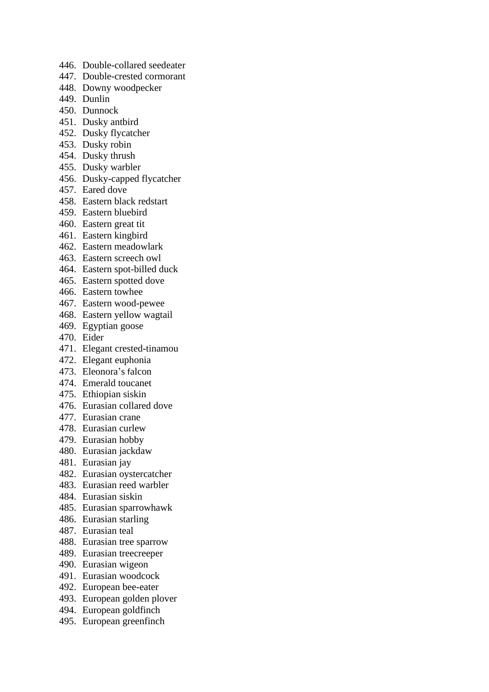- 446. Double-collared seedeater
- 447. Double-crested cormorant
- 448. Downy woodpecker
- 449. Dunlin
- 450. Dunnock
- 451. Dusky antbird
- 452. Dusky flycatcher
- 453. Dusky robin
- 454. Dusky thrush
- 455. Dusky warbler
- 456. Dusky-capped flycatcher
- 457. Eared dove
- 458. Eastern black redstart
- 459. Eastern bluebird
- 460. Eastern great tit
- 461. Eastern kingbird
- 462. Eastern meadowlark
- 463. Eastern screech owl
- 464. Eastern spot-billed duck
- 465. Eastern spotted dove
- 466. Eastern towhee
- 467. Eastern wood-pewee
- 468. Eastern yellow wagtail
- 469. Egyptian goose
- 470. Eider
- 471. Elegant crested-tinamou
- 472. Elegant euphonia
- 473. Eleonora's falcon
- 474. Emerald toucanet
- 475. Ethiopian siskin
- 476. Eurasian collared dove
- 477. Eurasian crane
- 478. Eurasian curlew
- 479. Eurasian hobby
- 480. Eurasian jackdaw
- 481. Eurasian jay
- 482. Eurasian oystercatcher
- 483. Eurasian reed warbler
- 484. Eurasian siskin
- 485. Eurasian sparrowhawk
- 486. Eurasian starling
- 487. Eurasian teal
- 488. Eurasian tree sparrow
- 489. Eurasian treecreeper
- 490. Eurasian wigeon
- 491. Eurasian woodcock
- 492. European bee-eater
- 493. European golden plover
- 494. European goldfinch
- 495. European greenfinch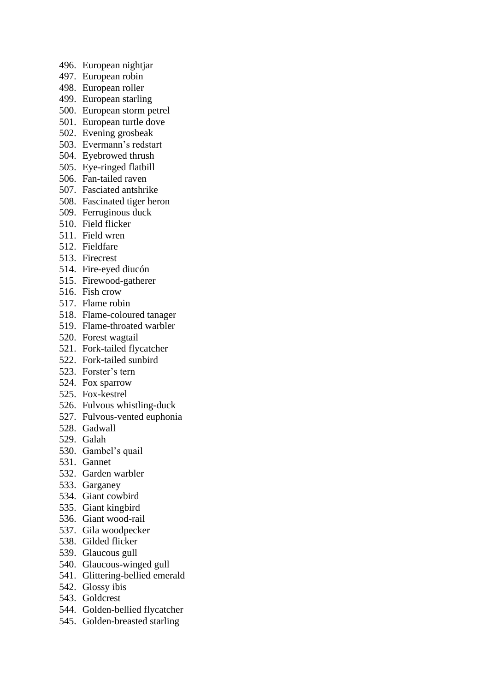- 496. European nightjar
- 497. European robin
- 498. European roller
- 499. European starling
- 500. European storm petrel
- 501. European turtle dove
- 502. Evening grosbeak
- 503. Evermann's redstart
- 504. Eyebrowed thrush
- 505. Eye-ringed flatbill
- 506. Fan-tailed raven
- 507. Fasciated antshrike
- 508. Fascinated tiger heron
- 509. Ferruginous duck
- 510. Field flicker
- 511. Field wren
- 512. Fieldfare
- 513. Firecrest
- 514. Fire-eyed diucón
- 515. Firewood-gatherer
- 516. Fish crow
- 517. Flame robin
- 518. Flame-coloured tanager
- 519. Flame-throated warbler
- 520. Forest wagtail
- 521. Fork-tailed flycatcher
- 522. Fork-tailed sunbird
- 523. Forster's tern
- 524. Fox sparrow
- 525. Fox-kestrel
- 526. Fulvous whistling-duck
- 527. Fulvous-vented euphonia
- 528. Gadwall
- 529. Galah
- 530. Gambel's quail
- 531. Gannet
- 532. Garden warbler
- 533. Garganey
- 534. Giant cowbird
- 535. Giant kingbird
- 536. Giant wood-rail
- 537. Gila woodpecker
- 538. Gilded flicker
- 539. Glaucous gull
- 540. Glaucous-winged gull
- 541. Glittering-bellied emerald
- 542. Glossy ibis
- 543. Goldcrest
- 544. Golden-bellied flycatcher
- 545. Golden-breasted starling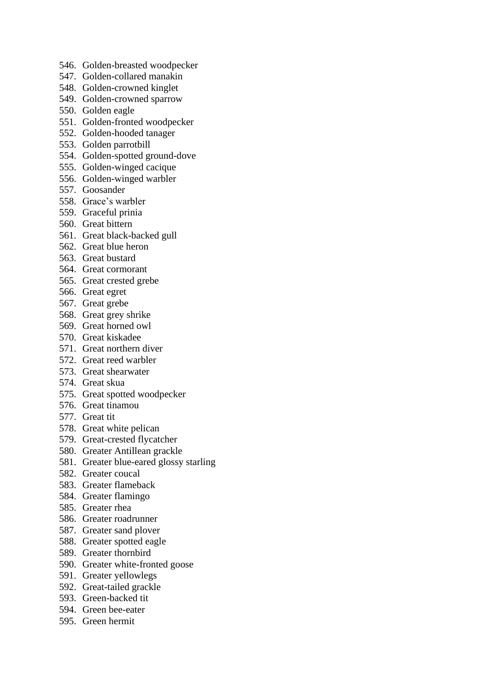- 546. Golden-breasted woodpecker
- 547. Golden-collared manakin
- 548. Golden-crowned kinglet
- 549. Golden-crowned sparrow
- 550. Golden eagle
- 551. Golden-fronted woodpecker
- 552. Golden-hooded tanager
- 553. Golden parrotbill
- 554. Golden-spotted ground-dove
- 555. Golden-winged cacique
- 556. Golden-winged warbler
- 557. Goosander
- 558. Grace's warbler
- 559. Graceful prinia
- 560. Great bittern
- 561. Great black-backed gull
- 562. Great blue heron
- 563. Great bustard
- 564. Great cormorant
- 565. Great crested grebe
- 566. Great egret
- 567. Great grebe
- 568. Great grey shrike
- 569. Great horned owl
- 570. Great kiskadee
- 571. Great northern diver
- 572. Great reed warbler
- 573. Great shearwater
- 574. Great skua
- 575. Great spotted woodpecker
- 576. Great tinamou
- 577. Great tit
- 578. Great white pelican
- 579. Great-crested flycatcher
- 580. Greater Antillean grackle
- 581. Greater blue-eared glossy starling
- 582. Greater coucal
- 583. Greater flameback
- 584. Greater flamingo
- 585. Greater rhea
- 586. Greater roadrunner
- 587. Greater sand plover
- 588. Greater spotted eagle
- 589. Greater thornbird
- 590. Greater white-fronted goose
- 591. Greater yellowlegs
- 592. Great-tailed grackle
- 593. Green-backed tit
- 594. Green bee-eater
- 595. Green hermit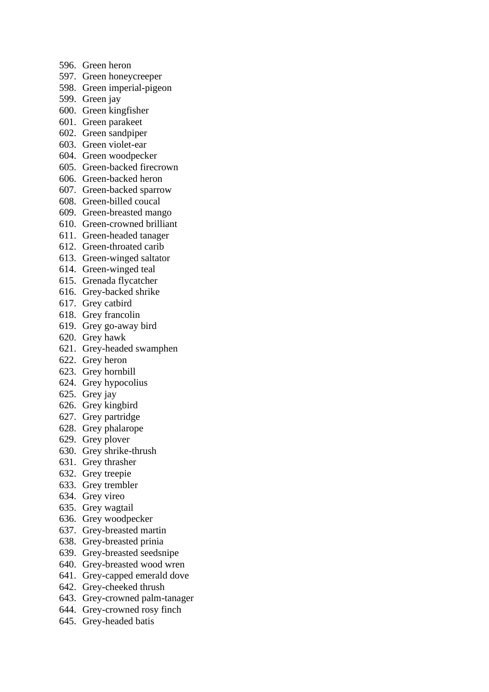- 596. Green heron
- 597. Green honeycreeper
- 598. Green imperial-pigeon
- 599. Green jay
- 600. Green kingfisher
- 601. Green parakeet
- 602. Green sandpiper
- 603. Green violet-ear
- 604. Green woodpecker
- 605. Green-backed firecrown
- 606. Green-backed heron
- 607. Green-backed sparrow
- 608. Green-billed coucal
- 609. Green-breasted mango
- 610. Green-crowned brilliant
- 611. Green-headed tanager
- 612. Green-throated carib
- 613. Green-winged saltator
- 614. Green-winged teal
- 615. Grenada flycatcher
- 616. Grey-backed shrike
- 617. Grey catbird
- 618. Grey francolin
- 619. Grey go-away bird
- 620. Grey hawk
- 621. Grey-headed swamphen
- 622. Grey heron
- 623. Grey hornbill
- 624. Grey hypocolius
- 625. Grey jay
- 626. Grey kingbird
- 627. Grey partridge
- 628. Grey phalarope
- 629. Grey plover
- 630. Grey shrike-thrush
- 631. Grey thrasher
- 632. Grey treepie
- 633. Grey trembler
- 634. Grey vireo
- 635. Grey wagtail
- 636. Grey woodpecker
- 637. Grey-breasted martin
- 638. Grey-breasted prinia
- 639. Grey-breasted seedsnipe
- 640. Grey-breasted wood wren
- 641. Grey-capped emerald dove
- 642. Grey-cheeked thrush
- 643. Grey-crowned palm-tanager
- 644. Grey-crowned rosy finch
- 645. Grey-headed batis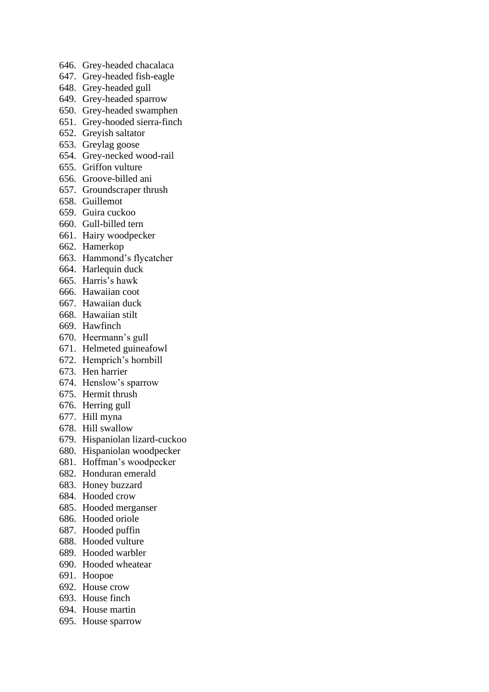- 646. Grey-headed chacalaca
- 647. Grey-headed fish-eagle
- 648. Grey-headed gull
- 649. Grey-headed sparrow
- 650. Grey-headed swamphen
- 651. Grey-hooded sierra-finch
- 652. Greyish saltator
- 653. Greylag goose
- 654. Grey-necked wood-rail
- 655. Griffon vulture
- 656. Groove-billed ani
- 657. Groundscraper thrush
- 658. Guillemot
- 659. Guira cuckoo
- 660. Gull-billed tern
- 661. Hairy woodpecker
- 662. Hamerkop
- 663. Hammond's flycatcher
- 664. Harlequin duck
- 665. Harris's hawk
- 666. Hawaiian coot
- 667. Hawaiian duck
- 668. Hawaiian stilt
- 669. Hawfinch
- 670. Heermann's gull
- 671. Helmeted guineafowl
- 672. Hemprich's hornbill
- 673. Hen harrier
- 674. Henslow's sparrow
- 675. Hermit thrush
- 676. Herring gull
- 677. Hill myna
- 678. Hill swallow
- 679. Hispaniolan lizard-cuckoo
- 680. Hispaniolan woodpecker
- 681. Hoffman's woodpecker
- 682. Honduran emerald
- 683. Honey buzzard
- 684. Hooded crow
- 685. Hooded merganser
- 686. Hooded oriole
- 687. Hooded puffin
- 688. Hooded vulture
- 689. Hooded warbler
- 690. Hooded wheatear
- 691. Hoopoe
- 692. House crow
- 693. House finch
- 694. House martin
- 695. House sparrow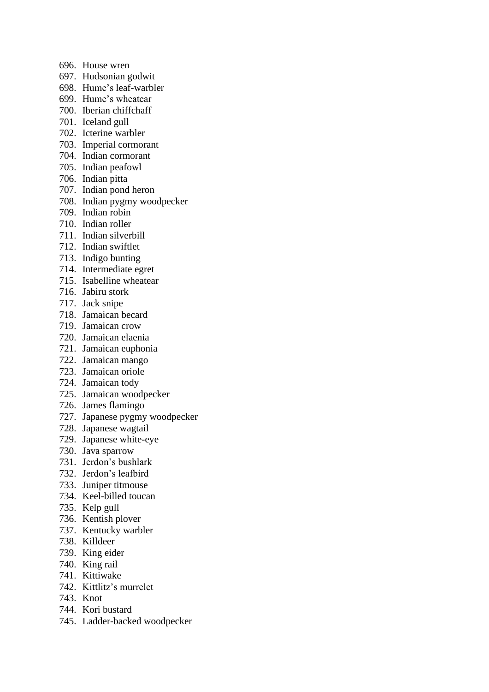- 696. House wren
- 697. Hudsonian godwit
- 698. Hume's leaf-warbler
- 699. Hume's wheatear
- 700. Iberian chiffchaff
- 701. Iceland gull
- 702. Icterine warbler
- 703. Imperial cormorant
- 704. Indian cormorant
- 705. Indian peafowl
- 706. Indian pitta
- 707. Indian pond heron
- 708. Indian pygmy woodpecker
- 709. Indian robin
- 710. Indian roller
- 711. Indian silverbill
- 712. Indian swiftlet
- 713. Indigo bunting
- 714. Intermediate egret
- 715. Isabelline wheatear
- 716. Jabiru stork
- 717. Jack snipe
- 718. Jamaican becard
- 719. Jamaican crow
- 720. Jamaican elaenia
- 721. Jamaican euphonia
- 722. Jamaican mango
- 723. Jamaican oriole
- 724. Jamaican tody
- 725. Jamaican woodpecker
- 726. James flamingo
- 727. Japanese pygmy woodpecker
- 728. Japanese wagtail
- 729. Japanese white-eye
- 730. Java sparrow
- 731. Jerdon's bushlark
- 732. Jerdon's leafbird
- 733. Juniper titmouse
- 734. Keel-billed toucan
- 735. Kelp gull
- 736. Kentish plover
- 737. Kentucky warbler
- 738. Killdeer
- 739. King eider
- 740. King rail
- 741. Kittiwake
- 742. Kittlitz's murrelet
- 743. Knot
- 744. Kori bustard
- 745. Ladder-backed woodpecker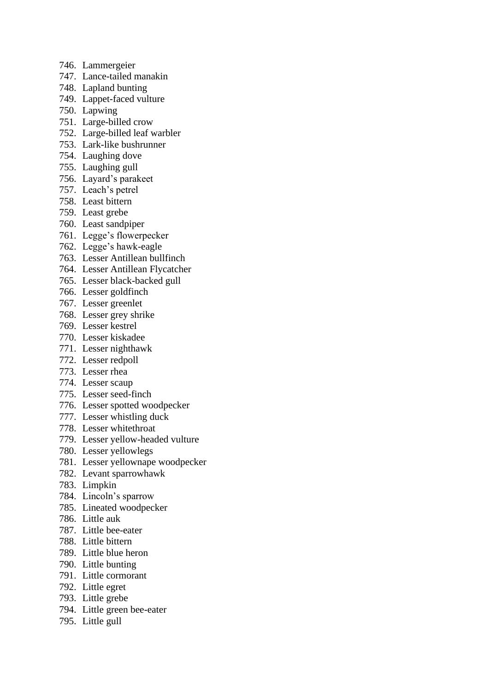- 746. Lammergeier
- 747. Lance-tailed manakin
- 748. Lapland bunting
- 749. Lappet-faced vulture
- 750. Lapwing
- 751. Large-billed crow
- 752. Large-billed leaf warbler
- 753. Lark-like bushrunner
- 754. Laughing dove
- 755. Laughing gull
- 756. Layard's parakeet
- 757. Leach's petrel
- 758. Least bittern
- 759. Least grebe
- 760. Least sandpiper
- 761. Legge's flowerpecker
- 762. Legge's hawk-eagle
- 763. Lesser Antillean bullfinch
- 764. Lesser Antillean Flycatcher
- 765. Lesser black-backed gull
- 766. Lesser goldfinch
- 767. Lesser greenlet
- 768. Lesser grey shrike
- 769. Lesser kestrel
- 770. Lesser kiskadee
- 771. Lesser nighthawk
- 772. Lesser redpoll
- 773. Lesser rhea
- 774. Lesser scaup
- 775. Lesser seed-finch
- 776. Lesser spotted woodpecker
- 777. Lesser whistling duck
- 778. Lesser whitethroat
- 779. Lesser yellow-headed vulture
- 780. Lesser yellowlegs
- 781. Lesser yellownape woodpecker
- 782. Levant sparrowhawk
- 783. Limpkin
- 784. Lincoln's sparrow
- 785. Lineated woodpecker
- 786. Little auk
- 787. Little bee-eater
- 788. Little bittern
- 789. Little blue heron
- 790. Little bunting
- 791. Little cormorant
- 792. Little egret
- 793. Little grebe
- 794. Little green bee-eater
- 795. Little gull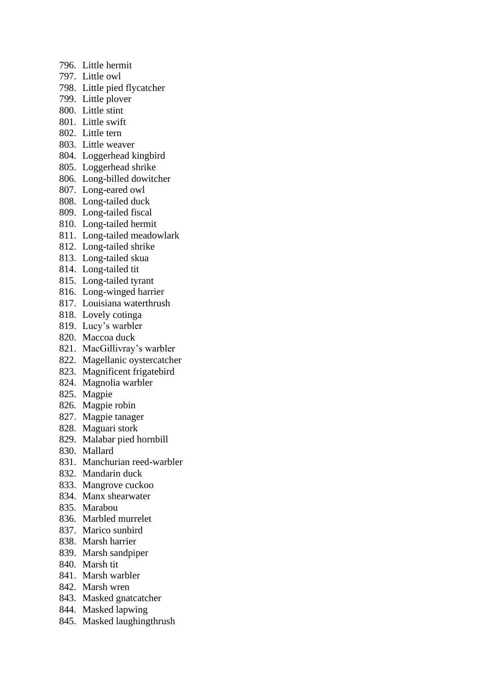- 796. Little hermit
- 797. Little owl
- 798. Little pied flycatcher
- 799. Little plover
- 800. Little stint
- 801. Little swift
- 802. Little tern
- 803. Little weaver
- 804. Loggerhead kingbird
- 805. Loggerhead shrike
- 806. Long-billed dowitcher
- 807. Long-eared owl
- 808. Long-tailed duck
- 809. Long-tailed fiscal
- 810. Long-tailed hermit
- 811. Long-tailed meadowlark
- 812. Long-tailed shrike
- 813. Long-tailed skua
- 814. Long-tailed tit
- 815. Long-tailed tyrant
- 816. Long-winged harrier
- 817. Louisiana waterthrush
- 818. Lovely cotinga
- 819. Lucy's warbler
- 820. Maccoa duck
- 821. MacGillivray's warbler
- 822. Magellanic oystercatcher
- 823. Magnificent frigatebird
- 824. Magnolia warbler
- 825. Magpie
- 826. Magpie robin
- 827. Magpie tanager
- 828. Maguari stork
- 829. Malabar pied hornbill
- 830. Mallard
- 831. Manchurian reed-warbler
- 832. Mandarin duck
- 833. Mangrove cuckoo
- 834. Manx shearwater
- 835. Marabou
- 836. Marbled murrelet
- 837. Marico sunbird
- 838. Marsh harrier
- 839. Marsh sandpiper
- 840. Marsh tit
- 841. Marsh warbler
- 842. Marsh wren
- 843. Masked gnatcatcher
- 844. Masked lapwing
- 845. Masked laughingthrush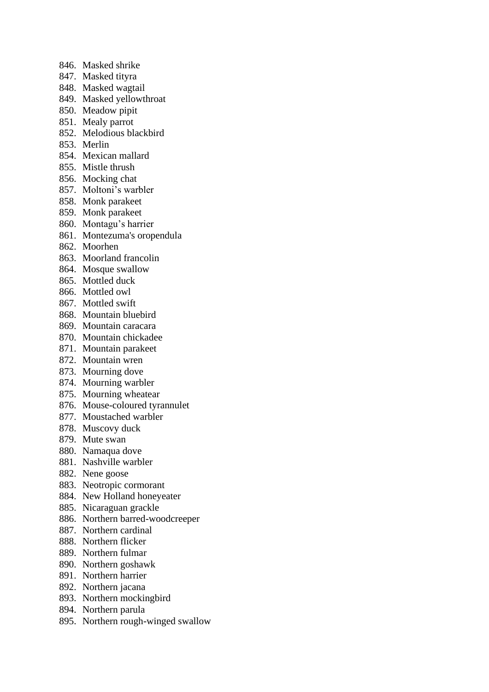- 846. Masked shrike
- 847. Masked tityra
- 848. Masked wagtail
- 849. Masked yellowthroat
- 850. Meadow pipit
- 851. Mealy parrot
- 852. Melodious blackbird
- 853. Merlin
- 854. Mexican mallard
- 855. Mistle thrush
- 856. Mocking chat
- 857. Moltoni's warbler
- 858. Monk parakeet
- 859. Monk parakeet
- 860. Montagu's harrier
- 861. Montezuma's oropendula
- 862. Moorhen
- 863. Moorland francolin
- 864. Mosque swallow
- 865. Mottled duck
- 866. Mottled owl
- 867. Mottled swift
- 868. Mountain bluebird
- 869. Mountain caracara
- 870. Mountain chickadee
- 871. Mountain parakeet
- 872. Mountain wren
- 873. Mourning dove
- 874. Mourning warbler
- 875. Mourning wheatear
- 876. Mouse-coloured tyrannulet
- 877. Moustached warbler
- 878. Muscovy duck
- 879. Mute swan
- 880. Namaqua dove
- 881. Nashville warbler
- 882. Nene goose
- 883. Neotropic cormorant
- 884. New Holland honeyeater
- 885. Nicaraguan grackle
- 886. Northern barred-woodcreeper
- 887. Northern cardinal
- 888. Northern flicker
- 889. Northern fulmar
- 890. Northern goshawk
- 891. Northern harrier
- 892. Northern jacana
- 893. Northern mockingbird
- 894. Northern parula
- 895. Northern rough-winged swallow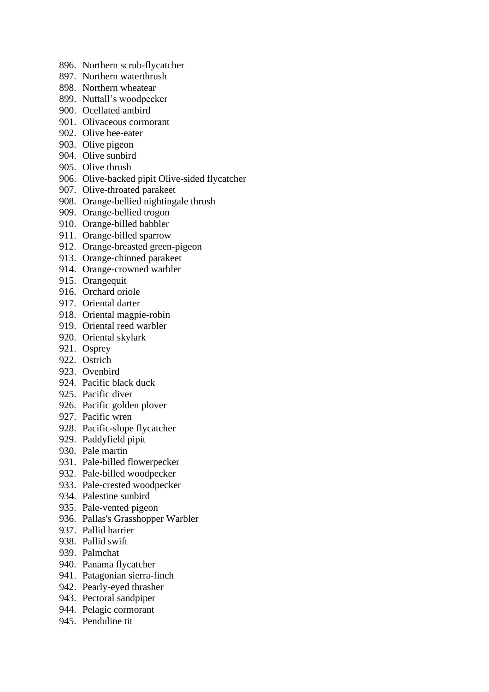- 896. Northern scrub-flycatcher
- 897. Northern waterthrush
- 898. Northern wheatear
- 899. Nuttall's woodpecker
- 900. Ocellated antbird
- 901. Olivaceous cormorant
- 902. Olive bee-eater
- 903. Olive pigeon
- 904. Olive sunbird
- 905. Olive thrush
- 906. Olive-backed pipit Olive-sided flycatcher
- 907. Olive-throated parakeet
- 908. Orange-bellied nightingale thrush
- 909. Orange-bellied trogon
- 910. Orange-billed babbler
- 911. Orange-billed sparrow
- 912. Orange-breasted green-pigeon
- 913. Orange-chinned parakeet
- 914. Orange-crowned warbler
- 915. Orangequit
- 916. Orchard oriole
- 917. Oriental darter
- 918. Oriental magpie-robin
- 919. Oriental reed warbler
- 920. Oriental skylark
- 921. Osprey
- 922. Ostrich
- 923. Ovenbird
- 924. Pacific black duck
- 925. Pacific diver
- 926. Pacific golden plover
- 927. Pacific wren
- 928. Pacific-slope flycatcher
- 929. Paddyfield pipit
- 930. Pale martin
- 931. Pale-billed flowerpecker
- 932. Pale-billed woodpecker
- 933. Pale-crested woodpecker
- 934. Palestine sunbird
- 935. Pale-vented pigeon
- 936. Pallas's Grasshopper Warbler
- 937. Pallid harrier
- 938. Pallid swift
- 939. Palmchat
- 940. Panama flycatcher
- 941. Patagonian sierra-finch
- 942. Pearly-eyed thrasher
- 943. Pectoral sandpiper
- 944. Pelagic cormorant
- 945. Penduline tit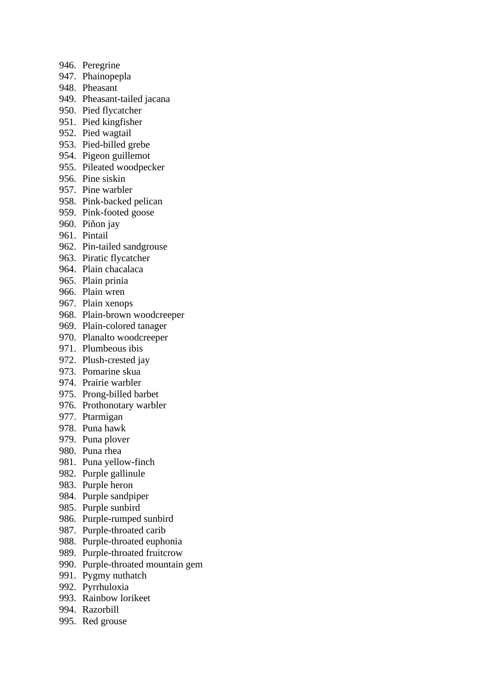- 946. Peregrine
- 947. Phainopepla
- 948. Pheasant
- 949. Pheasant-tailed jacana
- 950. Pied flycatcher
- 951. Pied kingfisher
- 952. Pied wagtail
- 953. Pied-billed grebe
- 954. Pigeon guillemot
- 955. Pileated woodpecker
- 956. Pine siskin
- 957. Pine warbler
- 958. Pink-backed pelican
- 959. Pink-footed goose
- 960. Piñon jay
- 961. Pintail
- 962. Pin-tailed sandgrouse
- 963. Piratic flycatcher
- 964. Plain chacalaca
- 965. Plain prinia
- 966. Plain wren
- 967. Plain xenops
- 968. Plain-brown woodcreeper
- 969. Plain-colored tanager
- 970. Planalto woodcreeper
- 971. Plumbeous ibis
- 972. Plush-crested jay
- 973. Pomarine skua
- 974. Prairie warbler
- 975. Prong-billed barbet
- 976. Prothonotary warbler
- 977. Ptarmigan
- 978. Puna hawk
- 979. Puna plover
- 980. Puna rhea
- 981. Puna yellow-finch
- 982. Purple gallinule
- 983. Purple heron
- 984. Purple sandpiper
- 985. Purple sunbird
- 986. Purple-rumped sunbird
- 987. Purple-throated carib
- 988. Purple-throated euphonia
- 989. Purple-throated fruitcrow
- 990. Purple-throated mountain gem
- 991. Pygmy nuthatch
- 992. Pyrrhuloxia
- 993. Rainbow lorikeet
- 994. Razorbill
- 995. Red grouse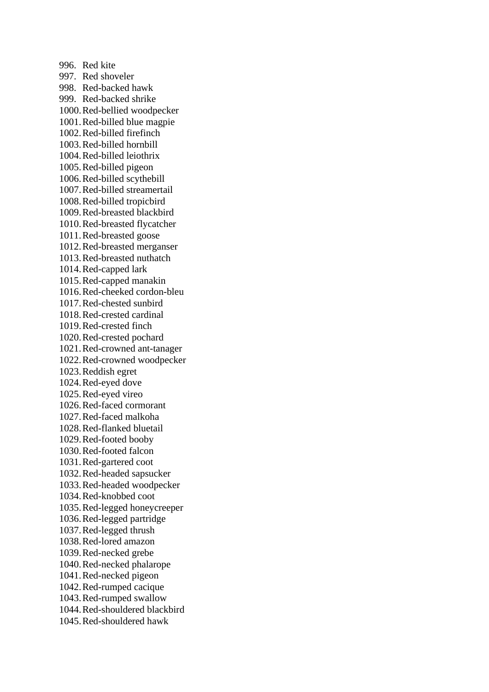996. Red kite 997. Red shoveler 998. Red-backed hawk 999. Red-backed shrike 1000.Red-bellied woodpecker 1001.Red-billed blue magpie 1002.Red-billed firefinch 1003.Red-billed hornbill 1004.Red-billed leiothrix 1005.Red-billed pigeon 1006.Red-billed scythebill 1007.Red-billed streamertail 1008.Red-billed tropicbird 1009.Red-breasted blackbird 1010.Red-breasted flycatcher 1011.Red-breasted goose 1012.Red-breasted merganser 1013.Red-breasted nuthatch 1014.Red-capped lark 1015.Red-capped manakin 1016.Red-cheeked cordon-bleu 1017.Red-chested sunbird 1018.Red-crested cardinal 1019.Red-crested finch 1020.Red-crested pochard 1021.Red-crowned ant-tanager 1022.Red-crowned woodpecker 1023.Reddish egret 1024.Red-eyed dove 1025.Red-eyed vireo 1026.Red-faced cormorant 1027.Red-faced malkoha 1028.Red-flanked bluetail 1029.Red-footed booby 1030.Red-footed falcon 1031.Red-gartered coot 1032.Red-headed sapsucker 1033.Red-headed woodpecker 1034.Red-knobbed coot 1035.Red-legged honeycreeper 1036.Red-legged partridge 1037.Red-legged thrush 1038.Red-lored amazon 1039.Red-necked grebe 1040.Red-necked phalarope 1041.Red-necked pigeon 1042.Red-rumped cacique 1043.Red-rumped swallow 1044.Red-shouldered blackbird 1045.Red-shouldered hawk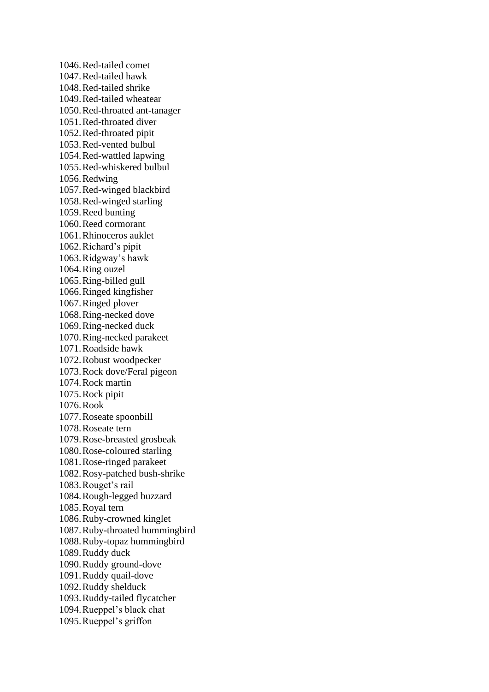1046.Red-tailed comet 1047.Red-tailed hawk 1048.Red-tailed shrike 1049.Red-tailed wheatear 1050.Red-throated ant-tanager 1051.Red-throated diver 1052.Red-throated pipit 1053.Red-vented bulbul 1054.Red-wattled lapwing 1055.Red-whiskered bulbul 1056.Redwing 1057.Red-winged blackbird 1058.Red-winged starling 1059.Reed bunting 1060.Reed cormorant 1061.Rhinoceros auklet 1062.Richard's pipit 1063.Ridgway's hawk 1064.Ring ouzel 1065.Ring-billed gull 1066.Ringed kingfisher 1067.Ringed plover 1068.Ring-necked dove 1069.Ring-necked duck 1070.Ring-necked parakeet 1071.Roadside hawk 1072.Robust woodpecker 1073.Rock dove/Feral pigeon 1074.Rock martin 1075.Rock pipit 1076.Rook 1077.Roseate spoonbill 1078.Roseate tern 1079.Rose-breasted grosbeak 1080.Rose-coloured starling 1081.Rose-ringed parakeet 1082.Rosy-patched bush-shrike 1083.Rouget's rail 1084.Rough-legged buzzard 1085.Royal tern 1086.Ruby-crowned kinglet 1087.Ruby-throated hummingbird 1088.Ruby-topaz hummingbird 1089.Ruddy duck 1090.Ruddy ground-dove 1091.Ruddy quail-dove 1092.Ruddy shelduck 1093.Ruddy-tailed flycatcher 1094.Rueppel's black chat 1095.Rueppel's griffon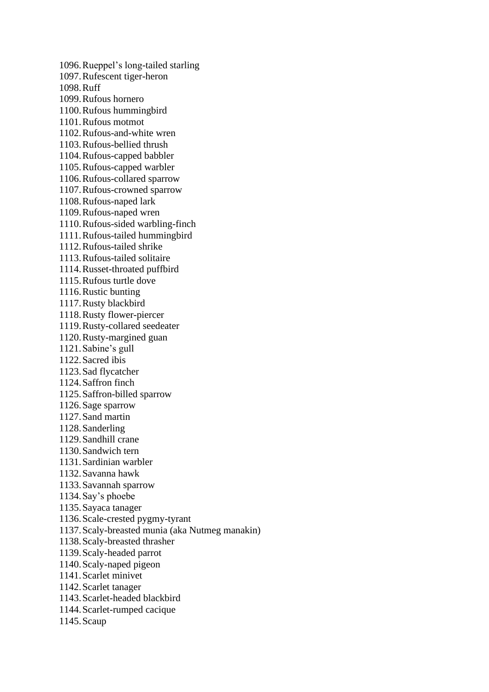1096.Rueppel's long-tailed starling 1097.Rufescent tiger-heron 1098.Ruff 1099.Rufous hornero 1100.Rufous hummingbird 1101.Rufous motmot 1102.Rufous-and-white wren 1103.Rufous-bellied thrush 1104.Rufous-capped babbler 1105.Rufous-capped warbler 1106.Rufous-collared sparrow 1107.Rufous-crowned sparrow 1108.Rufous-naped lark 1109.Rufous-naped wren 1110.Rufous-sided warbling-finch 1111.Rufous-tailed hummingbird 1112.Rufous-tailed shrike 1113.Rufous-tailed solitaire 1114.Russet-throated puffbird 1115.Rufous turtle dove 1116.Rustic bunting 1117.Rusty blackbird 1118.Rusty flower-piercer 1119.Rusty-collared seedeater 1120.Rusty-margined guan 1121.Sabine's gull 1122.Sacred ibis 1123.Sad flycatcher 1124.Saffron finch 1125.Saffron-billed sparrow 1126.Sage sparrow 1127.Sand martin 1128.Sanderling 1129.Sandhill crane 1130.Sandwich tern 1131.Sardinian warbler 1132.Savanna hawk 1133.Savannah sparrow 1134.Say's phoebe 1135.Sayaca tanager 1136.Scale-crested pygmy-tyrant 1137.Scaly-breasted munia (aka Nutmeg manakin) 1138.Scaly-breasted thrasher 1139.Scaly-headed parrot 1140.Scaly-naped pigeon 1141.Scarlet minivet 1142.Scarlet tanager 1143.Scarlet-headed blackbird 1144.Scarlet-rumped cacique 1145.Scaup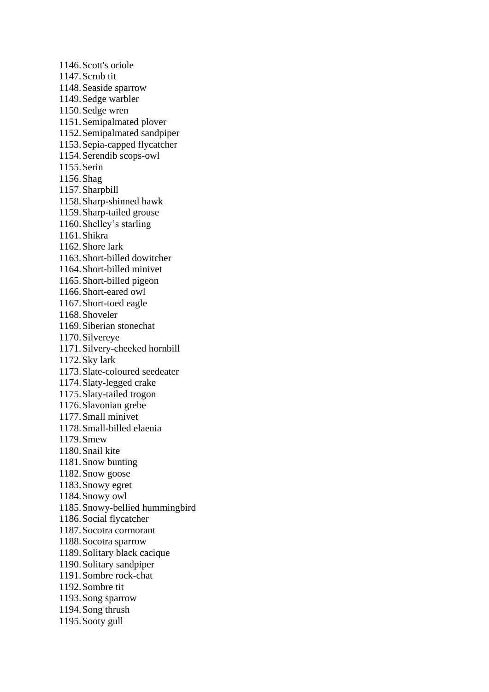1146.Scott's oriole 1147.Scrub tit 1148.Seaside sparrow 1149.Sedge warbler 1150.Sedge wren 1151.Semipalmated plover 1152.Semipalmated sandpiper 1153.Sepia-capped flycatcher 1154.Serendib scops-owl 1155.Serin 1156.Shag 1157.Sharpbill 1158.Sharp-shinned hawk 1159.Sharp-tailed grouse 1160.Shelley's starling 1161.Shikra 1162.Shore lark 1163.Short-billed dowitcher 1164.Short-billed minivet 1165.Short-billed pigeon 1166.Short-eared owl 1167.Short-toed eagle 1168.Shoveler 1169.Siberian stonechat 1170.Silvereye 1171.Silvery-cheeked hornbill 1172.Sky lark 1173.Slate-coloured seedeater 1174.Slaty-legged crake 1175.Slaty-tailed trogon 1176.Slavonian grebe 1177.Small minivet 1178.Small-billed elaenia 1179.Smew 1180.Snail kite 1181.Snow bunting 1182.Snow goose 1183.Snowy egret 1184.Snowy owl 1185.Snowy-bellied hummingbird 1186.Social flycatcher 1187.Socotra cormorant 1188.Socotra sparrow 1189.Solitary black cacique 1190.Solitary sandpiper 1191.Sombre rock-chat 1192.Sombre tit 1193.Song sparrow 1194.Song thrush 1195.Sooty gull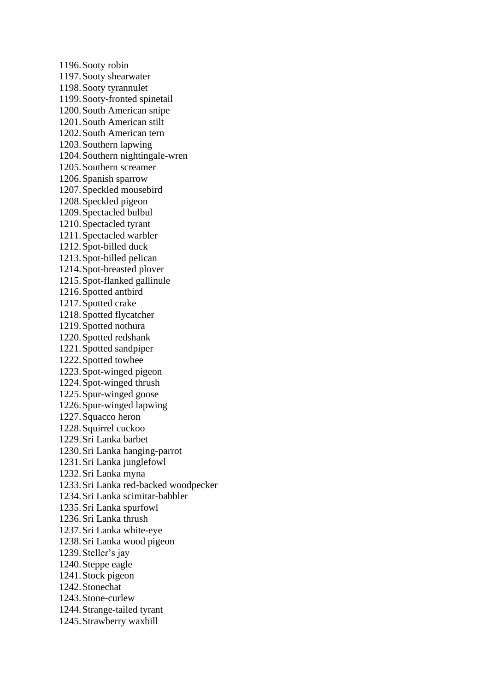1196.Sooty robin 1197.Sooty shearwater 1198.Sooty tyrannulet 1199.Sooty-fronted spinetail 1200.South American snipe 1201.South American stilt 1202.South American tern 1203.Southern lapwing 1204.Southern nightingale-wren 1205.Southern screamer 1206.Spanish sparrow 1207.Speckled mousebird 1208.Speckled pigeon 1209.Spectacled bulbul 1210.Spectacled tyrant 1211.Spectacled warbler 1212.Spot-billed duck 1213.Spot-billed pelican 1214.Spot-breasted plover 1215.Spot-flanked gallinule 1216.Spotted antbird 1217.Spotted crake 1218.Spotted flycatcher 1219.Spotted nothura 1220.Spotted redshank 1221.Spotted sandpiper 1222.Spotted towhee 1223.Spot-winged pigeon 1224.Spot-winged thrush 1225.Spur-winged goose 1226.Spur-winged lapwing 1227.Squacco heron 1228.Squirrel cuckoo 1229.Sri Lanka barbet 1230.Sri Lanka hanging-parrot 1231.Sri Lanka junglefowl 1232.Sri Lanka myna 1233.Sri Lanka red-backed woodpecker 1234.Sri Lanka scimitar-babbler 1235.Sri Lanka spurfowl 1236.Sri Lanka thrush 1237.Sri Lanka white-eye 1238.Sri Lanka wood pigeon 1239.Steller's jay 1240.Steppe eagle 1241.Stock pigeon 1242.Stonechat 1243.Stone-curlew 1244.Strange-tailed tyrant 1245.Strawberry waxbill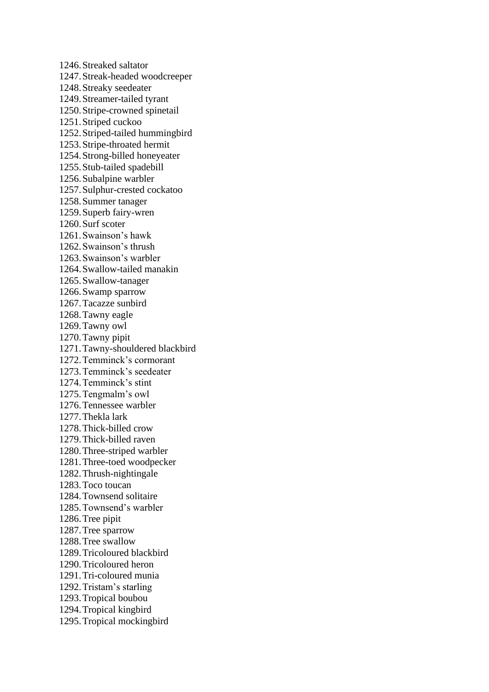1246.Streaked saltator 1247.Streak-headed woodcreeper 1248.Streaky seedeater 1249.Streamer-tailed tyrant 1250.Stripe-crowned spinetail 1251.Striped cuckoo 1252.Striped-tailed hummingbird 1253.Stripe-throated hermit 1254.Strong-billed honeyeater 1255.Stub-tailed spadebill 1256.Subalpine warbler 1257.Sulphur-crested cockatoo 1258.Summer tanager 1259.Superb fairy-wren 1260.Surf scoter 1261.Swainson's hawk 1262.Swainson's thrush 1263.Swainson's warbler 1264.Swallow-tailed manakin 1265.Swallow-tanager 1266.Swamp sparrow 1267.Tacazze sunbird 1268.Tawny eagle 1269.Tawny owl 1270.Tawny pipit 1271.Tawny-shouldered blackbird 1272.Temminck's cormorant 1273.Temminck's seedeater 1274.Temminck's stint 1275.Tengmalm's owl 1276.Tennessee warbler 1277.Thekla lark 1278.Thick-billed crow 1279.Thick-billed raven 1280.Three-striped warbler 1281.Three-toed woodpecker 1282.Thrush-nightingale 1283.Toco toucan 1284.Townsend solitaire 1285.Townsend's warbler 1286.Tree pipit 1287.Tree sparrow 1288.Tree swallow 1289.Tricoloured blackbird 1290.Tricoloured heron 1291.Tri-coloured munia 1292.Tristam's starling 1293.Tropical boubou 1294.Tropical kingbird 1295.Tropical mockingbird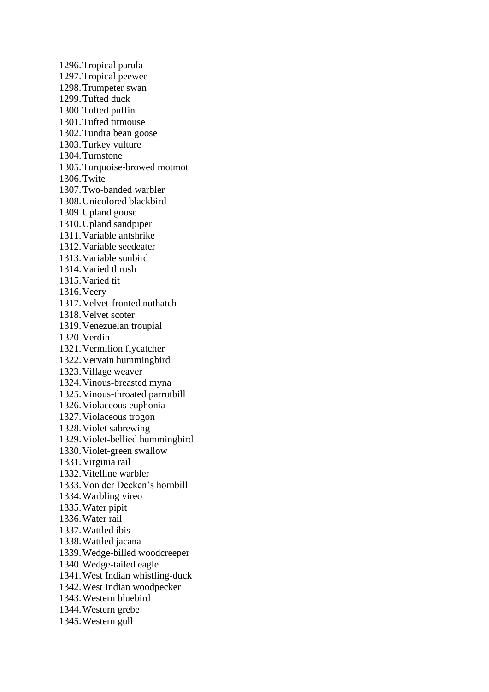1296.Tropical parula 1297.Tropical peewee 1298.Trumpeter swan 1299.Tufted duck 1300.Tufted puffin 1301.Tufted titmouse 1302.Tundra bean goose 1303.Turkey vulture 1304.Turnstone 1305.Turquoise-browed motmot 1306.Twite 1307.Two-banded warbler 1308.Unicolored blackbird 1309.Upland goose 1310.Upland sandpiper 1311.Variable antshrike 1312.Variable seedeater 1313.Variable sunbird 1314.Varied thrush 1315.Varied tit 1316.Veery 1317.Velvet-fronted nuthatch 1318.Velvet scoter 1319.Venezuelan troupial 1320.Verdin 1321.Vermilion flycatcher 1322.Vervain hummingbird 1323.Village weaver 1324.Vinous-breasted myna 1325.Vinous-throated parrotbill 1326.Violaceous euphonia 1327.Violaceous trogon 1328.Violet sabrewing 1329.Violet-bellied hummingbird 1330.Violet-green swallow 1331.Virginia rail 1332.Vitelline warbler 1333.Von der Decken's hornbill 1334.Warbling vireo 1335.Water pipit 1336.Water rail 1337.Wattled ibis 1338.Wattled jacana 1339.Wedge-billed woodcreeper 1340.Wedge-tailed eagle 1341.West Indian whistling-duck 1342.West Indian woodpecker 1343.Western bluebird 1344.Western grebe 1345.Western gull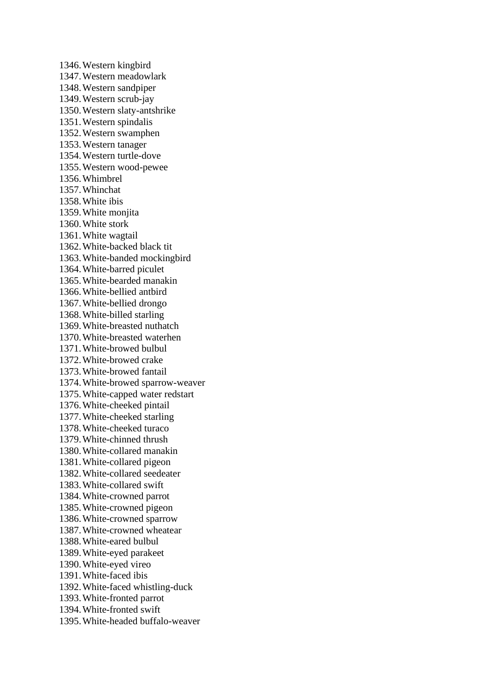1346.Western kingbird 1347.Western meadowlark 1348.Western sandpiper 1349.Western scrub-jay 1350.Western slaty-antshrike 1351.Western spindalis 1352.Western swamphen 1353.Western tanager 1354.Western turtle-dove 1355.Western wood-pewee 1356.Whimbrel 1357.Whinchat 1358.White ibis 1359.White monjita 1360.White stork 1361.White wagtail 1362.White-backed black tit 1363.White-banded mockingbird 1364.White-barred piculet 1365.White-bearded manakin 1366.White-bellied antbird 1367.White-bellied drongo 1368.White-billed starling 1369.White-breasted nuthatch 1370.White-breasted waterhen 1371.White-browed bulbul 1372.White-browed crake 1373.White-browed fantail 1374.White-browed sparrow-weaver 1375.White-capped water redstart 1376.White-cheeked pintail 1377.White-cheeked starling 1378.White-cheeked turaco 1379.White-chinned thrush 1380.White-collared manakin 1381.White-collared pigeon 1382.White-collared seedeater 1383.White-collared swift 1384.White-crowned parrot 1385.White-crowned pigeon 1386.White-crowned sparrow 1387.White-crowned wheatear 1388.White-eared bulbul 1389.White-eyed parakeet 1390.White-eyed vireo 1391.White-faced ibis 1392.White-faced whistling-duck 1393.White-fronted parrot 1394.White-fronted swift 1395.White-headed buffalo-weaver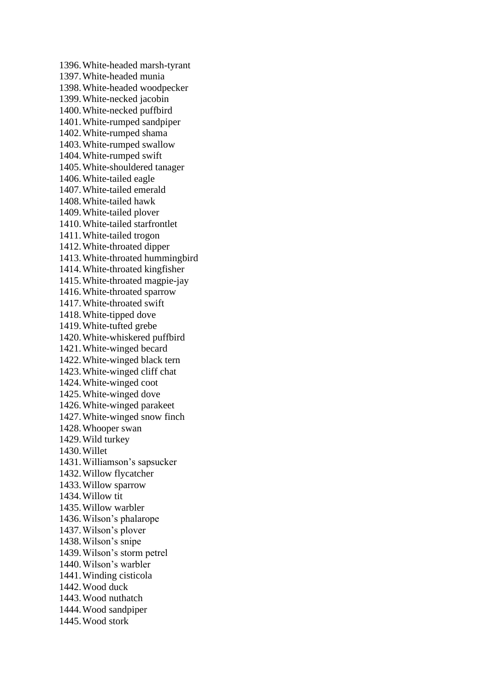1396.White-headed marsh-tyrant 1397.White-headed munia 1398.White-headed woodpecker 1399.White-necked jacobin 1400.White-necked puffbird 1401.White-rumped sandpiper 1402.White-rumped shama 1403.White-rumped swallow 1404.White-rumped swift 1405.White-shouldered tanager 1406.White-tailed eagle 1407.White-tailed emerald 1408.White-tailed hawk 1409.White-tailed plover 1410.White-tailed starfrontlet 1411.White-tailed trogon 1412.White-throated dipper 1413.White-throated hummingbird 1414.White-throated kingfisher 1415.White-throated magpie-jay 1416.White-throated sparrow 1417.White-throated swift 1418.White-tipped dove 1419.White-tufted grebe 1420.White-whiskered puffbird 1421.White-winged becard 1422.White-winged black tern 1423.White-winged cliff chat 1424.White-winged coot 1425.White-winged dove 1426.White-winged parakeet 1427.White-winged snow finch 1428.Whooper swan 1429.Wild turkey 1430.Willet 1431.Williamson's sapsucker 1432.Willow flycatcher 1433.Willow sparrow 1434.Willow tit 1435.Willow warbler 1436.Wilson's phalarope 1437.Wilson's plover 1438.Wilson's snipe 1439.Wilson's storm petrel 1440.Wilson's warbler 1441.Winding cisticola 1442.Wood duck 1443.Wood nuthatch 1444.Wood sandpiper 1445.Wood stork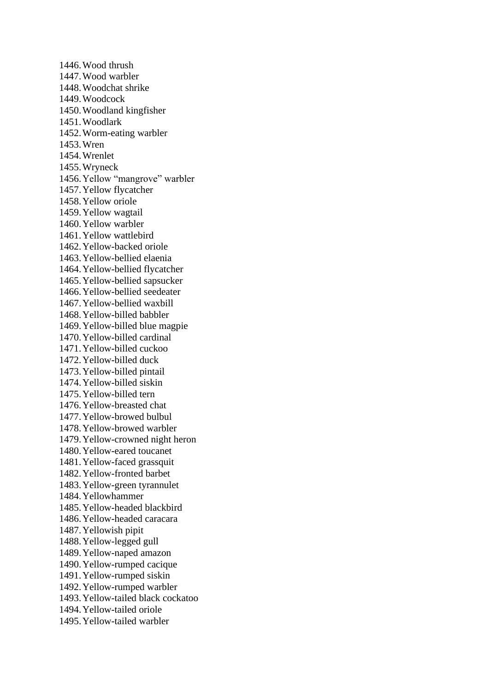1446.Wood thrush 1447.Wood warbler 1448.Woodchat shrike 1449.Woodcock 1450.Woodland kingfisher 1451.Woodlark 1452.Worm-eating warbler 1453.Wren 1454.Wrenlet 1455.Wryneck 1456.Yellow "mangrove" warbler 1457.Yellow flycatcher 1458.Yellow oriole 1459.Yellow wagtail 1460.Yellow warbler 1461.Yellow wattlebird 1462.Yellow-backed oriole 1463.Yellow-bellied elaenia 1464.Yellow-bellied flycatcher 1465.Yellow-bellied sapsucker 1466.Yellow-bellied seedeater 1467.Yellow-bellied waxbill 1468.Yellow-billed babbler 1469.Yellow-billed blue magpie 1470.Yellow-billed cardinal 1471.Yellow-billed cuckoo 1472.Yellow-billed duck 1473.Yellow-billed pintail 1474.Yellow-billed siskin 1475.Yellow-billed tern 1476.Yellow-breasted chat 1477.Yellow-browed bulbul 1478.Yellow-browed warbler 1479.Yellow-crowned night heron 1480.Yellow-eared toucanet 1481.Yellow-faced grassquit 1482.Yellow-fronted barbet 1483.Yellow-green tyrannulet 1484.Yellowhammer 1485.Yellow-headed blackbird 1486.Yellow-headed caracara 1487.Yellowish pipit 1488.Yellow-legged gull 1489.Yellow-naped amazon 1490.Yellow-rumped cacique 1491.Yellow-rumped siskin 1492.Yellow-rumped warbler 1493.Yellow-tailed black cockatoo 1494.Yellow-tailed oriole 1495.Yellow-tailed warbler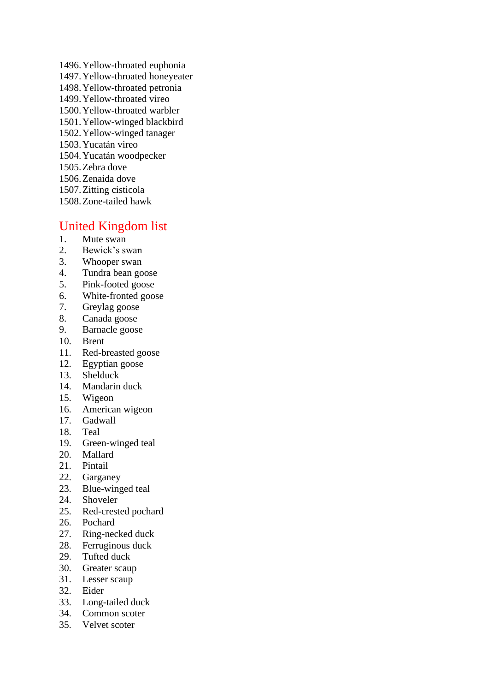1496.Yellow-throated euphonia 1497.Yellow-throated honeyeater 1498.Yellow-throated petronia 1499.Yellow-throated vireo 1500.Yellow-throated warbler 1501.Yellow-winged blackbird 1502.Yellow-winged tanager 1503.Yucatán vireo 1504.Yucatán woodpecker 1505.Zebra dove 1506.Zenaida dove 1507.Zitting cisticola 1508.Zone-tailed hawk

## United Kingdom list

- 1. Mute swan
- 2. Bewick's swan
- 3. Whooper swan
- 4. Tundra bean goose
- 5. Pink-footed goose
- 6. White-fronted goose
- 7. Greylag goose
- 8. Canada goose
- 9. Barnacle goose
- 10. Brent
- 11. Red-breasted goose
- 12. Egyptian goose
- 13. Shelduck
- 14. Mandarin duck
- 15. Wigeon
- 16. American wigeon
- 17. Gadwall
- 18. Teal
- 19. Green-winged teal
- 20. Mallard
- 21. Pintail
- 22. Garganey
- 23. Blue-winged teal
- 24. Shoveler
- 25. Red-crested pochard
- 26. Pochard
- 27. Ring-necked duck
- 28. Ferruginous duck
- 29. Tufted duck
- 30. Greater scaup
- 31. Lesser scaup
- 32. Eider
- 33. Long-tailed duck
- 34. Common scoter
- 35. Velvet scoter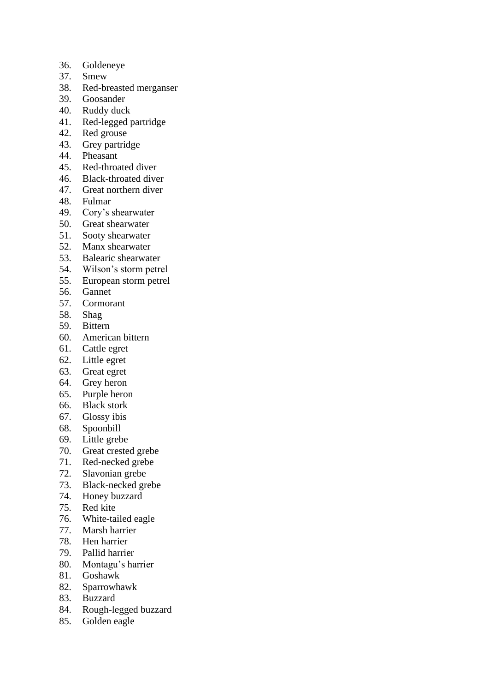- 36. Goldeneye
- 37. Smew
- 38. Red-breasted merganser
- 39. Goosander
- 40. Ruddy duck
- 41. Red-legged partridge
- 42. Red grouse
- 43. Grey partridge
- 44. Pheasant
- 45. Red-throated diver
- 46. Black-throated diver
- 47. Great northern diver
- 48. Fulmar
- 49. Cory's shearwater
- 50. Great shearwater
- 51. Sooty shearwater
- 52. Manx shearwater
- 53. Balearic shearwater
- 54. Wilson's storm petrel
- 55. European storm petrel
- 56. Gannet
- 57. Cormorant
- 58. Shag
- 59. Bittern
- 60. American bittern
- 61. Cattle egret
- 62. Little egret
- 63. Great egret
- 64. Grey heron
- 65. Purple heron
- 66. Black stork
- 67. Glossy ibis
- 68. Spoonbill
- 69. Little grebe
- 70. Great crested grebe
- 71. Red-necked grebe
- 72. Slavonian grebe
- 73. Black-necked grebe
- 74. Honey buzzard
- 75. Red kite
- 76. White-tailed eagle
- 77. Marsh harrier
- 78. Hen harrier
- 79. Pallid harrier
- 80. Montagu's harrier
- 81. Goshawk
- 82. Sparrowhawk
- 83. Buzzard
- 84. Rough-legged buzzard
- 85. Golden eagle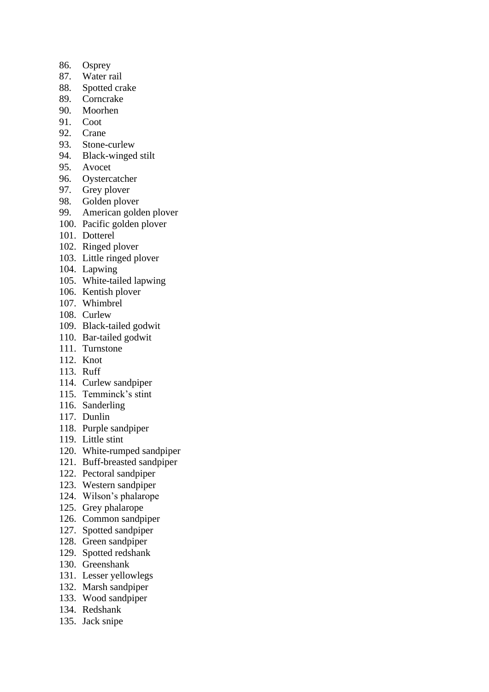- 86. Osprey
- 87. Water rail
- 88. Spotted crake
- 89. Corncrake
- 90. Moorhen
- 91. Coot
- 92. Crane
- 93. Stone-curlew
- 94. Black-winged stilt
- 95. Avocet
- 96. Oystercatcher
- 97. Grey plover
- 98. Golden plover
- 99. American golden plover
- 100. Pacific golden plover
- 101. Dotterel
- 102. Ringed plover
- 103. Little ringed plover
- 104. Lapwing
- 105. White-tailed lapwing
- 106. Kentish plover
- 107. Whimbrel
- 108. Curlew
- 109. Black-tailed godwit
- 110. Bar-tailed godwit
- 111. Turnstone
- 112. Knot
- 113. Ruff
- 114. Curlew sandpiper
- 115. Temminck's stint
- 116. Sanderling
- 117. Dunlin
- 118. Purple sandpiper
- 119. Little stint
- 120. White-rumped sandpiper
- 121. Buff-breasted sandpiper
- 122. Pectoral sandpiper
- 123. Western sandpiper
- 124. Wilson's phalarope
- 125. Grey phalarope
- 126. Common sandpiper
- 127. Spotted sandpiper
- 128. Green sandpiper
- 129. Spotted redshank
- 130. Greenshank
- 131. Lesser yellowlegs
- 132. Marsh sandpiper
- 133. Wood sandpiper
- 134. Redshank
- 135. Jack snipe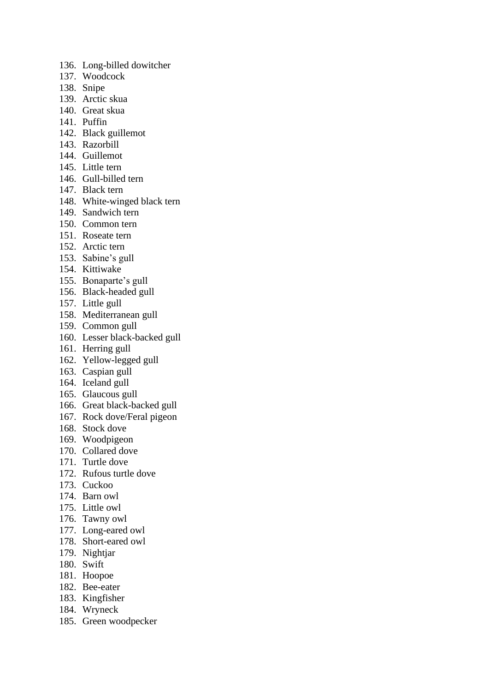- 136. Long-billed dowitcher
- 137. Woodcock
- 138. Snipe
- 139. Arctic skua
- 140. Great skua
- 141. Puffin
- 142. Black guillemot
- 143. Razorbill
- 144. Guillemot
- 145. Little tern
- 146. Gull-billed tern
- 147. Black tern
- 148. White-winged black tern
- 149. Sandwich tern
- 150. Common tern
- 151. Roseate tern
- 152. Arctic tern
- 153. Sabine's gull
- 154. Kittiwake
- 155. Bonaparte's gull
- 156. Black-headed gull
- 157. Little gull
- 158. Mediterranean gull
- 159. Common gull
- 160. Lesser black-backed gull
- 161. Herring gull
- 162. Yellow-legged gull
- 163. Caspian gull
- 164. Iceland gull
- 165. Glaucous gull
- 166. Great black-backed gull
- 167. Rock dove/Feral pigeon
- 168. Stock dove
- 169. Woodpigeon
- 170. Collared dove
- 171. Turtle dove
- 172. Rufous turtle dove
- 173. Cuckoo
- 174. Barn owl
- 175. Little owl
- 176. Tawny owl
- 177. Long-eared owl
- 178. Short-eared owl
- 179. Nightjar
- 180. Swift
- 181. Hoopoe
- 182. Bee-eater
- 183. Kingfisher
- 184. Wryneck
- 185. Green woodpecker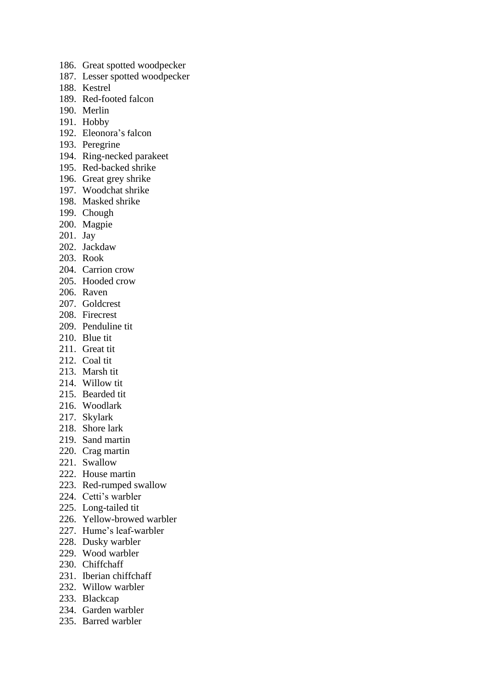- 186. Great spotted woodpecker
- 187. Lesser spotted woodpecker
- 188. Kestrel
- 189. Red-footed falcon
- 190. Merlin
- 191. Hobby
- 192. Eleonora's falcon
- 193. Peregrine
- 194. Ring-necked parakeet
- 195. Red-backed shrike
- 196. Great grey shrike
- 197. Woodchat shrike
- 198. Masked shrike
- 199. Chough
- 200. Magpie
- 201. Jay
- 202. Jackdaw
- 203. Rook
- 204. Carrion crow
- 205. Hooded crow
- 206. Raven
- 207. Goldcrest
- 208. Firecrest
- 209. Penduline tit
- 210. Blue tit
- 211. Great tit
- 212. Coal tit
- 213. Marsh tit
- 214. Willow tit
- 215. Bearded tit
- 216. Woodlark
- 217. Skylark
- 218. Shore lark
- 219. Sand martin
- 220. Crag martin
- 221. Swallow
- 222. House martin
- 223. Red-rumped swallow
- 224. Cetti's warbler
- 225. Long-tailed tit
- 226. Yellow-browed warbler
- 227. Hume's leaf-warbler
- 228. Dusky warbler
- 229. Wood warbler
- 230. Chiffchaff
- 231. Iberian chiffchaff
- 232. Willow warbler
- 233. Blackcap
- 234. Garden warbler
- 235. Barred warbler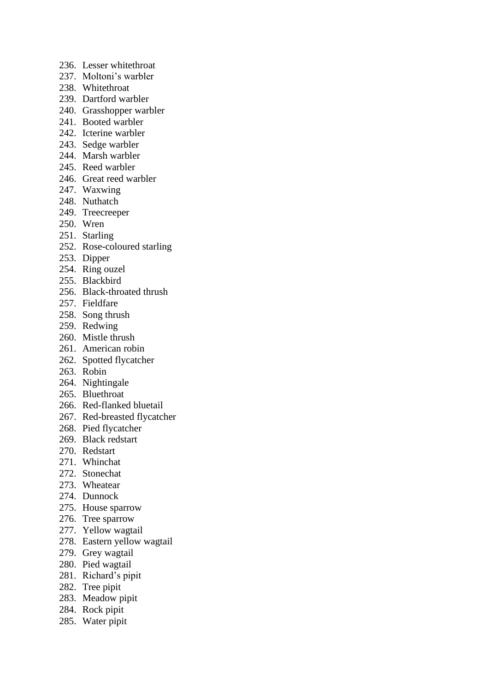- 236. Lesser whitethroat
- 237. Moltoni's warbler
- 238. Whitethroat
- 239. Dartford warbler
- 240. Grasshopper warbler
- 241. Booted warbler
- 242. Icterine warbler
- 243. Sedge warbler
- 244. Marsh warbler
- 245. Reed warbler
- 246. Great reed warbler
- 247. Waxwing
- 248. Nuthatch
- 249. Treecreeper
- 250. Wren
- 251. Starling
- 252. Rose-coloured starling
- 253. Dipper
- 254. Ring ouzel
- 255. Blackbird
- 256. Black-throated thrush
- 257. Fieldfare
- 258. Song thrush
- 259. Redwing
- 260. Mistle thrush
- 261. American robin
- 262. Spotted flycatcher
- 263. Robin
- 264. Nightingale
- 265. Bluethroat
- 266. Red-flanked bluetail
- 267. Red-breasted flycatcher
- 268. Pied flycatcher
- 269. Black redstart
- 270. Redstart
- 271. Whinchat
- 272. Stonechat
- 273. Wheatear
- 274. Dunnock
- 275. House sparrow
- 276. Tree sparrow
- 277. Yellow wagtail
- 278. Eastern yellow wagtail
- 279. Grey wagtail
- 280. Pied wagtail
- 281. Richard's pipit
- 282. Tree pipit
- 283. Meadow pipit
- 284. Rock pipit
- 285. Water pipit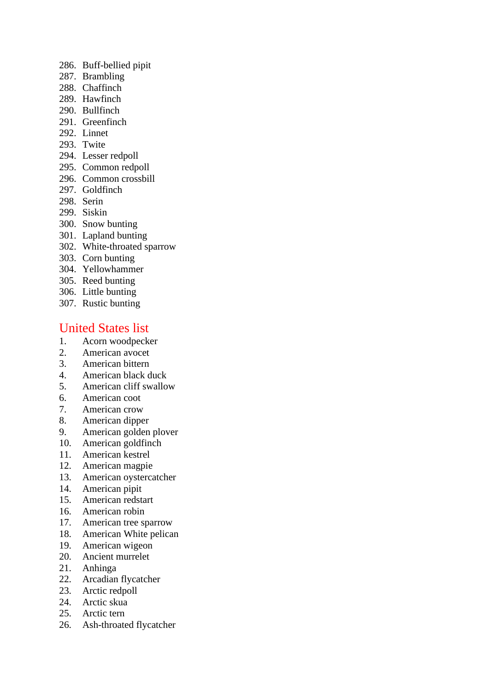- 286. Buff-bellied pipit
- 287. Brambling
- 288. Chaffinch
- 289. Hawfinch
- 290. Bullfinch
- 291. Greenfinch
- 292. Linnet
- 293. Twite
- 294. Lesser redpoll
- 295. Common redpoll
- 296. Common crossbill
- 297. Goldfinch
- 298. Serin
- 299. Siskin
- 300. Snow bunting
- 301. Lapland bunting
- 302. White-throated sparrow
- 303. Corn bunting
- 304. Yellowhammer
- 305. Reed bunting
- 306. Little bunting
- 307. Rustic bunting

# United States list

- 1. Acorn woodpecker
- 2. American avocet
- 3. American bittern
- 4. American black duck
- 5. American cliff swallow
- 6. American coot
- 7. American crow
- 8. American dipper
- 9. American golden plover
- 10. American goldfinch
- 11. American kestrel
- 12. American magpie
- 13. American oystercatcher
- 14. American pipit
- 15. American redstart
- 16. American robin
- 17. American tree sparrow
- 18. American White pelican
- 19. American wigeon
- 20. Ancient murrelet
- 21. Anhinga
- 22. Arcadian flycatcher
- 23. Arctic redpoll
- 24. Arctic skua
- 25. Arctic tern
- 26. Ash-throated flycatcher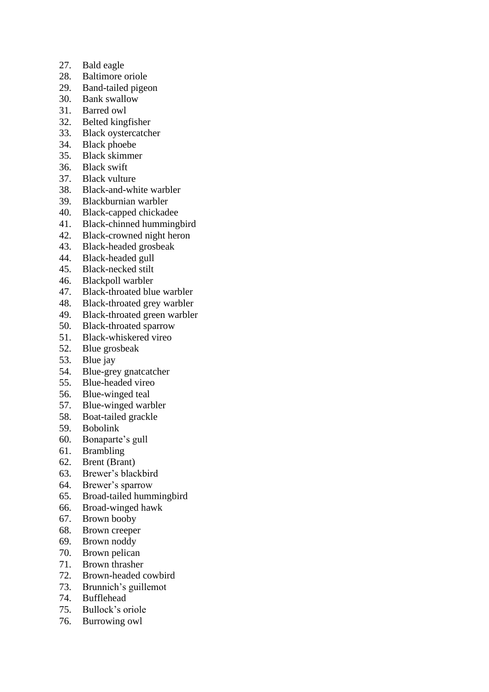- 27. Bald eagle
- 28. Baltimore oriole
- 29. Band-tailed pigeon
- 30. Bank swallow
- 31. Barred owl
- 32. Belted kingfisher
- 33. Black oystercatcher
- 34. Black phoebe
- 35. Black skimmer
- 36. Black swift
- 37. Black vulture
- 38. Black-and-white warbler
- 39. Blackburnian warbler
- 40. Black-capped chickadee
- 41. Black-chinned hummingbird
- 42. Black-crowned night heron
- 43. Black-headed grosbeak
- 44. Black-headed gull
- 45. Black-necked stilt
- 46. Blackpoll warbler
- 47. Black-throated blue warbler
- 48. Black-throated grey warbler
- 49. Black-throated green warbler
- 50. Black-throated sparrow
- 51. Black-whiskered vireo
- 52. Blue grosbeak
- 53. Blue jay
- 54. Blue-grey gnatcatcher<br>55. Blue-headed vireo
- Blue-headed vireo
- 56. Blue-winged teal
- 57. Blue-winged warbler
- 58. Boat-tailed grackle
- 59. Bobolink
- 60. Bonaparte's gull
- 61. Brambling
- 62. Brent (Brant)
- 63. Brewer's blackbird
- 64. Brewer's sparrow
- 65. Broad-tailed hummingbird
- 66. Broad-winged hawk
- 67. Brown booby
- 68. Brown creeper
- 69. Brown noddy
- 70. Brown pelican
- 71. Brown thrasher
- 72. Brown-headed cowbird
- 73. Brunnich's guillemot
- 74. Bufflehead
- 75. Bullock's oriole
- 76. Burrowing owl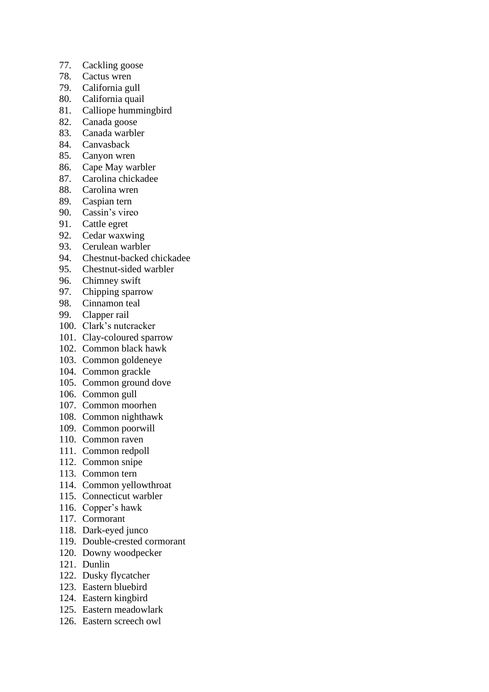- 77. Cackling goose
- 78. Cactus wren
- 79. California gull
- 80. California quail
- 81. Calliope hummingbird
- 82. Canada goose
- 83. Canada warbler
- 84. Canvasback
- 85. Canyon wren
- 86. Cape May warbler
- 87. Carolina chickadee
- 88. Carolina wren
- 89. Caspian tern
- 90. Cassin's vireo
- 91. Cattle egret
- 92. Cedar waxwing
- 93. Cerulean warbler
- 94. Chestnut-backed chickadee
- 95. Chestnut-sided warbler
- 96. Chimney swift
- 97. Chipping sparrow
- 98. Cinnamon teal
- 99. Clapper rail
- 100. Clark's nutcracker
- 101. Clay-coloured sparrow
- 102. Common black hawk
- 103. Common goldeneye
- 104. Common grackle
- 105. Common ground dove
- 106. Common gull
- 107. Common moorhen
- 108. Common nighthawk
- 109. Common poorwill
- 110. Common raven
- 111. Common redpoll
- 112. Common snipe
- 113. Common tern
- 114. Common yellowthroat
- 115. Connecticut warbler
- 116. Copper's hawk
- 117. Cormorant
- 118. Dark-eyed junco
- 119. Double-crested cormorant
- 120. Downy woodpecker
- 121. Dunlin
- 122. Dusky flycatcher
- 123. Eastern bluebird
- 124. Eastern kingbird
- 125. Eastern meadowlark
- 126. Eastern screech owl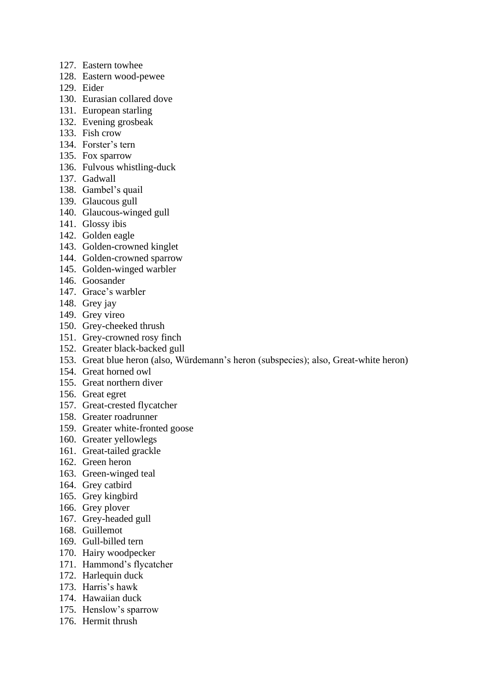- 127. Eastern towhee
- 128. Eastern wood-pewee
- 129. Eider
- 130. Eurasian collared dove
- 131. European starling
- 132. Evening grosbeak
- 133. Fish crow
- 134. Forster's tern
- 135. Fox sparrow
- 136. Fulvous whistling-duck
- 137. Gadwall
- 138. Gambel's quail
- 139. Glaucous gull
- 140. Glaucous-winged gull
- 141. Glossy ibis
- 142. Golden eagle
- 143. Golden-crowned kinglet
- 144. Golden-crowned sparrow
- 145. Golden-winged warbler
- 146. Goosander
- 147. Grace's warbler
- 148. Grey jay
- 149. Grey vireo
- 150. Grey-cheeked thrush
- 151. Grey-crowned rosy finch
- 152. Greater black-backed gull
- 153. Great blue heron (also, Würdemann's heron (subspecies); also, Great-white heron)
- 154. Great horned owl
- 155. Great northern diver
- 156. Great egret
- 157. Great-crested flycatcher
- 158. Greater roadrunner
- 159. Greater white-fronted goose
- 160. Greater yellowlegs
- 161. Great-tailed grackle
- 162. Green heron
- 163. Green-winged teal
- 164. Grey catbird
- 165. Grey kingbird
- 166. Grey plover
- 167. Grey-headed gull
- 168. Guillemot
- 169. Gull-billed tern
- 170. Hairy woodpecker
- 171. Hammond's flycatcher
- 172. Harlequin duck
- 173. Harris's hawk
- 174. Hawaiian duck
- 175. Henslow's sparrow
- 176. Hermit thrush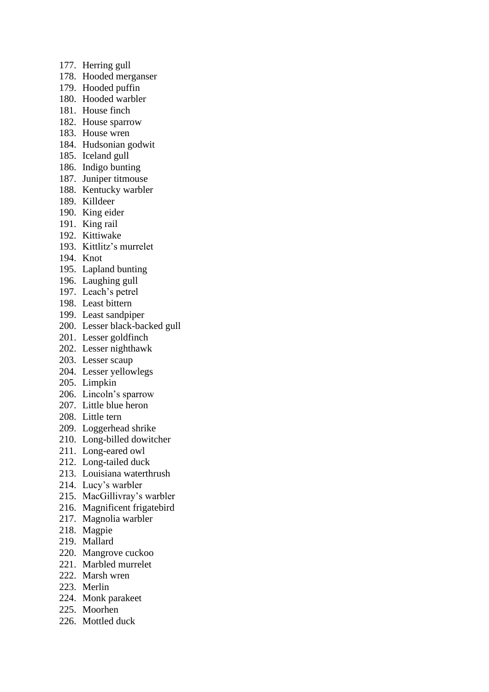- 177. Herring gull
- 178. Hooded merganser
- 179. Hooded puffin
- 180. Hooded warbler
- 181. House finch
- 182. House sparrow
- 183. House wren
- 184. Hudsonian godwit
- 185. Iceland gull
- 186. Indigo bunting
- 187. Juniper titmouse
- 188. Kentucky warbler
- 189. Killdeer
- 190. King eider
- 191. King rail
- 192. Kittiwake
- 193. Kittlitz's murrelet
- 194. Knot
- 195. Lapland bunting
- 196. Laughing gull
- 197. Leach's petrel
- 198. Least bittern
- 199. Least sandpiper
- 200. Lesser black-backed gull
- 201. Lesser goldfinch
- 202. Lesser nighthawk
- 203. Lesser scaup
- 204. Lesser yellowlegs
- 205. Limpkin
- 206. Lincoln's sparrow
- 207. Little blue heron
- 208. Little tern
- 209. Loggerhead shrike
- 210. Long-billed dowitcher
- 211. Long-eared owl
- 212. Long-tailed duck
- 213. Louisiana waterthrush
- 214. Lucy's warbler
- 215. MacGillivray's warbler
- 216. Magnificent frigatebird
- 217. Magnolia warbler
- 218. Magpie
- 219. Mallard
- 220. Mangrove cuckoo
- 221. Marbled murrelet
- 222. Marsh wren
- 223. Merlin
- 224. Monk parakeet
- 225. Moorhen
- 226. Mottled duck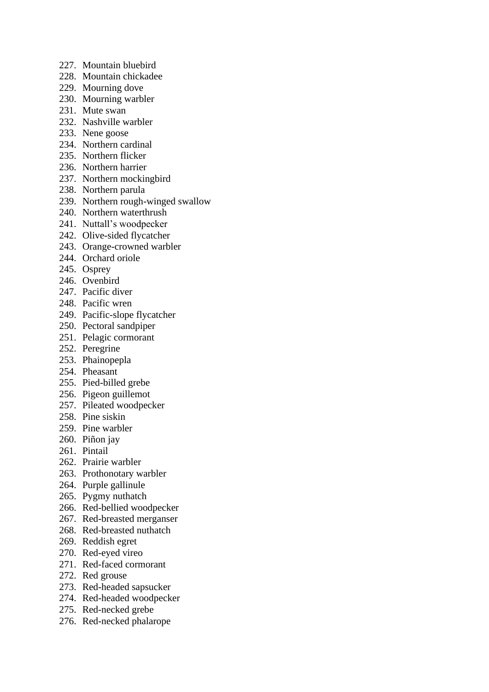- 227. Mountain bluebird
- 228. Mountain chickadee
- 229. Mourning dove
- 230. Mourning warbler
- 231. Mute swan
- 232. Nashville warbler
- 233. Nene goose
- 234. Northern cardinal
- 235. Northern flicker
- 236. Northern harrier
- 237. Northern mockingbird
- 238. Northern parula
- 239. Northern rough-winged swallow
- 240. Northern waterthrush
- 241. Nuttall's woodpecker
- 242. Olive-sided flycatcher
- 243. Orange-crowned warbler
- 244. Orchard oriole
- 245. Osprey
- 246. Ovenbird
- 247. Pacific diver
- 248. Pacific wren
- 249. Pacific-slope flycatcher
- 250. Pectoral sandpiper
- 251. Pelagic cormorant
- 252. Peregrine
- 253. Phainopepla
- 254. Pheasant
- 255. Pied-billed grebe
- 256. Pigeon guillemot
- 257. Pileated woodpecker
- 258. Pine siskin
- 259. Pine warbler
- 260. Piñon jay
- 261. Pintail
- 262. Prairie warbler
- 263. Prothonotary warbler
- 264. Purple gallinule
- 265. Pygmy nuthatch
- 266. Red-bellied woodpecker
- 267. Red-breasted merganser
- 268. Red-breasted nuthatch
- 269. Reddish egret
- 270. Red-eyed vireo
- 271. Red-faced cormorant
- 272. Red grouse
- 273. Red-headed sapsucker
- 274. Red-headed woodpecker
- 275. Red-necked grebe
- 276. Red-necked phalarope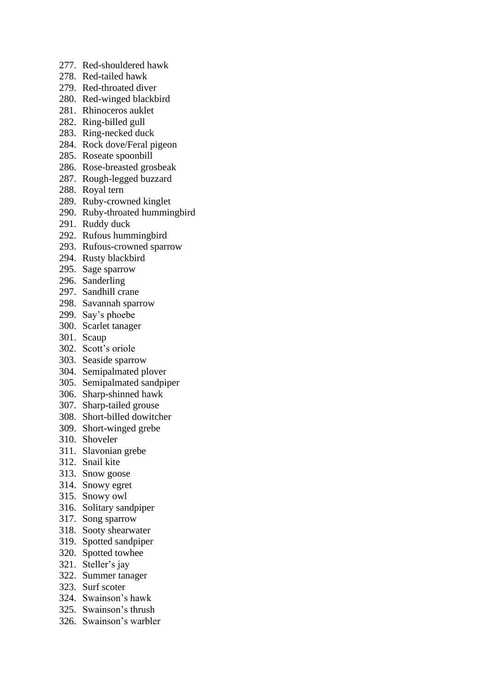- 277. Red-shouldered hawk
- 278. Red-tailed hawk
- 279. Red-throated diver
- 280. Red-winged blackbird
- 281. Rhinoceros auklet
- 282. Ring-billed gull
- 283. Ring-necked duck
- 284. Rock dove/Feral pigeon
- 285. Roseate spoonbill
- 286. Rose-breasted grosbeak
- 287. Rough-legged buzzard
- 288. Royal tern
- 289. Ruby-crowned kinglet
- 290. Ruby-throated hummingbird
- 291. Ruddy duck
- 292. Rufous hummingbird
- 293. Rufous-crowned sparrow
- 294. Rusty blackbird
- 295. Sage sparrow
- 296. Sanderling
- 297. Sandhill crane
- 298. Savannah sparrow
- 299. Say's phoebe
- 300. Scarlet tanager
- 301. Scaup
- 302. Scott's oriole
- 303. Seaside sparrow
- 304. Semipalmated plover
- 305. Semipalmated sandpiper
- 306. Sharp-shinned hawk
- 307. Sharp-tailed grouse
- 308. Short-billed dowitcher
- 309. Short-winged grebe
- 310. Shoveler
- 311. Slavonian grebe
- 312. Snail kite
- 313. Snow goose
- 314. Snowy egret
- 315. Snowy owl
- 316. Solitary sandpiper
- 317. Song sparrow
- 318. Sooty shearwater
- 319. Spotted sandpiper
- 320. Spotted towhee
- 321. Steller's jay
- 322. Summer tanager
- 323. Surf scoter
- 324. Swainson's hawk
- 325. Swainson's thrush
- 326. Swainson's warbler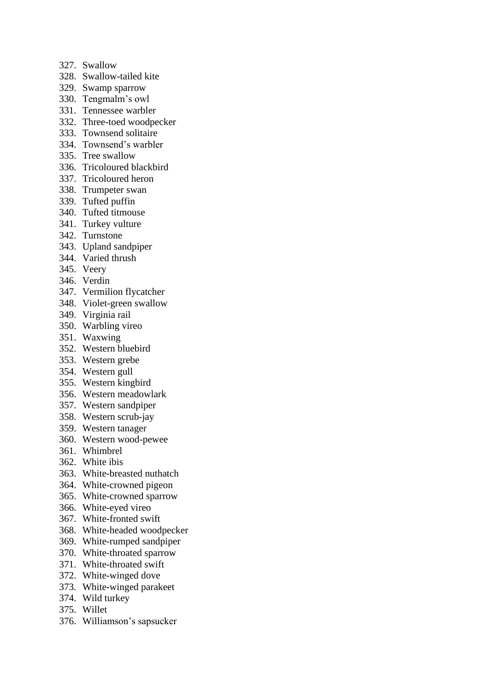- 327. Swallow
- 328. Swallow-tailed kite
- 329. Swamp sparrow
- 330. Tengmalm's owl
- 331. Tennessee warbler
- 332. Three-toed woodpecker
- 333. Townsend solitaire
- 334. Townsend's warbler
- 335. Tree swallow
- 336. Tricoloured blackbird
- 337. Tricoloured heron
- 338. Trumpeter swan
- 339. Tufted puffin
- 340. Tufted titmouse
- 341. Turkey vulture
- 342. Turnstone
- 343. Upland sandpiper
- 344. Varied thrush
- 345. Veery
- 346. Verdin
- 347. Vermilion flycatcher
- 348. Violet-green swallow
- 349. Virginia rail
- 350. Warbling vireo
- 351. Waxwing
- 352. Western bluebird
- 353. Western grebe
- 354. Western gull
- 355. Western kingbird
- 356. Western meadowlark
- 357. Western sandpiper
- 358. Western scrub-jay
- 359. Western tanager
- 360. Western wood-pewee
- 361. Whimbrel
- 362. White ibis
- 363. White-breasted nuthatch
- 364. White-crowned pigeon
- 365. White-crowned sparrow
- 366. White-eyed vireo
- 367. White-fronted swift
- 368. White-headed woodpecker
- 369. White-rumped sandpiper
- 370. White-throated sparrow
- 371. White-throated swift
- 372. White-winged dove
- 373. White-winged parakeet
- 374. Wild turkey
- 375. Willet
- 376. Williamson's sapsucker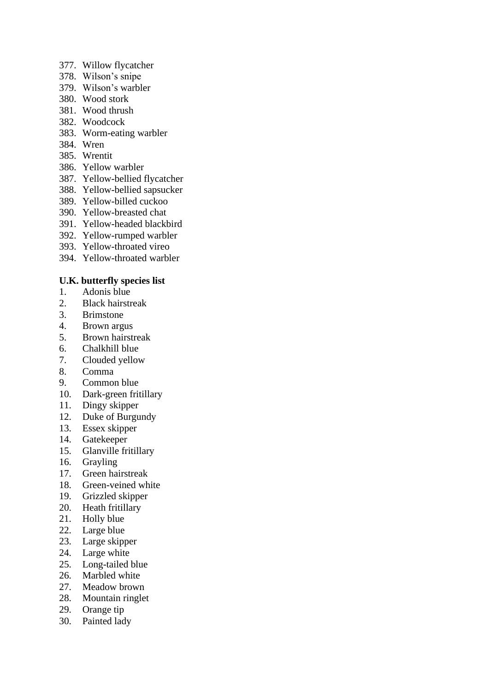- 377. Willow flycatcher
- 378. Wilson's snipe
- 379. Wilson's warbler
- 380. Wood stork
- 381. Wood thrush
- 382. Woodcock
- 383. Worm-eating warbler
- 384. Wren
- 385. Wrentit
- 386. Yellow warbler
- 387. Yellow-bellied flycatcher
- 388. Yellow-bellied sapsucker
- 389. Yellow-billed cuckoo
- 390. Yellow-breasted chat
- 391. Yellow-headed blackbird
- 392. Yellow-rumped warbler
- 393. Yellow-throated vireo
- 394. Yellow-throated warbler

# **U.K. butterfly species list**

- 1. Adonis blue
- 2. Black hairstreak
- 3. Brimstone
- 4. Brown argus
- 5. Brown hairstreak
- 6. Chalkhill blue
- 7. Clouded yellow
- 8. Comma
- 9. Common blue
- 10. Dark-green fritillary
- 11. Dingy skipper
- 12. Duke of Burgundy
- 13. Essex skipper
- 14. Gatekeeper
- 15. Glanville fritillary
- 16. Grayling
- 17. Green hairstreak
- 18. Green-veined white
- 19. Grizzled skipper
- 20. Heath fritillary
- 21. Holly blue
- 22. Large blue
- 23. Large skipper
- 24. Large white
- 25. Long-tailed blue
- 26. Marbled white
- 27. Meadow brown
- 28. Mountain ringlet
- 29. Orange tip
- 30. Painted lady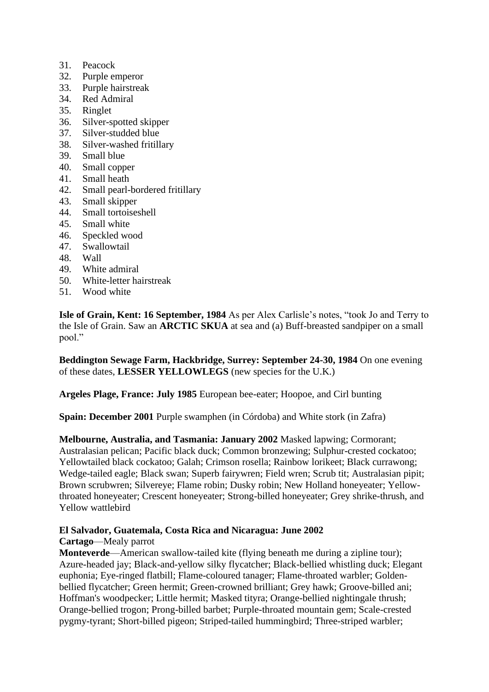- 31. Peacock
- 32. Purple emperor
- 33. Purple hairstreak
- 34. Red Admiral
- 35. Ringlet
- 36. Silver-spotted skipper
- 37. Silver-studded blue
- 38. Silver-washed fritillary
- 39. Small blue
- 40. Small copper
- 41. Small heath
- 42. Small pearl-bordered fritillary
- 43. Small skipper
- 44. Small tortoiseshell
- 45. Small white
- 46. Speckled wood
- 47. Swallowtail
- 48. Wall
- 49. White admiral
- 50. White-letter hairstreak
- 51. Wood white

**Isle of Grain, Kent: 16 September, 1984** As per Alex Carlisle's notes, "took Jo and Terry to the Isle of Grain. Saw an **ARCTIC SKUA** at sea and (a) Buff-breasted sandpiper on a small pool."

**Beddington Sewage Farm, Hackbridge, Surrey: September 24-30, 1984** On one evening of these dates, **LESSER YELLOWLEGS** (new species for the U.K.)

**Argeles Plage, France: July 1985** European bee-eater; Hoopoe, and Cirl bunting

**Spain: December 2001** Purple swamphen (in Córdoba) and White stork (in Zafra)

**Melbourne, Australia, and Tasmania: January 2002** Masked lapwing; Cormorant; Australasian pelican; Pacific black duck; Common bronzewing; Sulphur-crested cockatoo; Yellowtailed black cockatoo; Galah; Crimson rosella; Rainbow lorikeet; Black currawong; Wedge-tailed eagle; Black swan; Superb fairywren; Field wren; Scrub tit; Australasian pipit; Brown scrubwren; Silvereye; Flame robin; Dusky robin; New Holland honeyeater; Yellowthroated honeyeater; Crescent honeyeater; Strong-billed honeyeater; Grey shrike-thrush, and Yellow wattlebird

# **El Salvador, Guatemala, Costa Rica and Nicaragua: June 2002**

#### **Cartago**—Mealy parrot

**Monteverde**—American swallow-tailed kite (flying beneath me during a zipline tour); Azure-headed jay; Black-and-yellow silky flycatcher; Black-bellied whistling duck; Elegant euphonia; Eye-ringed flatbill; Flame-coloured tanager; Flame-throated warbler; Goldenbellied flycatcher; Green hermit; Green-crowned brilliant; Grey hawk; Groove-billed ani; Hoffman's woodpecker; Little hermit; Masked tityra; Orange-bellied nightingale thrush; Orange-bellied trogon; Prong-billed barbet; Purple-throated mountain gem; Scale-crested pygmy-tyrant; Short-billed pigeon; Striped-tailed hummingbird; Three-striped warbler;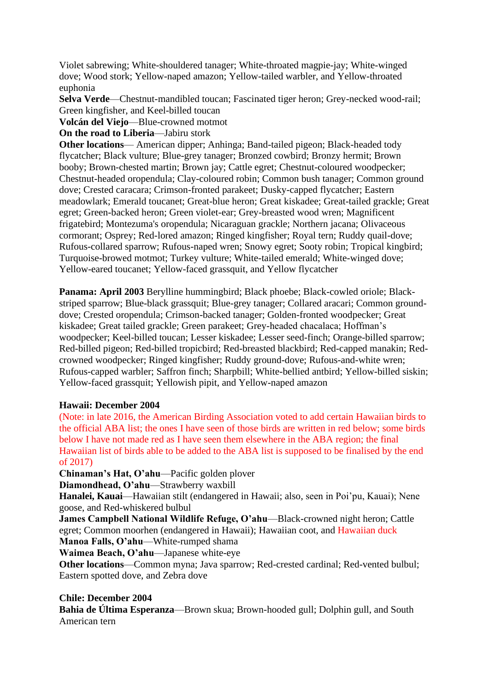Violet sabrewing; White-shouldered tanager; White-throated magpie-jay; White-winged dove; Wood stork; Yellow-naped amazon; Yellow-tailed warbler, and Yellow-throated euphonia

**Selva Verde**—Chestnut-mandibled toucan; Fascinated tiger heron; Grey-necked wood-rail; Green kingfisher, and Keel-billed toucan

**Volcán del Viejo**—Blue-crowned motmot

**On the road to Liberia—Jabiru stork** 

**Other locations**— American dipper; Anhinga; Band-tailed pigeon; Black-headed tody flycatcher; Black vulture; Blue-grey tanager; Bronzed cowbird; Bronzy hermit; Brown booby; Brown-chested martin; Brown jay; Cattle egret; Chestnut-coloured woodpecker; Chestnut-headed oropendula; Clay-coloured robin; Common bush tanager; Common ground dove; Crested caracara; Crimson-fronted parakeet; Dusky-capped flycatcher; Eastern meadowlark; Emerald toucanet; Great-blue heron; Great kiskadee; Great-tailed grackle; Great egret; Green-backed heron; Green violet-ear; Grey-breasted wood wren; Magnificent frigatebird; Montezuma's oropendula; Nicaraguan grackle; Northern jacana; Olivaceous cormorant; Osprey; Red-lored amazon; Ringed kingfisher; Royal tern; Ruddy quail-dove; Rufous-collared sparrow; Rufous-naped wren; Snowy egret; Sooty robin; Tropical kingbird; Turquoise-browed motmot; Turkey vulture; White-tailed emerald; White-winged dove; Yellow-eared toucanet; Yellow-faced grassquit, and Yellow flycatcher

**Panama: April 2003** Berylline hummingbird; Black phoebe; Black-cowled oriole; Blackstriped sparrow; Blue-black grassquit; Blue-grey tanager; Collared aracari; Common grounddove; Crested oropendula; Crimson-backed tanager; Golden-fronted woodpecker; Great kiskadee; Great tailed grackle; Green parakeet; Grey-headed chacalaca; Hoffman's woodpecker; Keel-billed toucan; Lesser kiskadee; Lesser seed-finch; Orange-billed sparrow; Red-billed pigeon; Red-billed tropicbird; Red-breasted blackbird; Red-capped manakin; Redcrowned woodpecker; Ringed kingfisher; Ruddy ground-dove; Rufous-and-white wren; Rufous-capped warbler; Saffron finch; Sharpbill; White-bellied antbird; Yellow-billed siskin; Yellow-faced grassquit; Yellowish pipit, and Yellow-naped amazon

#### **Hawaii: December 2004**

(Note: in late 2016, the American Birding Association voted to add certain Hawaiian birds to the official ABA list; the ones I have seen of those birds are written in red below; some birds below I have not made red as I have seen them elsewhere in the ABA region; the final Hawaiian list of birds able to be added to the ABA list is supposed to be finalised by the end of 2017)

**Chinaman's Hat, O'ahu**—Pacific golden plover

**Diamondhead, O'ahu**—Strawberry waxbill

**Hanalei, Kauai**—Hawaiian stilt (endangered in Hawaii; also, seen in Poi'pu, Kauai); Nene goose, and Red-whiskered bulbul

**James Campbell National Wildlife Refuge, O'ahu**—Black-crowned night heron; Cattle egret; Common moorhen (endangered in Hawaii); Hawaiian coot, and Hawaiian duck **Manoa Falls, O'ahu**—White-rumped shama

**Waimea Beach, O'ahu**—Japanese white-eye

**Other locations**—Common myna; Java sparrow; Red-crested cardinal; Red-vented bulbul; Eastern spotted dove, and Zebra dove

# **Chile: December 2004**

**Bahia de Última Esperanza**—Brown skua; Brown-hooded gull; Dolphin gull, and South American tern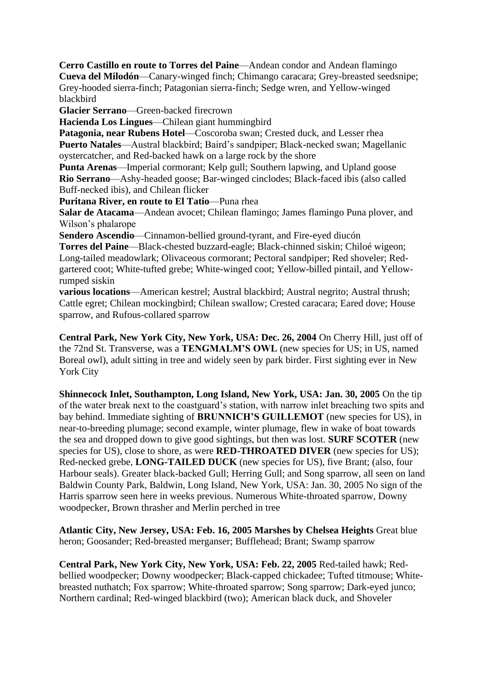**Cerro Castillo en route to Torres del Paine**—Andean condor and Andean flamingo **Cueva del Milodón**—Canary-winged finch; Chimango caracara; Grey-breasted seedsnipe; Grey-hooded sierra-finch; Patagonian sierra-finch; Sedge wren, and Yellow-winged blackbird

**Glacier Serrano**—Green-backed firecrown

**Hacienda Los Lingues**—Chilean giant hummingbird

**Patagonia, near Rubens Hotel**—Coscoroba swan; Crested duck, and Lesser rhea **Puerto Natales**—Austral blackbird; Baird's sandpiper; Black-necked swan; Magellanic oystercatcher, and Red-backed hawk on a large rock by the shore

**Punta Arenas**—Imperial cormorant; Kelp gull; Southern lapwing, and Upland goose **Rio Serrano**—Ashy-headed goose; Bar-winged cinclodes; Black-faced ibis (also called Buff-necked ibis), and Chilean flicker

**Puritana River, en route to El Tatio**—Puna rhea

**Salar de Atacama**—Andean avocet; Chilean flamingo; James flamingo Puna plover, and Wilson's phalarope

**Sendero Ascendio**—Cinnamon-bellied ground-tyrant, and Fire-eyed diucón

**Torres del Paine**—Black-chested buzzard-eagle; Black-chinned siskin; Chiloé wigeon; Long-tailed meadowlark; Olivaceous cormorant; Pectoral sandpiper; Red shoveler; Redgartered coot; White-tufted grebe; White-winged coot; Yellow-billed pintail, and Yellowrumped siskin

**various locations**—American kestrel; Austral blackbird; Austral negrito; Austral thrush; Cattle egret; Chilean mockingbird; Chilean swallow; Crested caracara; Eared dove; House sparrow, and Rufous-collared sparrow

**Central Park, New York City, New York, USA: Dec. 26, 2004** On Cherry Hill, just off of the 72nd St. Transverse, was a **TENGMALM'S OWL** (new species for US; in US, named Boreal owl), adult sitting in tree and widely seen by park birder. First sighting ever in New York City

**Shinnecock Inlet, Southampton, Long Island, New York, USA: Jan. 30, 2005** On the tip of the water break next to the coastguard's station, with narrow inlet breaching two spits and bay behind. Immediate sighting of **BRUNNICH'S GUILLEMOT** (new species for US), in near-to-breeding plumage; second example, winter plumage, flew in wake of boat towards the sea and dropped down to give good sightings, but then was lost. **SURF SCOTER** (new species for US), close to shore, as were **RED-THROATED DIVER** (new species for US); Red-necked grebe, **LONG-TAILED DUCK** (new species for US), five Brant; (also, four Harbour seals). Greater black-backed Gull; Herring Gull; and Song sparrow, all seen on land Baldwin County Park, Baldwin, Long Island, New York, USA: Jan. 30, 2005 No sign of the Harris sparrow seen here in weeks previous. Numerous White-throated sparrow, Downy woodpecker, Brown thrasher and Merlin perched in tree

**Atlantic City, New Jersey, USA: Feb. 16, 2005 Marshes by Chelsea Heights** Great blue heron; Goosander; Red-breasted merganser; Bufflehead; Brant; Swamp sparrow

**Central Park, New York City, New York, USA: Feb. 22, 2005** Red-tailed hawk; Redbellied woodpecker; Downy woodpecker; Black-capped chickadee; Tufted titmouse; Whitebreasted nuthatch; Fox sparrow; White-throated sparrow; Song sparrow; Dark-eyed junco; Northern cardinal; Red-winged blackbird (two); American black duck, and Shoveler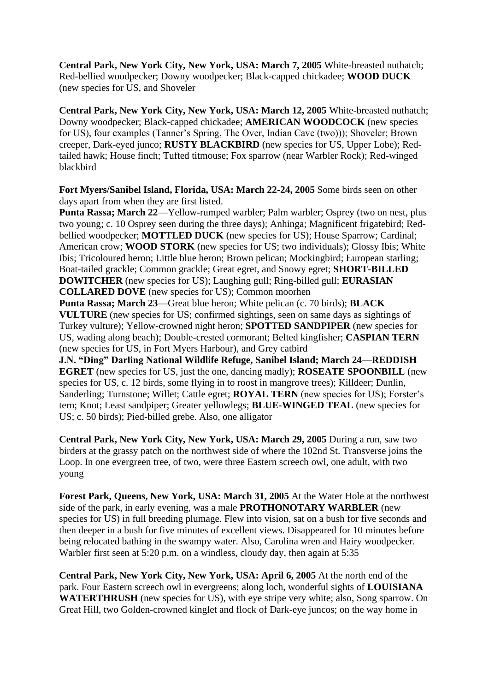**Central Park, New York City, New York, USA: March 7, 2005** White-breasted nuthatch; Red-bellied woodpecker; Downy woodpecker; Black-capped chickadee; **WOOD DUCK** (new species for US, and Shoveler

**Central Park, New York City, New York, USA: March 12, 2005** White-breasted nuthatch; Downy woodpecker; Black-capped chickadee; **AMERICAN WOODCOCK** (new species for US), four examples (Tanner's Spring, The Over, Indian Cave (two))); Shoveler; Brown creeper, Dark-eyed junco; **RUSTY BLACKBIRD** (new species for US, Upper Lobe); Redtailed hawk; House finch; Tufted titmouse; Fox sparrow (near Warbler Rock); Red-winged blackbird

**Fort Myers/Sanibel Island, Florida, USA: March 22-24, 2005** Some birds seen on other days apart from when they are first listed.

**Punta Rassa; March 22**—Yellow-rumped warbler; Palm warbler; Osprey (two on nest, plus two young; c. 10 Osprey seen during the three days); Anhinga; Magnificent frigatebird; Redbellied woodpecker; **MOTTLED DUCK** (new species for US); House Sparrow; Cardinal; American crow; **WOOD STORK** (new species for US; two individuals); Glossy Ibis; White Ibis; Tricoloured heron; Little blue heron; Brown pelican; Mockingbird; European starling; Boat-tailed grackle; Common grackle; Great egret, and Snowy egret; **SHORT-BILLED DOWITCHER** (new species for US); Laughing gull; Ring-billed gull; **EURASIAN COLLARED DOVE** (new species for US); Common moorhen

**Punta Rassa; March 23**—Great blue heron; White pelican (c. 70 birds); **BLACK VULTURE** (new species for US; confirmed sightings, seen on same days as sightings of Turkey vulture); Yellow-crowned night heron; **SPOTTED SANDPIPER** (new species for US, wading along beach); Double-crested cormorant; Belted kingfisher; **CASPIAN TERN** (new species for US, in Fort Myers Harbour), and Grey catbird

**J.N. "Ding" Darling National Wildlife Refuge, Sanibel Island; March 24**—**REDDISH EGRET** (new species for US, just the one, dancing madly); **ROSEATE SPOONBILL** (new species for US, c. 12 birds, some flying in to roost in mangrove trees); Killdeer; Dunlin, Sanderling; Turnstone; Willet; Cattle egret; **ROYAL TERN** (new species for US); Forster's tern; Knot; Least sandpiper; Greater yellowlegs; **BLUE-WINGED TEAL** (new species for US; c. 50 birds); Pied-billed grebe. Also, one alligator

**Central Park, New York City, New York, USA: March 29, 2005** During a run, saw two birders at the grassy patch on the northwest side of where the 102nd St. Transverse joins the Loop. In one evergreen tree, of two, were three Eastern screech owl, one adult, with two young

**Forest Park, Queens, New York, USA: March 31, 2005** At the Water Hole at the northwest side of the park, in early evening, was a male **PROTHONOTARY WARBLER** (new species for US) in full breeding plumage. Flew into vision, sat on a bush for five seconds and then deeper in a bush for five minutes of excellent views. Disappeared for 10 minutes before being relocated bathing in the swampy water. Also, Carolina wren and Hairy woodpecker. Warbler first seen at 5:20 p.m. on a windless, cloudy day, then again at 5:35

**Central Park, New York City, New York, USA: April 6, 2005** At the north end of the park. Four Eastern screech owl in evergreens; along loch, wonderful sights of **LOUISIANA WATERTHRUSH** (new species for US), with eye stripe very white; also, Song sparrow. On Great Hill, two Golden-crowned kinglet and flock of Dark-eye juncos; on the way home in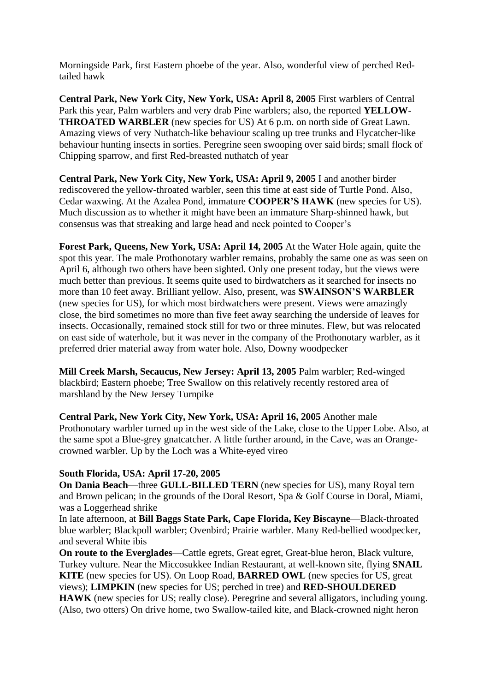Morningside Park, first Eastern phoebe of the year. Also, wonderful view of perched Redtailed hawk

**Central Park, New York City, New York, USA: April 8, 2005** First warblers of Central Park this year, Palm warblers and very drab Pine warblers; also, the reported **YELLOW-THROATED WARBLER** (new species for US) At 6 p.m. on north side of Great Lawn. Amazing views of very Nuthatch-like behaviour scaling up tree trunks and Flycatcher-like behaviour hunting insects in sorties. Peregrine seen swooping over said birds; small flock of Chipping sparrow, and first Red-breasted nuthatch of year

**Central Park, New York City, New York, USA: April 9, 2005** I and another birder rediscovered the yellow-throated warbler, seen this time at east side of Turtle Pond. Also, Cedar waxwing. At the Azalea Pond, immature **COOPER'S HAWK** (new species for US). Much discussion as to whether it might have been an immature Sharp-shinned hawk, but consensus was that streaking and large head and neck pointed to Cooper's

**Forest Park, Queens, New York, USA: April 14, 2005** At the Water Hole again, quite the spot this year. The male Prothonotary warbler remains, probably the same one as was seen on April 6, although two others have been sighted. Only one present today, but the views were much better than previous. It seems quite used to birdwatchers as it searched for insects no more than 10 feet away. Brilliant yellow. Also, present, was **SWAINSON'S WARBLER** (new species for US), for which most birdwatchers were present. Views were amazingly close, the bird sometimes no more than five feet away searching the underside of leaves for insects. Occasionally, remained stock still for two or three minutes. Flew, but was relocated on east side of waterhole, but it was never in the company of the Prothonotary warbler, as it preferred drier material away from water hole. Also, Downy woodpecker

**Mill Creek Marsh, Secaucus, New Jersey: April 13, 2005** Palm warbler; Red-winged blackbird; Eastern phoebe; Tree Swallow on this relatively recently restored area of marshland by the New Jersey Turnpike

**Central Park, New York City, New York, USA: April 16, 2005** Another male Prothonotary warbler turned up in the west side of the Lake, close to the Upper Lobe. Also, at the same spot a Blue-grey gnatcatcher. A little further around, in the Cave, was an Orangecrowned warbler. Up by the Loch was a White-eyed vireo

# **South Florida, USA: April 17-20, 2005**

**On Dania Beach**—three **GULL-BILLED TERN** (new species for US), many Royal tern and Brown pelican; in the grounds of the Doral Resort, Spa & Golf Course in Doral, Miami, was a Loggerhead shrike

In late afternoon, at **Bill Baggs State Park, Cape Florida, Key Biscayne**—Black-throated blue warbler; Blackpoll warbler; Ovenbird; Prairie warbler. Many Red-bellied woodpecker, and several White ibis

**On route to the Everglades—Cattle egrets, Great egret, Great-blue heron, Black vulture,** Turkey vulture. Near the Miccosukkee Indian Restaurant, at well-known site, flying **SNAIL KITE** (new species for US). On Loop Road, **BARRED OWL** (new species for US, great views); **LIMPKIN** (new species for US; perched in tree) and **RED-SHOULDERED HAWK** (new species for US; really close). Peregrine and several alligators, including young. (Also, two otters) On drive home, two Swallow-tailed kite, and Black-crowned night heron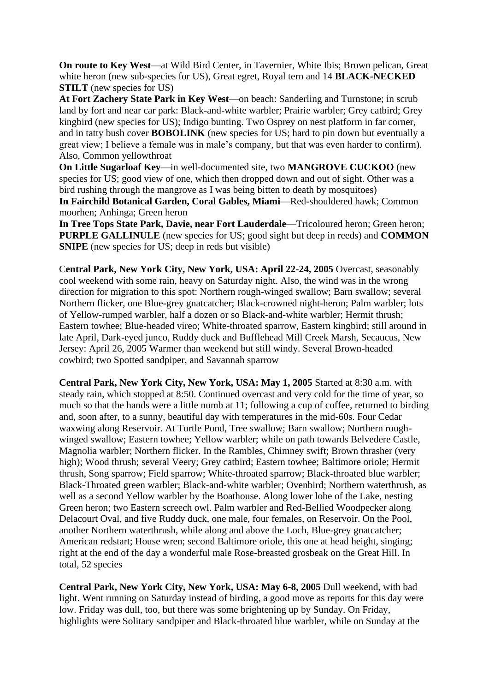**On route to Key West**—at Wild Bird Center, in Tavernier, White Ibis; Brown pelican, Great white heron (new sub-species for US), Great egret, Royal tern and 14 **BLACK-NECKED STILT** (new species for US)

**At Fort Zachery State Park in Key West**—on beach: Sanderling and Turnstone; in scrub land by fort and near car park: Black-and-white warbler; Prairie warbler; Grey catbird; Grey kingbird (new species for US); Indigo bunting. Two Osprey on nest platform in far corner, and in tatty bush cover **BOBOLINK** (new species for US; hard to pin down but eventually a great view; I believe a female was in male's company, but that was even harder to confirm). Also, Common yellowthroat

**On Little Sugarloaf Key**—in well-documented site, two **MANGROVE CUCKOO** (new species for US; good view of one, which then dropped down and out of sight. Other was a bird rushing through the mangrove as I was being bitten to death by mosquitoes)

**In Fairchild Botanical Garden, Coral Gables, Miami**—Red-shouldered hawk; Common moorhen; Anhinga; Green heron

**In Tree Tops State Park, Davie, near Fort Lauderdale**—Tricoloured heron; Green heron; **PURPLE GALLINULE** (new species for US; good sight but deep in reeds) and **COMMON SNIPE** (new species for US; deep in reds but visible)

C**entral Park, New York City, New York, USA: April 22-24, 2005** Overcast, seasonably cool weekend with some rain, heavy on Saturday night. Also, the wind was in the wrong direction for migration to this spot: Northern rough-winged swallow; Barn swallow; several Northern flicker, one Blue-grey gnatcatcher; Black-crowned night-heron; Palm warbler; lots of Yellow-rumped warbler, half a dozen or so Black-and-white warbler; Hermit thrush; Eastern towhee; Blue-headed vireo; White-throated sparrow, Eastern kingbird; still around in late April, Dark-eyed junco, Ruddy duck and Bufflehead Mill Creek Marsh, Secaucus, New Jersey: April 26, 2005 Warmer than weekend but still windy. Several Brown-headed cowbird; two Spotted sandpiper, and Savannah sparrow

**Central Park, New York City, New York, USA: May 1, 2005** Started at 8:30 a.m. with steady rain, which stopped at 8:50. Continued overcast and very cold for the time of year, so much so that the hands were a little numb at 11; following a cup of coffee, returned to birding and, soon after, to a sunny, beautiful day with temperatures in the mid-60s. Four Cedar waxwing along Reservoir. At Turtle Pond, Tree swallow; Barn swallow; Northern roughwinged swallow; Eastern towhee; Yellow warbler; while on path towards Belvedere Castle, Magnolia warbler; Northern flicker. In the Rambles, Chimney swift; Brown thrasher (very high); Wood thrush; several Veery; Grey catbird; Eastern towhee; Baltimore oriole; Hermit thrush, Song sparrow; Field sparrow; White-throated sparrow; Black-throated blue warbler; Black-Throated green warbler; Black-and-white warbler; Ovenbird; Northern waterthrush, as well as a second Yellow warbler by the Boathouse. Along lower lobe of the Lake, nesting Green heron; two Eastern screech owl. Palm warbler and Red-Bellied Woodpecker along Delacourt Oval, and five Ruddy duck, one male, four females, on Reservoir. On the Pool, another Northern waterthrush, while along and above the Loch, Blue-grey gnatcatcher; American redstart; House wren; second Baltimore oriole, this one at head height, singing; right at the end of the day a wonderful male Rose-breasted grosbeak on the Great Hill. In total, 52 species

**Central Park, New York City, New York, USA: May 6-8, 2005** Dull weekend, with bad light. Went running on Saturday instead of birding, a good move as reports for this day were low. Friday was dull, too, but there was some brightening up by Sunday. On Friday, highlights were Solitary sandpiper and Black-throated blue warbler, while on Sunday at the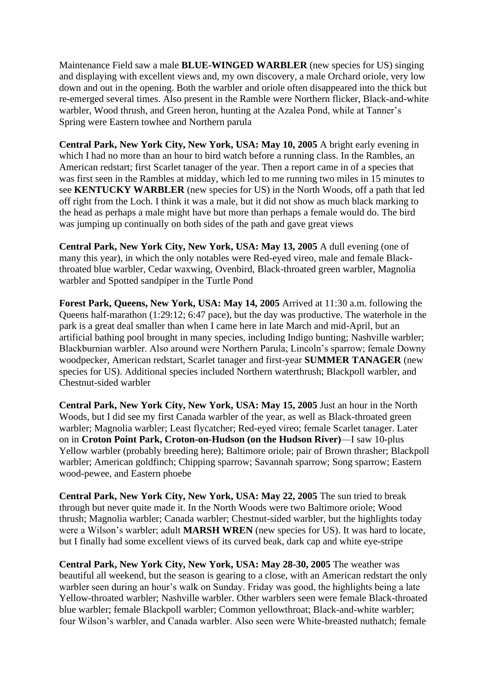Maintenance Field saw a male **BLUE-WINGED WARBLER** (new species for US) singing and displaying with excellent views and, my own discovery, a male Orchard oriole, very low down and out in the opening. Both the warbler and oriole often disappeared into the thick but re-emerged several times. Also present in the Ramble were Northern flicker, Black-and-white warbler, Wood thrush, and Green heron, hunting at the Azalea Pond, while at Tanner's Spring were Eastern towhee and Northern parula

**Central Park, New York City, New York, USA: May 10, 2005** A bright early evening in which I had no more than an hour to bird watch before a running class. In the Rambles, an American redstart; first Scarlet tanager of the year. Then a report came in of a species that was first seen in the Rambles at midday, which led to me running two miles in 15 minutes to see **KENTUCKY WARBLER** (new species for US) in the North Woods, off a path that led off right from the Loch. I think it was a male, but it did not show as much black marking to the head as perhaps a male might have but more than perhaps a female would do. The bird was jumping up continually on both sides of the path and gave great views

**Central Park, New York City, New York, USA: May 13, 2005** A dull evening (one of many this year), in which the only notables were Red-eyed vireo, male and female Blackthroated blue warbler, Cedar waxwing, Ovenbird, Black-throated green warbler, Magnolia warbler and Spotted sandpiper in the Turtle Pond

**Forest Park, Queens, New York, USA: May 14, 2005** Arrived at 11:30 a.m. following the Queens half-marathon (1:29:12; 6:47 pace), but the day was productive. The waterhole in the park is a great deal smaller than when I came here in late March and mid-April, but an artificial bathing pool brought in many species, including Indigo bunting; Nashville warbler; Blackburnian warbler. Also around were Northern Parula; Lincoln's sparrow; female Downy woodpecker, American redstart, Scarlet tanager and first-year **SUMMER TANAGER** (new species for US). Additional species included Northern waterthrush; Blackpoll warbler, and Chestnut-sided warbler

**Central Park, New York City, New York, USA: May 15, 2005** Just an hour in the North Woods, but I did see my first Canada warbler of the year, as well as Black-throated green warbler; Magnolia warbler; Least flycatcher; Red-eyed vireo; female Scarlet tanager. Later on in **Croton Point Park, Croton-on-Hudson (on the Hudson River)**—I saw 10-plus Yellow warbler (probably breeding here); Baltimore oriole; pair of Brown thrasher; Blackpoll warbler; American goldfinch; Chipping sparrow; Savannah sparrow; Song sparrow; Eastern wood-pewee, and Eastern phoebe

**Central Park, New York City, New York, USA: May 22, 2005** The sun tried to break through but never quite made it. In the North Woods were two Baltimore oriole; Wood thrush; Magnolia warbler; Canada warbler; Chestnut-sided warbler, but the highlights today were a Wilson's warbler; adult **MARSH WREN** (new species for US). It was hard to locate, but I finally had some excellent views of its curved beak, dark cap and white eye-stripe

**Central Park, New York City, New York, USA: May 28-30, 2005** The weather was beautiful all weekend, but the season is gearing to a close, with an American redstart the only warbler seen during an hour's walk on Sunday. Friday was good, the highlights being a late Yellow-throated warbler; Nashville warbler. Other warblers seen were female Black-throated blue warbler; female Blackpoll warbler; Common yellowthroat; Black-and-white warbler; four Wilson's warbler, and Canada warbler. Also seen were White-breasted nuthatch; female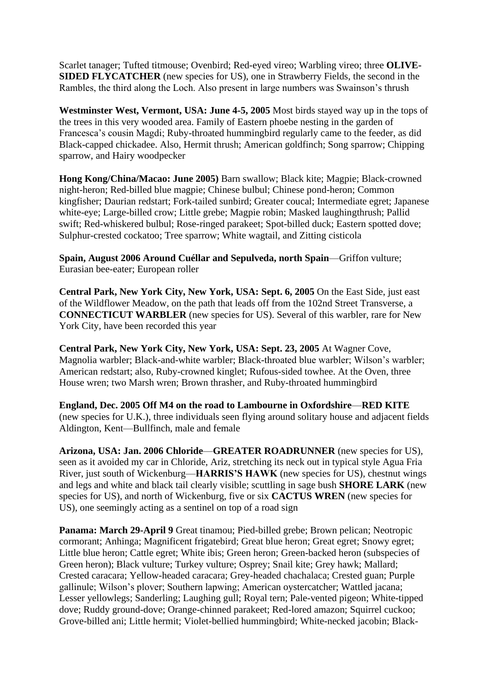Scarlet tanager; Tufted titmouse; Ovenbird; Red-eyed vireo; Warbling vireo; three **OLIVE-SIDED FLYCATCHER** (new species for US), one in Strawberry Fields, the second in the Rambles, the third along the Loch. Also present in large numbers was Swainson's thrush

**Westminster West, Vermont, USA: June 4-5, 2005** Most birds stayed way up in the tops of the trees in this very wooded area. Family of Eastern phoebe nesting in the garden of Francesca's cousin Magdi; Ruby-throated hummingbird regularly came to the feeder, as did Black-capped chickadee. Also, Hermit thrush; American goldfinch; Song sparrow; Chipping sparrow, and Hairy woodpecker

**Hong Kong/China/Macao: June 2005)** Barn swallow; Black kite; Magpie; Black-crowned night-heron; Red-billed blue magpie; Chinese bulbul; Chinese pond-heron; Common kingfisher; Daurian redstart; Fork-tailed sunbird; Greater coucal; Intermediate egret; Japanese white-eye; Large-billed crow; Little grebe; Magpie robin; Masked laughingthrush; Pallid swift; Red-whiskered bulbul; Rose-ringed parakeet; Spot-billed duck; Eastern spotted dove; Sulphur-crested cockatoo; Tree sparrow; White wagtail, and Zitting cisticola

**Spain, August 2006 Around Cuéllar and Sepulveda, north Spain**—Griffon vulture; Eurasian bee-eater; European roller

**Central Park, New York City, New York, USA: Sept. 6, 2005** On the East Side, just east of the Wildflower Meadow, on the path that leads off from the 102nd Street Transverse, a **CONNECTICUT WARBLER** (new species for US). Several of this warbler, rare for New York City, have been recorded this year

**Central Park, New York City, New York, USA: Sept. 23, 2005** At Wagner Cove, Magnolia warbler; Black-and-white warbler; Black-throated blue warbler; Wilson's warbler; American redstart; also, Ruby-crowned kinglet; Rufous-sided towhee. At the Oven, three House wren; two Marsh wren; Brown thrasher, and Ruby-throated hummingbird

**England, Dec. 2005 Off M4 on the road to Lambourne in Oxfordshire**—**RED KITE** (new species for U.K.), three individuals seen flying around solitary house and adjacent fields Aldington, Kent—Bullfinch, male and female

**Arizona, USA: Jan. 2006 Chloride**—**GREATER ROADRUNNER** (new species for US), seen as it avoided my car in Chloride, Ariz, stretching its neck out in typical style Agua Fria River, just south of Wickenburg—**HARRIS'S HAWK** (new species for US), chestnut wings and legs and white and black tail clearly visible; scuttling in sage bush **SHORE LARK** (new species for US), and north of Wickenburg, five or six **CACTUS WREN** (new species for US), one seemingly acting as a sentinel on top of a road sign

**Panama: March 29-April 9** Great tinamou; Pied-billed grebe; Brown pelican; Neotropic cormorant; Anhinga; Magnificent frigatebird; Great blue heron; Great egret; Snowy egret; Little blue heron; Cattle egret; White ibis; Green heron; Green-backed heron (subspecies of Green heron); Black vulture; Turkey vulture; Osprey; Snail kite; Grey hawk; Mallard; Crested caracara; Yellow-headed caracara; Grey-headed chachalaca; Crested guan; Purple gallinule; Wilson's plover; Southern lapwing; American oystercatcher; Wattled jacana; Lesser yellowlegs; Sanderling; Laughing gull; Royal tern; Pale-vented pigeon; White-tipped dove; Ruddy ground-dove; Orange-chinned parakeet; Red-lored amazon; Squirrel cuckoo; Grove-billed ani; Little hermit; Violet-bellied hummingbird; White-necked jacobin; Black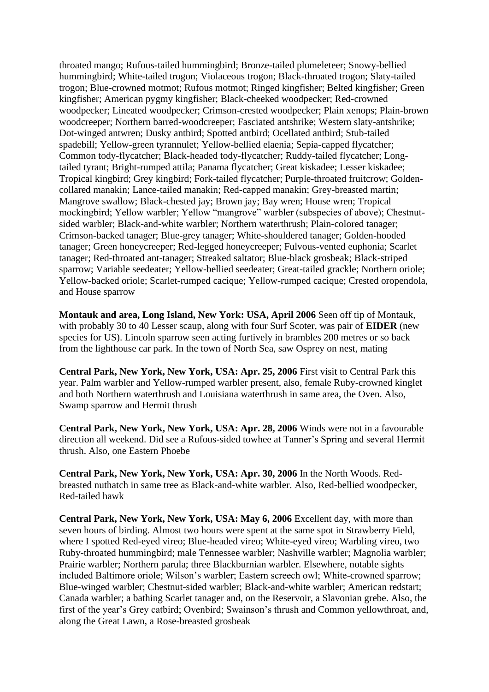throated mango; Rufous-tailed hummingbird; Bronze-tailed plumeleteer; Snowy-bellied hummingbird; White-tailed trogon; Violaceous trogon; Black-throated trogon; Slaty-tailed trogon; Blue-crowned motmot; Rufous motmot; Ringed kingfisher; Belted kingfisher; Green kingfisher; American pygmy kingfisher; Black-cheeked woodpecker; Red-crowned woodpecker; Lineated woodpecker; Crimson-crested woodpecker; Plain xenops; Plain-brown woodcreeper; Northern barred-woodcreeper; Fasciated antshrike; Western slaty-antshrike; Dot-winged antwren; Dusky antbird; Spotted antbird; Ocellated antbird; Stub-tailed spadebill; Yellow-green tyrannulet; Yellow-bellied elaenia; Sepia-capped flycatcher; Common tody-flycatcher; Black-headed tody-flycatcher; Ruddy-tailed flycatcher; Longtailed tyrant; Bright-rumped attila; Panama flycatcher; Great kiskadee; Lesser kiskadee; Tropical kingbird; Grey kingbird; Fork-tailed flycatcher; Purple-throated fruitcrow; Goldencollared manakin; Lance-tailed manakin; Red-capped manakin; Grey-breasted martin; Mangrove swallow; Black-chested jay; Brown jay; Bay wren; House wren; Tropical mockingbird; Yellow warbler; Yellow "mangrove" warbler (subspecies of above); Chestnutsided warbler; Black-and-white warbler; Northern waterthrush; Plain-colored tanager; Crimson-backed tanager; Blue-grey tanager; White-shouldered tanager; Golden-hooded tanager; Green honeycreeper; Red-legged honeycreeper; Fulvous-vented euphonia; Scarlet tanager; Red-throated ant-tanager; Streaked saltator; Blue-black grosbeak; Black-striped sparrow; Variable seedeater; Yellow-bellied seedeater; Great-tailed grackle; Northern oriole; Yellow-backed oriole; Scarlet-rumped cacique; Yellow-rumped cacique; Crested oropendola, and House sparrow

**Montauk and area, Long Island, New York: USA, April 2006** Seen off tip of Montauk, with probably 30 to 40 Lesser scaup, along with four Surf Scoter, was pair of **EIDER** (new species for US). Lincoln sparrow seen acting furtively in brambles 200 metres or so back from the lighthouse car park. In the town of North Sea, saw Osprey on nest, mating

**Central Park, New York, New York, USA: Apr. 25, 2006** First visit to Central Park this year. Palm warbler and Yellow-rumped warbler present, also, female Ruby-crowned kinglet and both Northern waterthrush and Louisiana waterthrush in same area, the Oven. Also, Swamp sparrow and Hermit thrush

**Central Park, New York, New York, USA: Apr. 28, 2006** Winds were not in a favourable direction all weekend. Did see a Rufous-sided towhee at Tanner's Spring and several Hermit thrush. Also, one Eastern Phoebe

**Central Park, New York, New York, USA: Apr. 30, 2006** In the North Woods. Redbreasted nuthatch in same tree as Black-and-white warbler. Also, Red-bellied woodpecker, Red-tailed hawk

**Central Park, New York, New York, USA: May 6, 2006** Excellent day, with more than seven hours of birding. Almost two hours were spent at the same spot in Strawberry Field, where I spotted Red-eyed vireo; Blue-headed vireo; White-eyed vireo; Warbling vireo, two Ruby-throated hummingbird; male Tennessee warbler; Nashville warbler; Magnolia warbler; Prairie warbler; Northern parula; three Blackburnian warbler. Elsewhere, notable sights included Baltimore oriole; Wilson's warbler; Eastern screech owl; White-crowned sparrow; Blue-winged warbler; Chestnut-sided warbler; Black-and-white warbler; American redstart; Canada warbler; a bathing Scarlet tanager and, on the Reservoir, a Slavonian grebe. Also, the first of the year's Grey catbird; Ovenbird; Swainson's thrush and Common yellowthroat, and, along the Great Lawn, a Rose-breasted grosbeak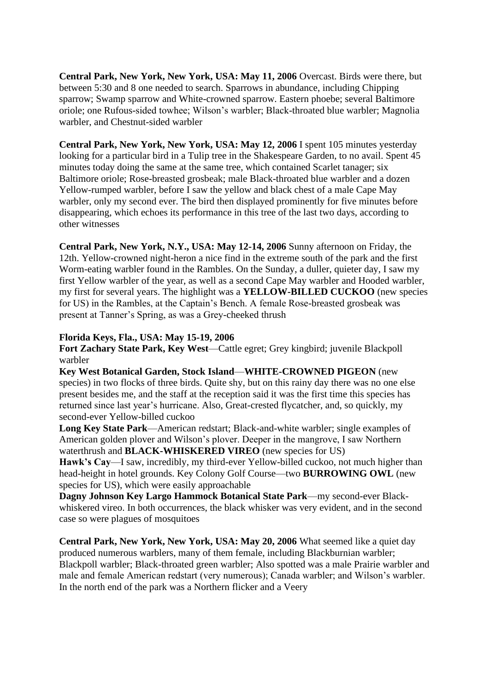**Central Park, New York, New York, USA: May 11, 2006** Overcast. Birds were there, but between 5:30 and 8 one needed to search. Sparrows in abundance, including Chipping sparrow; Swamp sparrow and White-crowned sparrow. Eastern phoebe; several Baltimore oriole; one Rufous-sided towhee; Wilson's warbler; Black-throated blue warbler; Magnolia warbler, and Chestnut-sided warbler

**Central Park, New York, New York, USA: May 12, 2006** I spent 105 minutes yesterday looking for a particular bird in a Tulip tree in the Shakespeare Garden, to no avail. Spent 45 minutes today doing the same at the same tree, which contained Scarlet tanager; six Baltimore oriole; Rose-breasted grosbeak; male Black-throated blue warbler and a dozen Yellow-rumped warbler, before I saw the yellow and black chest of a male Cape May warbler, only my second ever. The bird then displayed prominently for five minutes before disappearing, which echoes its performance in this tree of the last two days, according to other witnesses

**Central Park, New York, N.Y., USA: May 12-14, 2006** Sunny afternoon on Friday, the 12th. Yellow-crowned night-heron a nice find in the extreme south of the park and the first Worm-eating warbler found in the Rambles. On the Sunday, a duller, quieter day, I saw my first Yellow warbler of the year, as well as a second Cape May warbler and Hooded warbler, my first for several years. The highlight was a **YELLOW-BILLED CUCKOO** (new species for US) in the Rambles, at the Captain's Bench. A female Rose-breasted grosbeak was present at Tanner's Spring, as was a Grey-cheeked thrush

## **Florida Keys, Fla., USA: May 15-19, 2006**

**Fort Zachary State Park, Key West**—Cattle egret; Grey kingbird; juvenile Blackpoll warbler

**Key West Botanical Garden, Stock Island**—**WHITE-CROWNED PIGEON** (new species) in two flocks of three birds. Quite shy, but on this rainy day there was no one else present besides me, and the staff at the reception said it was the first time this species has returned since last year's hurricane. Also, Great-crested flycatcher, and, so quickly, my second-ever Yellow-billed cuckoo

**Long Key State Park**—American redstart; Black-and-white warbler; single examples of American golden plover and Wilson's plover. Deeper in the mangrove, I saw Northern waterthrush and **BLACK-WHISKERED VIREO** (new species for US)

**Hawk's Cay**—I saw, incredibly, my third-ever Yellow-billed cuckoo, not much higher than head-height in hotel grounds. Key Colony Golf Course—two **BURROWING OWL** (new species for US), which were easily approachable

**Dagny Johnson Key Largo Hammock Botanical State Park**—my second-ever Blackwhiskered vireo. In both occurrences, the black whisker was very evident, and in the second case so were plagues of mosquitoes

**Central Park, New York, New York, USA: May 20, 2006** What seemed like a quiet day produced numerous warblers, many of them female, including Blackburnian warbler; Blackpoll warbler; Black-throated green warbler; Also spotted was a male Prairie warbler and male and female American redstart (very numerous); Canada warbler; and Wilson's warbler. In the north end of the park was a Northern flicker and a Veery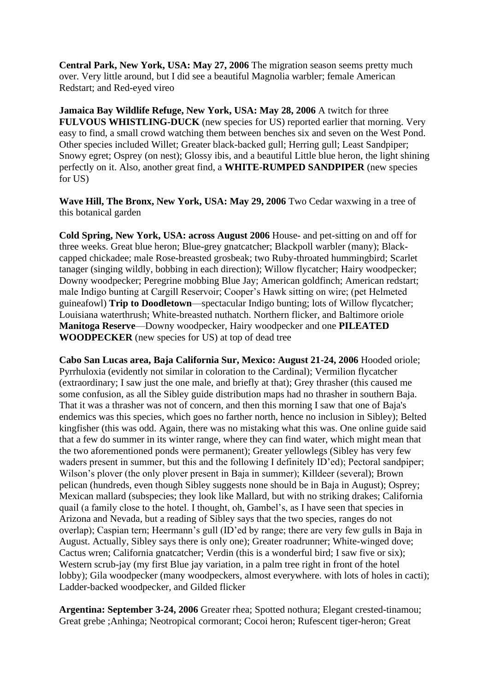**Central Park, New York, USA: May 27, 2006** The migration season seems pretty much over. Very little around, but I did see a beautiful Magnolia warbler; female American Redstart; and Red-eyed vireo

**Jamaica Bay Wildlife Refuge, New York, USA: May 28, 2006** A twitch for three **FULVOUS WHISTLING-DUCK** (new species for US) reported earlier that morning. Very easy to find, a small crowd watching them between benches six and seven on the West Pond. Other species included Willet; Greater black-backed gull; Herring gull; Least Sandpiper; Snowy egret; Osprey (on nest); Glossy ibis, and a beautiful Little blue heron, the light shining perfectly on it. Also, another great find, a **WHITE-RUMPED SANDPIPER** (new species for US)

**Wave Hill, The Bronx, New York, USA: May 29, 2006** Two Cedar waxwing in a tree of this botanical garden

**Cold Spring, New York, USA: across August 2006** House- and pet-sitting on and off for three weeks. Great blue heron; Blue-grey gnatcatcher; Blackpoll warbler (many); Blackcapped chickadee; male Rose-breasted grosbeak; two Ruby-throated hummingbird; Scarlet tanager (singing wildly, bobbing in each direction); Willow flycatcher; Hairy woodpecker; Downy woodpecker; Peregrine mobbing Blue Jay; American goldfinch; American redstart; male Indigo bunting at Cargill Reservoir; Cooper's Hawk sitting on wire; (pet Helmeted guineafowl) **Trip to Doodletown**—spectacular Indigo bunting; lots of Willow flycatcher; Louisiana waterthrush; White-breasted nuthatch. Northern flicker, and Baltimore oriole **Manitoga Reserve**—Downy woodpecker, Hairy woodpecker and one **PILEATED WOODPECKER** (new species for US) at top of dead tree

**Cabo San Lucas area, Baja California Sur, Mexico: August 21-24, 2006** Hooded oriole; Pyrrhuloxia (evidently not similar in coloration to the Cardinal); Vermilion flycatcher (extraordinary; I saw just the one male, and briefly at that); Grey thrasher (this caused me some confusion, as all the Sibley guide distribution maps had no thrasher in southern Baja. That it was a thrasher was not of concern, and then this morning I saw that one of Baja's endemics was this species, which goes no farther north, hence no inclusion in Sibley); Belted kingfisher (this was odd. Again, there was no mistaking what this was. One online guide said that a few do summer in its winter range, where they can find water, which might mean that the two aforementioned ponds were permanent); Greater yellowlegs (Sibley has very few waders present in summer, but this and the following I definitely ID'ed); Pectoral sandpiper; Wilson's plover (the only plover present in Baja in summer); Killdeer (several); Brown pelican (hundreds, even though Sibley suggests none should be in Baja in August); Osprey; Mexican mallard (subspecies; they look like Mallard, but with no striking drakes; California quail (a family close to the hotel. I thought, oh, Gambel's, as I have seen that species in Arizona and Nevada, but a reading of Sibley says that the two species, ranges do not overlap); Caspian tern; Heermann's gull (ID'ed by range; there are very few gulls in Baja in August. Actually, Sibley says there is only one); Greater roadrunner; White-winged dove; Cactus wren; California gnatcatcher; Verdin (this is a wonderful bird; I saw five or six); Western scrub-jay (my first Blue jay variation, in a palm tree right in front of the hotel lobby); Gila woodpecker (many woodpeckers, almost everywhere. with lots of holes in cacti); Ladder-backed woodpecker, and Gilded flicker

**Argentina: September 3-24, 2006** Greater rhea; Spotted nothura; Elegant crested-tinamou; Great grebe ;Anhinga; Neotropical cormorant; Cocoi heron; Rufescent tiger-heron; Great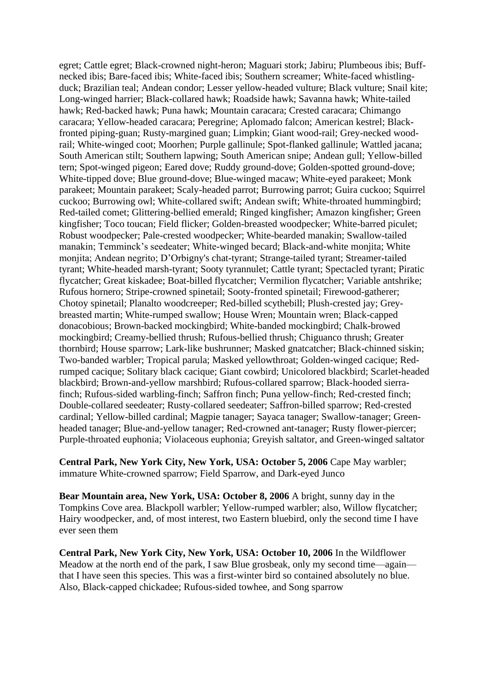egret; Cattle egret; Black-crowned night-heron; Maguari stork; Jabiru; Plumbeous ibis; Buffnecked ibis; Bare-faced ibis; White-faced ibis; Southern screamer; White-faced whistlingduck; Brazilian teal; Andean condor; Lesser yellow-headed vulture; Black vulture; Snail kite; Long-winged harrier; Black-collared hawk; Roadside hawk; Savanna hawk; White-tailed hawk; Red-backed hawk; Puna hawk; Mountain caracara; Crested caracara; Chimango caracara; Yellow-headed caracara; Peregrine; Aplomado falcon; American kestrel; Blackfronted piping-guan; Rusty-margined guan; Limpkin; Giant wood-rail; Grey-necked woodrail; White-winged coot; Moorhen; Purple gallinule; Spot-flanked gallinule; Wattled jacana; South American stilt; Southern lapwing; South American snipe; Andean gull; Yellow-billed tern; Spot-winged pigeon; Eared dove; Ruddy ground-dove; Golden-spotted ground-dove; White-tipped dove; Blue ground-dove; Blue-winged macaw; White-eyed parakeet; Monk parakeet; Mountain parakeet; Scaly-headed parrot; Burrowing parrot; Guira cuckoo; Squirrel cuckoo; Burrowing owl; White-collared swift; Andean swift; White-throated hummingbird; Red-tailed comet; Glittering-bellied emerald; Ringed kingfisher; Amazon kingfisher; Green kingfisher; Toco toucan; Field flicker; Golden-breasted woodpecker; White-barred piculet; Robust woodpecker; Pale-crested woodpecker; White-bearded manakin; Swallow-tailed manakin; Temminck's seedeater; White-winged becard; Black-and-white monjita; White monjita; Andean negrito; D'Orbigny's chat-tyrant; Strange-tailed tyrant; Streamer-tailed tyrant; White-headed marsh-tyrant; Sooty tyrannulet; Cattle tyrant; Spectacled tyrant; Piratic flycatcher; Great kiskadee; Boat-billed flycatcher; Vermilion flycatcher; Variable antshrike; Rufous hornero; Stripe-crowned spinetail; Sooty-fronted spinetail; Firewood-gatherer; Chotoy spinetail; Planalto woodcreeper; Red-billed scythebill; Plush-crested jay; Greybreasted martin; White-rumped swallow; House Wren; Mountain wren; Black-capped donacobious; Brown-backed mockingbird; White-banded mockingbird; Chalk-browed mockingbird; Creamy-bellied thrush; Rufous-bellied thrush; Chiguanco thrush; Greater thornbird; House sparrow; Lark-like bushrunner; Masked gnatcatcher; Black-chinned siskin; Two-banded warbler; Tropical parula; Masked yellowthroat; Golden-winged cacique; Redrumped cacique; Solitary black cacique; Giant cowbird; Unicolored blackbird; Scarlet-headed blackbird; Brown-and-yellow marshbird; Rufous-collared sparrow; Black-hooded sierrafinch; Rufous-sided warbling-finch; Saffron finch; Puna yellow-finch; Red-crested finch; Double-collared seedeater; Rusty-collared seedeater; Saffron-billed sparrow; Red-crested cardinal; Yellow-billed cardinal; Magpie tanager; Sayaca tanager; Swallow-tanager; Greenheaded tanager; Blue-and-yellow tanager; Red-crowned ant-tanager; Rusty flower-piercer; Purple-throated euphonia; Violaceous euphonia; Greyish saltator, and Green-winged saltator

**Central Park, New York City, New York, USA: October 5, 2006** Cape May warbler; immature White-crowned sparrow; Field Sparrow, and Dark-eyed Junco

**Bear Mountain area, New York, USA: October 8, 2006** A bright, sunny day in the Tompkins Cove area. Blackpoll warbler; Yellow-rumped warbler; also, Willow flycatcher; Hairy woodpecker, and, of most interest, two Eastern bluebird, only the second time I have ever seen them

**Central Park, New York City, New York, USA: October 10, 2006** In the Wildflower Meadow at the north end of the park, I saw Blue grosbeak, only my second time—again that I have seen this species. This was a first-winter bird so contained absolutely no blue. Also, Black-capped chickadee; Rufous-sided towhee, and Song sparrow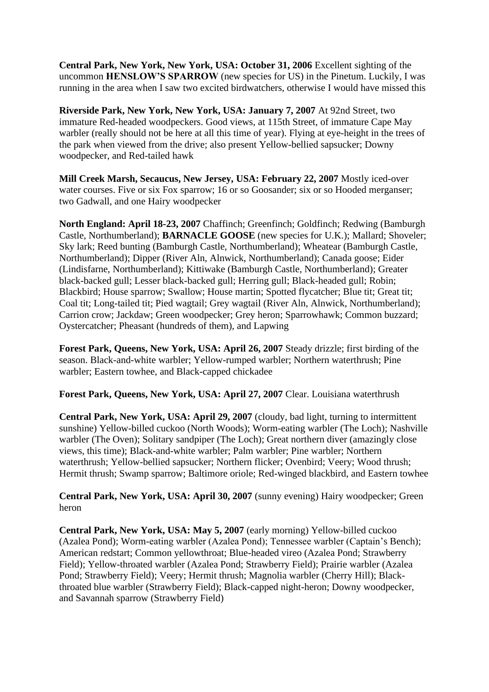**Central Park, New York, New York, USA: October 31, 2006** Excellent sighting of the uncommon **HENSLOW'S SPARROW** (new species for US) in the Pinetum. Luckily, I was running in the area when I saw two excited birdwatchers, otherwise I would have missed this

**Riverside Park, New York, New York, USA: January 7, 2007** At 92nd Street, two immature Red-headed woodpeckers. Good views, at 115th Street, of immature Cape May warbler (really should not be here at all this time of year). Flying at eye-height in the trees of the park when viewed from the drive; also present Yellow-bellied sapsucker; Downy woodpecker, and Red-tailed hawk

**Mill Creek Marsh, Secaucus, New Jersey, USA: February 22, 2007** Mostly iced-over water courses. Five or six Fox sparrow; 16 or so Goosander; six or so Hooded merganser; two Gadwall, and one Hairy woodpecker

**North England: April 18-23, 2007** Chaffinch; Greenfinch; Goldfinch; Redwing (Bamburgh Castle, Northumberland); **BARNACLE GOOSE** (new species for U.K.); Mallard; Shoveler; Sky lark; Reed bunting (Bamburgh Castle, Northumberland); Wheatear (Bamburgh Castle, Northumberland); Dipper (River Aln, Alnwick, Northumberland); Canada goose; Eider (Lindisfarne, Northumberland); Kittiwake (Bamburgh Castle, Northumberland); Greater black-backed gull; Lesser black-backed gull; Herring gull; Black-headed gull; Robin; Blackbird; House sparrow; Swallow; House martin; Spotted flycatcher; Blue tit; Great tit; Coal tit; Long-tailed tit; Pied wagtail; Grey wagtail (River Aln, Alnwick, Northumberland); Carrion crow; Jackdaw; Green woodpecker; Grey heron; Sparrowhawk; Common buzzard; Oystercatcher; Pheasant (hundreds of them), and Lapwing

**Forest Park, Queens, New York, USA: April 26, 2007** Steady drizzle; first birding of the season. Black-and-white warbler; Yellow-rumped warbler; Northern waterthrush; Pine warbler; Eastern towhee, and Black-capped chickadee

**Forest Park, Queens, New York, USA: April 27, 2007** Clear. Louisiana waterthrush

**Central Park, New York, USA: April 29, 2007** (cloudy, bad light, turning to intermittent sunshine) Yellow-billed cuckoo (North Woods); Worm-eating warbler (The Loch); Nashville warbler (The Oven); Solitary sandpiper (The Loch); Great northern diver (amazingly close views, this time); Black-and-white warbler; Palm warbler; Pine warbler; Northern waterthrush; Yellow-bellied sapsucker; Northern flicker; Ovenbird; Veery; Wood thrush; Hermit thrush; Swamp sparrow; Baltimore oriole; Red-winged blackbird, and Eastern towhee

**Central Park, New York, USA: April 30, 2007** (sunny evening) Hairy woodpecker; Green heron

**Central Park, New York, USA: May 5, 2007** (early morning) Yellow-billed cuckoo (Azalea Pond); Worm-eating warbler (Azalea Pond); Tennessee warbler (Captain's Bench); American redstart; Common yellowthroat; Blue-headed vireo (Azalea Pond; Strawberry Field); Yellow-throated warbler (Azalea Pond; Strawberry Field); Prairie warbler (Azalea Pond; Strawberry Field); Veery; Hermit thrush; Magnolia warbler (Cherry Hill); Blackthroated blue warbler (Strawberry Field); Black-capped night-heron; Downy woodpecker, and Savannah sparrow (Strawberry Field)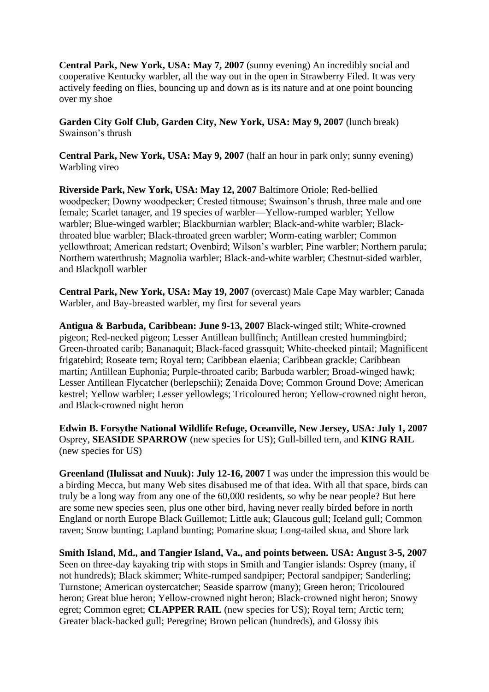**Central Park, New York, USA: May 7, 2007** (sunny evening) An incredibly social and cooperative Kentucky warbler, all the way out in the open in Strawberry Filed. It was very actively feeding on flies, bouncing up and down as is its nature and at one point bouncing over my shoe

**Garden City Golf Club, Garden City, New York, USA: May 9, 2007** (lunch break) Swainson's thrush

**Central Park, New York, USA: May 9, 2007** (half an hour in park only; sunny evening) Warbling vireo

**Riverside Park, New York, USA: May 12, 2007** Baltimore Oriole; Red-bellied woodpecker; Downy woodpecker; Crested titmouse; Swainson's thrush, three male and one female; Scarlet tanager, and 19 species of warbler—Yellow-rumped warbler; Yellow warbler; Blue-winged warbler; Blackburnian warbler; Black-and-white warbler; Blackthroated blue warbler; Black-throated green warbler; Worm-eating warbler; Common yellowthroat; American redstart; Ovenbird; Wilson's warbler; Pine warbler; Northern parula; Northern waterthrush; Magnolia warbler; Black-and-white warbler; Chestnut-sided warbler, and Blackpoll warbler

**Central Park, New York, USA: May 19, 2007** (overcast) Male Cape May warbler; Canada Warbler, and Bay-breasted warbler, my first for several years

**Antigua & Barbuda, Caribbean: June 9-13, 2007** Black-winged stilt; White-crowned pigeon; Red-necked pigeon; Lesser Antillean bullfinch; Antillean crested hummingbird; Green-throated carib; Bananaquit; Black-faced grassquit; White-cheeked pintail; Magnificent frigatebird; Roseate tern; Royal tern; Caribbean elaenia; Caribbean grackle; Caribbean martin; Antillean Euphonia; Purple-throated carib; Barbuda warbler; Broad-winged hawk; Lesser Antillean Flycatcher (berlepschii); Zenaida Dove; Common Ground Dove; American kestrel; Yellow warbler; Lesser yellowlegs; Tricoloured heron; Yellow-crowned night heron, and Black-crowned night heron

**Edwin B. Forsythe National Wildlife Refuge, Oceanville, New Jersey, USA: July 1, 2007** Osprey, **SEASIDE SPARROW** (new species for US); Gull-billed tern, and **KING RAIL** (new species for US)

**Greenland (Ilulissat and Nuuk): July 12-16, 2007** I was under the impression this would be a birding Mecca, but many Web sites disabused me of that idea. With all that space, birds can truly be a long way from any one of the 60,000 residents, so why be near people? But here are some new species seen, plus one other bird, having never really birded before in north England or north Europe Black Guillemot; Little auk; Glaucous gull; Iceland gull; Common raven; Snow bunting; Lapland bunting; Pomarine skua; Long-tailed skua, and Shore lark

**Smith Island, Md., and Tangier Island, Va., and points between. USA: August 3-5, 2007** Seen on three-day kayaking trip with stops in Smith and Tangier islands: Osprey (many, if not hundreds); Black skimmer; White-rumped sandpiper; Pectoral sandpiper; Sanderling; Turnstone; American oystercatcher; Seaside sparrow (many); Green heron; Tricoloured heron; Great blue heron; Yellow-crowned night heron; Black-crowned night heron; Snowy egret; Common egret; **CLAPPER RAIL** (new species for US); Royal tern; Arctic tern; Greater black-backed gull; Peregrine; Brown pelican (hundreds), and Glossy ibis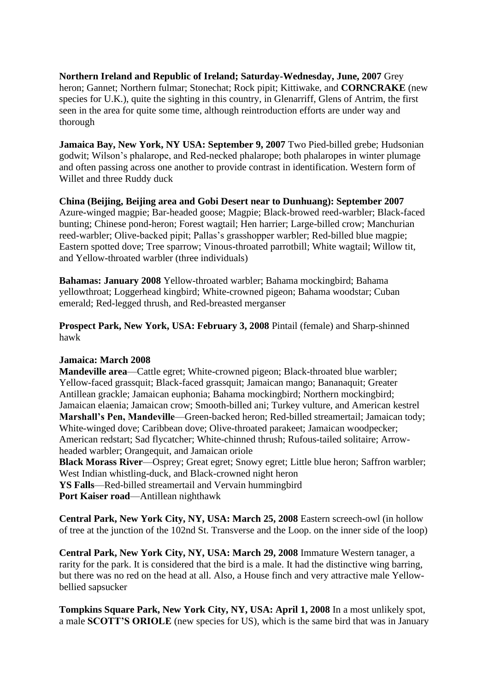**Northern Ireland and Republic of Ireland; Saturday-Wednesday, June, 2007** Grey heron; Gannet; Northern fulmar; Stonechat; Rock pipit; Kittiwake, and **CORNCRAKE** (new species for U.K.), quite the sighting in this country, in Glenarriff, Glens of Antrim, the first seen in the area for quite some time, although reintroduction efforts are under way and thorough

**Jamaica Bay, New York, NY USA: September 9, 2007** Two Pied-billed grebe; Hudsonian godwit; Wilson's phalarope, and Red-necked phalarope; both phalaropes in winter plumage and often passing across one another to provide contrast in identification. Western form of Willet and three Ruddy duck

#### **China (Beijing, Beijing area and Gobi Desert near to Dunhuang): September 2007**

Azure-winged magpie; Bar-headed goose; Magpie; Black-browed reed-warbler; Black-faced bunting; Chinese pond-heron; Forest wagtail; Hen harrier; Large-billed crow; Manchurian reed-warbler; Olive-backed pipit; Pallas's grasshopper warbler; Red-billed blue magpie; Eastern spotted dove; Tree sparrow; Vinous-throated parrotbill; White wagtail; Willow tit, and Yellow-throated warbler (three individuals)

**Bahamas: January 2008** Yellow-throated warbler; Bahama mockingbird; Bahama yellowthroat; Loggerhead kingbird; White-crowned pigeon; Bahama woodstar; Cuban emerald; Red-legged thrush, and Red-breasted merganser

**Prospect Park, New York, USA: February 3, 2008** Pintail (female) and Sharp-shinned hawk

#### **Jamaica: March 2008**

**Mandeville area**—Cattle egret; White-crowned pigeon; Black-throated blue warbler; Yellow-faced grassquit; Black-faced grassquit; Jamaican mango; Bananaquit; Greater Antillean grackle; Jamaican euphonia; Bahama mockingbird; Northern mockingbird; Jamaican elaenia; Jamaican crow; Smooth-billed ani; Turkey vulture, and American kestrel **Marshall's Pen, Mandeville**—Green-backed heron; Red-billed streamertail; Jamaican tody; White-winged dove; Caribbean dove; Olive-throated parakeet; Jamaican woodpecker; American redstart; Sad flycatcher; White-chinned thrush; Rufous-tailed solitaire; Arrowheaded warbler; Orangequit, and Jamaican oriole

**Black Morass River**—Osprey; Great egret; Snowy egret; Little blue heron; Saffron warbler; West Indian whistling-duck, and Black-crowned night heron

**YS Falls**—Red-billed streamertail and Vervain hummingbird

**Port Kaiser road**—Antillean nighthawk

**Central Park, New York City, NY, USA: March 25, 2008** Eastern screech-owl (in hollow of tree at the junction of the 102nd St. Transverse and the Loop. on the inner side of the loop)

**Central Park, New York City, NY, USA: March 29, 2008** Immature Western tanager, a rarity for the park. It is considered that the bird is a male. It had the distinctive wing barring, but there was no red on the head at all. Also, a House finch and very attractive male Yellowbellied sapsucker

**Tompkins Square Park, New York City, NY, USA: April 1, 2008** In a most unlikely spot, a male **SCOTT'S ORIOLE** (new species for US), which is the same bird that was in January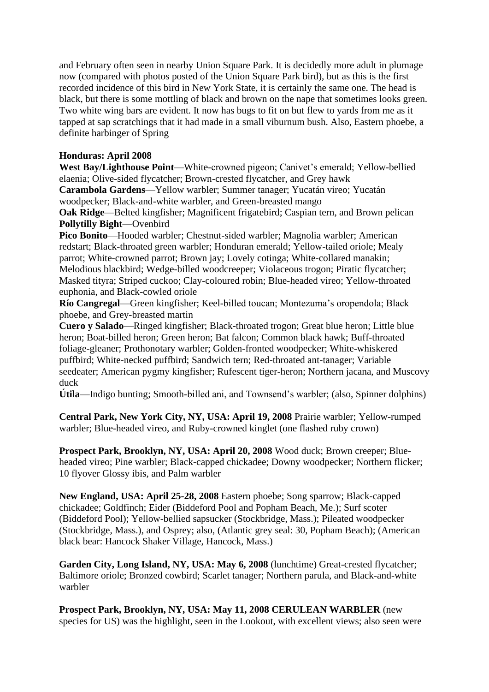and February often seen in nearby Union Square Park. It is decidedly more adult in plumage now (compared with photos posted of the Union Square Park bird), but as this is the first recorded incidence of this bird in New York State, it is certainly the same one. The head is black, but there is some mottling of black and brown on the nape that sometimes looks green. Two white wing bars are evident. It now has bugs to fit on but flew to yards from me as it tapped at sap scratchings that it had made in a small viburnum bush. Also, Eastern phoebe, a definite harbinger of Spring

## **Honduras: April 2008**

**West Bay/Lighthouse Point**—White-crowned pigeon; Canivet's emerald; Yellow-bellied elaenia; Olive-sided flycatcher; Brown-crested flycatcher, and Grey hawk **Carambola Gardens**—Yellow warbler; Summer tanager; Yucatán vireo; Yucatán woodpecker; Black-and-white warbler, and Green-breasted mango

**Oak Ridge**—Belted kingfisher; Magnificent frigatebird; Caspian tern, and Brown pelican **Pollytilly Bight**—Ovenbird

**Pico Bonito**—Hooded warbler; Chestnut-sided warbler; Magnolia warbler; American redstart; Black-throated green warbler; Honduran emerald; Yellow-tailed oriole; Mealy parrot; White-crowned parrot; Brown jay; Lovely cotinga; White-collared manakin; Melodious blackbird; Wedge-billed woodcreeper; Violaceous trogon; Piratic flycatcher; Masked tityra; Striped cuckoo; Clay-coloured robin; Blue-headed vireo; Yellow-throated euphonia, and Black-cowled oriole

**Río Cangregal**—Green kingfisher; Keel-billed toucan; Montezuma's oropendola; Black phoebe, and Grey-breasted martin

**Cuero y Salado**—Ringed kingfisher; Black-throated trogon; Great blue heron; Little blue heron; Boat-billed heron; Green heron; Bat falcon; Common black hawk; Buff-throated foliage-gleaner; Prothonotary warbler; Golden-fronted woodpecker; White-whiskered puffbird; White-necked puffbird; Sandwich tern; Red-throated ant-tanager; Variable seedeater; American pygmy kingfisher; Rufescent tiger-heron; Northern jacana, and Muscovy duck

**Útila**—Indigo bunting; Smooth-billed ani, and Townsend's warbler; (also, Spinner dolphins)

**Central Park, New York City, NY, USA: April 19, 2008** Prairie warbler; Yellow-rumped warbler; Blue-headed vireo, and Ruby-crowned kinglet (one flashed ruby crown)

**Prospect Park, Brooklyn, NY, USA: April 20, 2008** Wood duck; Brown creeper; Blueheaded vireo; Pine warbler; Black-capped chickadee; Downy woodpecker; Northern flicker; 10 flyover Glossy ibis, and Palm warbler

**New England, USA: April 25-28, 2008** Eastern phoebe; Song sparrow; Black-capped chickadee; Goldfinch; Eider (Biddeford Pool and Popham Beach, Me.); Surf scoter (Biddeford Pool); Yellow-bellied sapsucker (Stockbridge, Mass.); Pileated woodpecker (Stockbridge, Mass.), and Osprey; also, (Atlantic grey seal: 30, Popham Beach); (American black bear: Hancock Shaker Village, Hancock, Mass.)

**Garden City, Long Island, NY, USA: May 6, 2008** (lunchtime) Great-crested flycatcher; Baltimore oriole; Bronzed cowbird; Scarlet tanager; Northern parula, and Black-and-white warbler

**Prospect Park, Brooklyn, NY, USA: May 11, 2008 CERULEAN WARBLER** (new species for US) was the highlight, seen in the Lookout, with excellent views; also seen were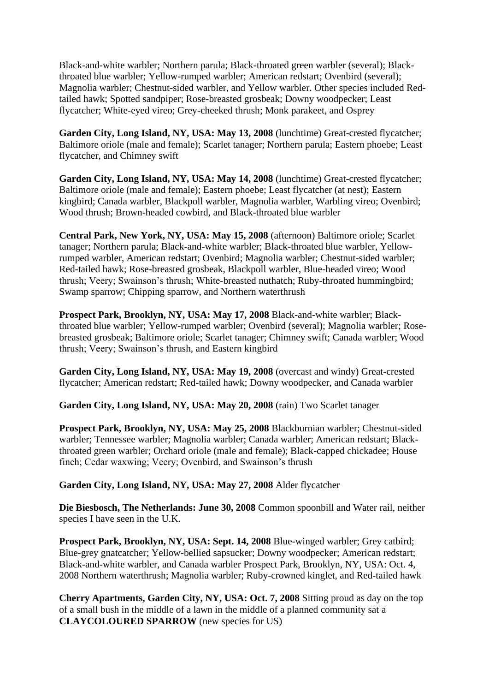Black-and-white warbler; Northern parula; Black-throated green warbler (several); Blackthroated blue warbler; Yellow-rumped warbler; American redstart; Ovenbird (several); Magnolia warbler; Chestnut-sided warbler, and Yellow warbler. Other species included Redtailed hawk; Spotted sandpiper; Rose-breasted grosbeak; Downy woodpecker; Least flycatcher; White-eyed vireo; Grey-cheeked thrush; Monk parakeet, and Osprey

**Garden City, Long Island, NY, USA: May 13, 2008** (lunchtime) Great-crested flycatcher; Baltimore oriole (male and female); Scarlet tanager; Northern parula; Eastern phoebe; Least flycatcher, and Chimney swift

**Garden City, Long Island, NY, USA: May 14, 2008** (lunchtime) Great-crested flycatcher; Baltimore oriole (male and female); Eastern phoebe; Least flycatcher (at nest); Eastern kingbird; Canada warbler, Blackpoll warbler, Magnolia warbler, Warbling vireo; Ovenbird; Wood thrush; Brown-headed cowbird, and Black-throated blue warbler

**Central Park, New York, NY, USA: May 15, 2008** (afternoon) Baltimore oriole; Scarlet tanager; Northern parula; Black-and-white warbler; Black-throated blue warbler, Yellowrumped warbler, American redstart; Ovenbird; Magnolia warbler; Chestnut-sided warbler; Red-tailed hawk; Rose-breasted grosbeak, Blackpoll warbler, Blue-headed vireo; Wood thrush; Veery; Swainson's thrush; White-breasted nuthatch; Ruby-throated hummingbird; Swamp sparrow; Chipping sparrow, and Northern waterthrush

**Prospect Park, Brooklyn, NY, USA: May 17, 2008** Black-and-white warbler; Blackthroated blue warbler; Yellow-rumped warbler; Ovenbird (several); Magnolia warbler; Rosebreasted grosbeak; Baltimore oriole; Scarlet tanager; Chimney swift; Canada warbler; Wood thrush; Veery; Swainson's thrush, and Eastern kingbird

**Garden City, Long Island, NY, USA: May 19, 2008** (overcast and windy) Great-crested flycatcher; American redstart; Red-tailed hawk; Downy woodpecker, and Canada warbler

**Garden City, Long Island, NY, USA: May 20, 2008** (rain) Two Scarlet tanager

**Prospect Park, Brooklyn, NY, USA: May 25, 2008** Blackburnian warbler; Chestnut-sided warbler; Tennessee warbler; Magnolia warbler; Canada warbler; American redstart; Blackthroated green warbler; Orchard oriole (male and female); Black-capped chickadee; House finch; Cedar waxwing; Veery; Ovenbird, and Swainson's thrush

**Garden City, Long Island, NY, USA: May 27, 2008** Alder flycatcher

**Die Biesbosch, The Netherlands: June 30, 2008** Common spoonbill and Water rail, neither species I have seen in the U.K.

**Prospect Park, Brooklyn, NY, USA: Sept. 14, 2008** Blue-winged warbler; Grey catbird; Blue-grey gnatcatcher; Yellow-bellied sapsucker; Downy woodpecker; American redstart; Black-and-white warbler, and Canada warbler Prospect Park, Brooklyn, NY, USA: Oct. 4, 2008 Northern waterthrush; Magnolia warbler; Ruby-crowned kinglet, and Red-tailed hawk

**Cherry Apartments, Garden City, NY, USA: Oct. 7, 2008** Sitting proud as day on the top of a small bush in the middle of a lawn in the middle of a planned community sat a **CLAYCOLOURED SPARROW** (new species for US)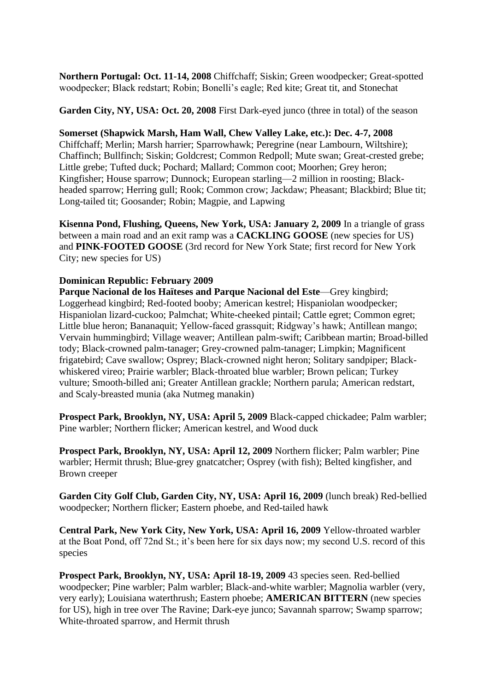**Northern Portugal: Oct. 11-14, 2008** Chiffchaff; Siskin; Green woodpecker; Great-spotted woodpecker; Black redstart; Robin; Bonelli's eagle; Red kite; Great tit, and Stonechat

**Garden City, NY, USA: Oct. 20, 2008** First Dark-eyed junco (three in total) of the season

#### **Somerset (Shapwick Marsh, Ham Wall, Chew Valley Lake, etc.): Dec. 4-7, 2008**

Chiffchaff; Merlin; Marsh harrier; Sparrowhawk; Peregrine (near Lambourn, Wiltshire); Chaffinch; Bullfinch; Siskin; Goldcrest; Common Redpoll; Mute swan; Great-crested grebe; Little grebe; Tufted duck; Pochard; Mallard; Common coot; Moorhen; Grey heron; Kingfisher; House sparrow; Dunnock; European starling—2 million in roosting; Blackheaded sparrow; Herring gull; Rook; Common crow; Jackdaw; Pheasant; Blackbird; Blue tit; Long-tailed tit; Goosander; Robin; Magpie, and Lapwing

**Kisenna Pond, Flushing, Queens, New York, USA: January 2, 2009** In a triangle of grass between a main road and an exit ramp was a **CACKLING GOOSE** (new species for US) and **PINK-FOOTED GOOSE** (3rd record for New York State; first record for New York City; new species for US)

## **Dominican Republic: February 2009**

**Parque Nacional de los Haïteses and Parque Nacional del Este**—Grey kingbird; Loggerhead kingbird; Red-footed booby; American kestrel; Hispaniolan woodpecker; Hispaniolan lizard-cuckoo; Palmchat; White-cheeked pintail; Cattle egret; Common egret; Little blue heron; Bananaquit; Yellow-faced grassquit; Ridgway's hawk; Antillean mango; Vervain hummingbird; Village weaver; Antillean palm-swift; Caribbean martin; Broad-billed tody; Black-crowned palm-tanager; Grey-crowned palm-tanager; Limpkin; Magnificent frigatebird; Cave swallow; Osprey; Black-crowned night heron; Solitary sandpiper; Blackwhiskered vireo; Prairie warbler; Black-throated blue warbler; Brown pelican; Turkey vulture; Smooth-billed ani; Greater Antillean grackle; Northern parula; American redstart, and Scaly-breasted munia (aka Nutmeg manakin)

**Prospect Park, Brooklyn, NY, USA: April 5, 2009** Black-capped chickadee; Palm warbler; Pine warbler; Northern flicker; American kestrel, and Wood duck

**Prospect Park, Brooklyn, NY, USA: April 12, 2009** Northern flicker; Palm warbler; Pine warbler; Hermit thrush; Blue-grey gnatcatcher; Osprey (with fish); Belted kingfisher, and Brown creeper

**Garden City Golf Club, Garden City, NY, USA: April 16, 2009** (lunch break) Red-bellied woodpecker; Northern flicker; Eastern phoebe, and Red-tailed hawk

**Central Park, New York City, New York, USA: April 16, 2009** Yellow-throated warbler at the Boat Pond, off 72nd St.; it's been here for six days now; my second U.S. record of this species

**Prospect Park, Brooklyn, NY, USA: April 18-19, 2009** 43 species seen. Red-bellied woodpecker; Pine warbler; Palm warbler; Black-and-white warbler; Magnolia warbler (very, very early); Louisiana waterthrush; Eastern phoebe; **AMERICAN BITTERN** (new species for US), high in tree over The Ravine; Dark-eye junco; Savannah sparrow; Swamp sparrow; White-throated sparrow, and Hermit thrush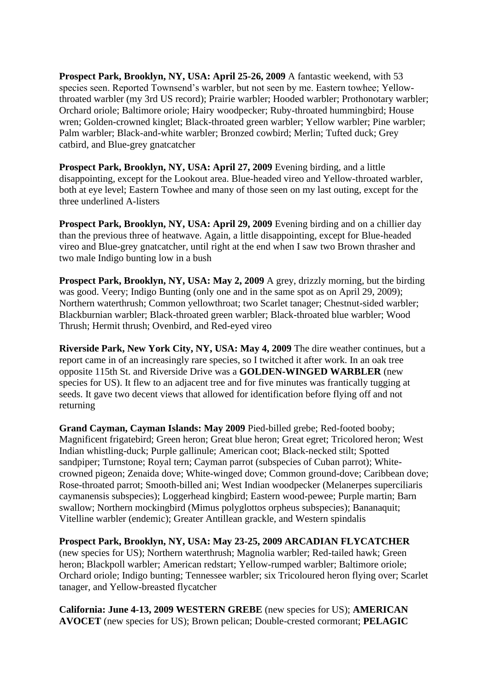**Prospect Park, Brooklyn, NY, USA: April 25-26, 2009** A fantastic weekend, with 53 species seen. Reported Townsend's warbler, but not seen by me. Eastern towhee; Yellowthroated warbler (my 3rd US record); Prairie warbler; Hooded warbler; Prothonotary warbler; Orchard oriole; Baltimore oriole; Hairy woodpecker; Ruby-throated hummingbird; House wren; Golden-crowned kinglet; Black-throated green warbler; Yellow warbler; Pine warbler; Palm warbler; Black-and-white warbler; Bronzed cowbird; Merlin; Tufted duck; Grey catbird, and Blue-grey gnatcatcher

**Prospect Park, Brooklyn, NY, USA: April 27, 2009** Evening birding, and a little disappointing, except for the Lookout area. Blue-headed vireo and Yellow-throated warbler, both at eye level; Eastern Towhee and many of those seen on my last outing, except for the three underlined A-listers

**Prospect Park, Brooklyn, NY, USA: April 29, 2009** Evening birding and on a chillier day than the previous three of heatwave. Again, a little disappointing, except for Blue-headed vireo and Blue-grey gnatcatcher, until right at the end when I saw two Brown thrasher and two male Indigo bunting low in a bush

**Prospect Park, Brooklyn, NY, USA: May 2, 2009** A grey, drizzly morning, but the birding was good. Veery; Indigo Bunting (only one and in the same spot as on April 29, 2009); Northern waterthrush; Common yellowthroat; two Scarlet tanager; Chestnut-sided warbler; Blackburnian warbler; Black-throated green warbler; Black-throated blue warbler; Wood Thrush; Hermit thrush; Ovenbird, and Red-eyed vireo

**Riverside Park, New York City, NY, USA: May 4, 2009** The dire weather continues, but a report came in of an increasingly rare species, so I twitched it after work. In an oak tree opposite 115th St. and Riverside Drive was a **GOLDEN-WINGED WARBLER** (new species for US). It flew to an adjacent tree and for five minutes was frantically tugging at seeds. It gave two decent views that allowed for identification before flying off and not returning

**Grand Cayman, Cayman Islands: May 2009** Pied-billed grebe; Red-footed booby; Magnificent frigatebird; Green heron; Great blue heron; Great egret; Tricolored heron; West Indian whistling-duck; Purple gallinule; American coot; Black-necked stilt; Spotted sandpiper; Turnstone; Royal tern; Cayman parrot (subspecies of Cuban parrot); Whitecrowned pigeon; Zenaida dove; White-winged dove; Common ground-dove; Caribbean dove; Rose-throated parrot; Smooth-billed ani; West Indian woodpecker (Melanerpes superciliaris caymanensis subspecies); Loggerhead kingbird; Eastern wood-pewee; Purple martin; Barn swallow; Northern mockingbird (Mimus polyglottos orpheus subspecies); Bananaquit; Vitelline warbler (endemic); Greater Antillean grackle, and Western spindalis

**Prospect Park, Brooklyn, NY, USA: May 23-25, 2009 ARCADIAN FLYCATCHER** (new species for US); Northern waterthrush; Magnolia warbler; Red-tailed hawk; Green heron; Blackpoll warbler; American redstart; Yellow-rumped warbler; Baltimore oriole; Orchard oriole; Indigo bunting; Tennessee warbler; six Tricoloured heron flying over; Scarlet tanager, and Yellow-breasted flycatcher

**California: June 4-13, 2009 WESTERN GREBE** (new species for US); **AMERICAN AVOCET** (new species for US); Brown pelican; Double-crested cormorant; **PELAGIC**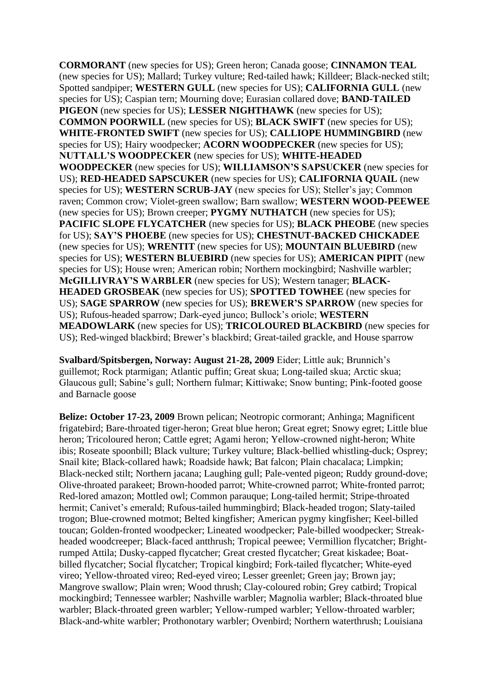**CORMORANT** (new species for US); Green heron; Canada goose; **CINNAMON TEAL** (new species for US); Mallard; Turkey vulture; Red-tailed hawk; Killdeer; Black-necked stilt; Spotted sandpiper; **WESTERN GULL** (new species for US); **CALIFORNIA GULL** (new species for US); Caspian tern; Mourning dove; Eurasian collared dove; **BAND-TAILED PIGEON** (new species for US); **LESSER NIGHTHAWK** (new species for US); **COMMON POORWILL** (new species for US); **BLACK SWIFT** (new species for US); **WHITE-FRONTED SWIFT** (new species for US); **CALLIOPE HUMMINGBIRD** (new species for US); Hairy woodpecker; **ACORN WOODPECKER** (new species for US); **NUTTALL'S WOODPECKER** (new species for US); **WHITE-HEADED WOODPECKER** (new species for US); **WILLIAMSON'S SAPSUCKER** (new species for US); **RED-HEADED SAPSCUKER** (new species for US); **CALIFORNIA QUAIL** (new species for US); **WESTERN SCRUB-JAY** (new species for US); Steller's jay; Common raven; Common crow; Violet-green swallow; Barn swallow; **WESTERN WOOD-PEEWEE** (new species for US); Brown creeper; **PYGMY NUTHATCH** (new species for US); **PACIFIC SLOPE FLYCATCHER** (new species for US); **BLACK PHEOBE** (new species for US); **SAY'S PHOEBE** (new species for US); **CHESTNUT-BACKED CHICKADEE** (new species for US); **WRENTIT** (new species for US); **MOUNTAIN BLUEBIRD** (new species for US); **WESTERN BLUEBIRD** (new species for US); **AMERICAN PIPIT** (new species for US); House wren; American robin; Northern mockingbird; Nashville warbler; **McGILLIVRAY'S WARBLER** (new species for US); Western tanager; **BLACK-HEADED GROSBEAK** (new species for US); **SPOTTED TOWHEE** (new species for US); **SAGE SPARROW** (new species for US); **BREWER'S SPARROW** (new species for US); Rufous-headed sparrow; Dark-eyed junco; Bullock's oriole; **WESTERN MEADOWLARK** (new species for US); **TRICOLOURED BLACKBIRD** (new species for US); Red-winged blackbird; Brewer's blackbird; Great-tailed grackle, and House sparrow

**Svalbard/Spitsbergen, Norway: August 21-28, 2009** Eider; Little auk; Brunnich's guillemot; Rock ptarmigan; Atlantic puffin; Great skua; Long-tailed skua; Arctic skua; Glaucous gull; Sabine's gull; Northern fulmar; Kittiwake; Snow bunting; Pink-footed goose and Barnacle goose

**Belize: October 17-23, 2009** Brown pelican; Neotropic cormorant; Anhinga; Magnificent frigatebird; Bare-throated tiger-heron; Great blue heron; Great egret; Snowy egret; Little blue heron; Tricoloured heron; Cattle egret; Agami heron; Yellow-crowned night-heron; White ibis; Roseate spoonbill; Black vulture; Turkey vulture; Black-bellied whistling-duck; Osprey; Snail kite; Black-collared hawk; Roadside hawk; Bat falcon; Plain chacalaca; Limpkin; Black-necked stilt; Northern jacana; Laughing gull; Pale-vented pigeon; Ruddy ground-dove; Olive-throated parakeet; Brown-hooded parrot; White-crowned parrot; White-fronted parrot; Red-lored amazon; Mottled owl; Common parauque; Long-tailed hermit; Stripe-throated hermit; Canivet's emerald; Rufous-tailed hummingbird; Black-headed trogon; Slaty-tailed trogon; Blue-crowned motmot; Belted kingfisher; American pygmy kingfisher; Keel-billed toucan; Golden-fronted woodpecker; Lineated woodpecker; Pale-billed woodpecker; Streakheaded woodcreeper; Black-faced antthrush; Tropical peewee; Vermillion flycatcher; Brightrumped Attila; Dusky-capped flycatcher; Great crested flycatcher; Great kiskadee; Boatbilled flycatcher; Social flycatcher; Tropical kingbird; Fork-tailed flycatcher; White-eyed vireo; Yellow-throated vireo; Red-eyed vireo; Lesser greenlet; Green jay; Brown jay; Mangrove swallow; Plain wren; Wood thrush; Clay-coloured robin; Grey catbird; Tropical mockingbird; Tennessee warbler; Nashville warbler; Magnolia warbler; Black-throated blue warbler; Black-throated green warbler; Yellow-rumped warbler; Yellow-throated warbler; Black-and-white warbler; Prothonotary warbler; Ovenbird; Northern waterthrush; Louisiana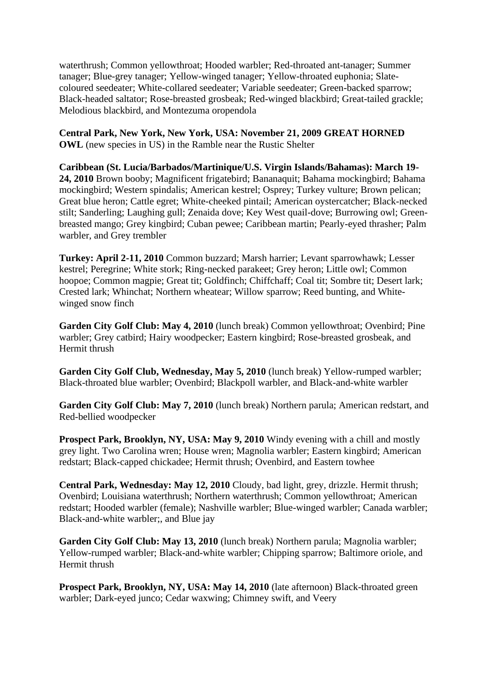waterthrush; Common yellowthroat; Hooded warbler; Red-throated ant-tanager; Summer tanager; Blue-grey tanager; Yellow-winged tanager; Yellow-throated euphonia; Slatecoloured seedeater; White-collared seedeater; Variable seedeater; Green-backed sparrow; Black-headed saltator; Rose-breasted grosbeak; Red-winged blackbird; Great-tailed grackle; Melodious blackbird, and Montezuma oropendola

**Central Park, New York, New York, USA: November 21, 2009 GREAT HORNED OWL** (new species in US) in the Ramble near the Rustic Shelter

**Caribbean (St. Lucia/Barbados/Martinique/U.S. Virgin Islands/Bahamas): March 19- 24, 2010** Brown booby; Magnificent frigatebird; Bananaquit; Bahama mockingbird; Bahama mockingbird; Western spindalis; American kestrel; Osprey; Turkey vulture; Brown pelican; Great blue heron; Cattle egret; White-cheeked pintail; American oystercatcher; Black-necked stilt; Sanderling; Laughing gull; Zenaida dove; Key West quail-dove; Burrowing owl; Greenbreasted mango; Grey kingbird; Cuban pewee; Caribbean martin; Pearly-eyed thrasher; Palm warbler, and Grey trembler

**Turkey: April 2-11, 2010** Common buzzard; Marsh harrier; Levant sparrowhawk; Lesser kestrel; Peregrine; White stork; Ring-necked parakeet; Grey heron; Little owl; Common hoopoe; Common magpie; Great tit; Goldfinch; Chiffchaff; Coal tit; Sombre tit; Desert lark; Crested lark; Whinchat; Northern wheatear; Willow sparrow; Reed bunting, and Whitewinged snow finch

**Garden City Golf Club: May 4, 2010** (lunch break) Common yellowthroat; Ovenbird; Pine warbler; Grey catbird; Hairy woodpecker; Eastern kingbird; Rose-breasted grosbeak, and Hermit thrush

**Garden City Golf Club, Wednesday, May 5, 2010** (lunch break) Yellow-rumped warbler; Black-throated blue warbler; Ovenbird; Blackpoll warbler, and Black-and-white warbler

**Garden City Golf Club: May 7, 2010** (lunch break) Northern parula; American redstart, and Red-bellied woodpecker

**Prospect Park, Brooklyn, NY, USA: May 9, 2010** Windy evening with a chill and mostly grey light. Two Carolina wren; House wren; Magnolia warbler; Eastern kingbird; American redstart; Black-capped chickadee; Hermit thrush; Ovenbird, and Eastern towhee

**Central Park, Wednesday: May 12, 2010** Cloudy, bad light, grey, drizzle. Hermit thrush; Ovenbird; Louisiana waterthrush; Northern waterthrush; Common yellowthroat; American redstart; Hooded warbler (female); Nashville warbler; Blue-winged warbler; Canada warbler; Black-and-white warbler;, and Blue jay

**Garden City Golf Club: May 13, 2010** (lunch break) Northern parula; Magnolia warbler; Yellow-rumped warbler; Black-and-white warbler; Chipping sparrow; Baltimore oriole, and Hermit thrush

**Prospect Park, Brooklyn, NY, USA: May 14, 2010** (late afternoon) Black-throated green warbler; Dark-eyed junco; Cedar waxwing; Chimney swift, and Veery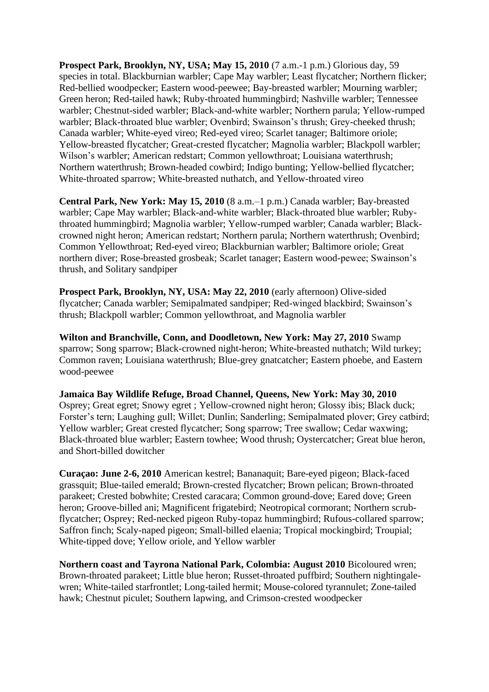**Prospect Park, Brooklyn, NY, USA; May 15, 2010** (7 a.m.-1 p.m.) Glorious day, 59 species in total. Blackburnian warbler; Cape May warbler; Least flycatcher; Northern flicker; Red-bellied woodpecker; Eastern wood-peewee; Bay-breasted warbler; Mourning warbler; Green heron; Red-tailed hawk; Ruby-throated hummingbird; Nashville warbler; Tennessee warbler; Chestnut-sided warbler; Black-and-white warbler; Northern parula; Yellow-rumped warbler; Black-throated blue warbler; Ovenbird; Swainson's thrush; Grey-cheeked thrush; Canada warbler; White-eyed vireo; Red-eyed vireo; Scarlet tanager; Baltimore oriole; Yellow-breasted flycatcher; Great-crested flycatcher; Magnolia warbler; Blackpoll warbler; Wilson's warbler; American redstart; Common yellowthroat; Louisiana waterthrush; Northern waterthrush; Brown-headed cowbird; Indigo bunting; Yellow-bellied flycatcher; White-throated sparrow; White-breasted nuthatch, and Yellow-throated vireo

**Central Park, New York: May 15, 2010** (8 a.m.–1 p.m.) Canada warbler; Bay-breasted warbler; Cape May warbler; Black-and-white warbler; Black-throated blue warbler; Rubythroated hummingbird; Magnolia warbler; Yellow-rumped warbler; Canada warbler; Blackcrowned night heron; American redstart; Northern parula; Northern waterthrush; Ovenbird; Common Yellowthroat; Red-eyed vireo; Blackburnian warbler; Baltimore oriole; Great northern diver; Rose-breasted grosbeak; Scarlet tanager; Eastern wood-pewee; Swainson's thrush, and Solitary sandpiper

**Prospect Park, Brooklyn, NY, USA: May 22, 2010** (early afternoon) Olive-sided flycatcher; Canada warbler; Semipalmated sandpiper; Red-winged blackbird; Swainson's thrush; Blackpoll warbler; Common yellowthroat, and Magnolia warbler

**Wilton and Branchville, Conn, and Doodletown, New York: May 27, 2010** Swamp sparrow; Song sparrow; Black-crowned night-heron; White-breasted nuthatch; Wild turkey; Common raven; Louisiana waterthrush; Blue-grey gnatcatcher; Eastern phoebe, and Eastern wood-peewee

**Jamaica Bay Wildlife Refuge, Broad Channel, Queens, New York: May 30, 2010** Osprey; Great egret; Snowy egret ; Yellow-crowned night heron; Glossy ibis; Black duck; Forster's tern; Laughing gull; Willet; Dunlin; Sanderling; Semipalmated plover; Grey catbird; Yellow warbler; Great crested flycatcher; Song sparrow; Tree swallow; Cedar waxwing; Black-throated blue warbler; Eastern towhee; Wood thrush; Oystercatcher; Great blue heron, and Short-billed dowitcher

**Curaçao: June 2-6, 2010** American kestrel; Bananaquit; Bare-eyed pigeon; Black-faced grassquit; Blue-tailed emerald; Brown-crested flycatcher; Brown pelican; Brown-throated parakeet; Crested bobwhite; Crested caracara; Common ground-dove; Eared dove; Green heron; Groove-billed ani; Magnificent frigatebird; Neotropical cormorant; Northern scrubflycatcher; Osprey; Red-necked pigeon Ruby-topaz hummingbird; Rufous-collared sparrow; Saffron finch; Scaly-naped pigeon; Small-billed elaenia; Tropical mockingbird; Troupial; White-tipped dove; Yellow oriole, and Yellow warbler

**Northern coast and Tayrona National Park, Colombia: August 2010** Bicoloured wren; Brown-throated parakeet; Little blue heron; Russet-throated puffbird; Southern nightingalewren; White-tailed starfrontlet; Long-tailed hermit; Mouse-colored tyrannulet; Zone-tailed hawk; Chestnut piculet; Southern lapwing, and Crimson-crested woodpecker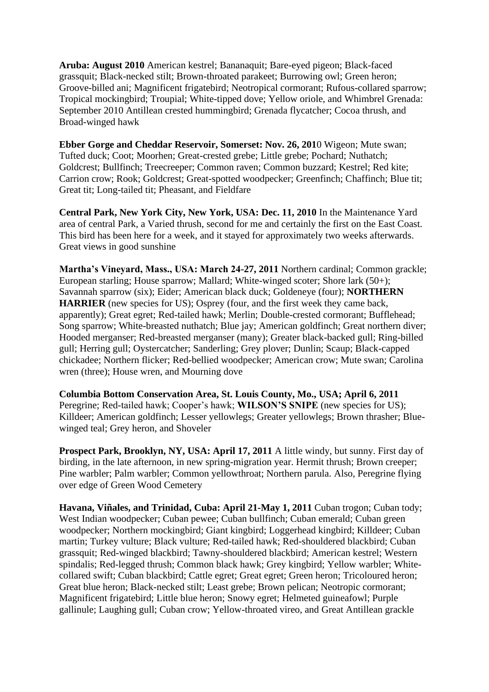**Aruba: August 2010** American kestrel; Bananaquit; Bare-eyed pigeon; Black-faced grassquit; Black-necked stilt; Brown-throated parakeet; Burrowing owl; Green heron; Groove-billed ani; Magnificent frigatebird; Neotropical cormorant; Rufous-collared sparrow; Tropical mockingbird; Troupial; White-tipped dove; Yellow oriole, and Whimbrel Grenada: September 2010 Antillean crested hummingbird; Grenada flycatcher; Cocoa thrush, and Broad-winged hawk

**Ebber Gorge and Cheddar Reservoir, Somerset: Nov. 26, 201**0 Wigeon; Mute swan; Tufted duck; Coot; Moorhen; Great-crested grebe; Little grebe; Pochard; Nuthatch; Goldcrest; Bullfinch; Treecreeper; Common raven; Common buzzard; Kestrel; Red kite; Carrion crow; Rook; Goldcrest; Great-spotted woodpecker; Greenfinch; Chaffinch; Blue tit; Great tit; Long-tailed tit; Pheasant, and Fieldfare

**Central Park, New York City, New York, USA: Dec. 11, 2010** In the Maintenance Yard area of central Park, a Varied thrush, second for me and certainly the first on the East Coast. This bird has been here for a week, and it stayed for approximately two weeks afterwards. Great views in good sunshine

**Martha's Vineyard, Mass., USA: March 24-27, 2011** Northern cardinal; Common grackle; European starling; House sparrow; Mallard; White-winged scoter; Shore lark (50+); Savannah sparrow (six); Eider; American black duck; Goldeneye (four); **NORTHERN HARRIER** (new species for US); Osprey (four, and the first week they came back, apparently); Great egret; Red-tailed hawk; Merlin; Double-crested cormorant; Bufflehead; Song sparrow; White-breasted nuthatch; Blue jay; American goldfinch; Great northern diver; Hooded merganser; Red-breasted merganser (many); Greater black-backed gull; Ring-billed gull; Herring gull; Oystercatcher; Sanderling; Grey plover; Dunlin; Scaup; Black-capped chickadee; Northern flicker; Red-bellied woodpecker; American crow; Mute swan; Carolina wren (three); House wren, and Mourning dove

**Columbia Bottom Conservation Area, St. Louis County, Mo., USA; April 6, 2011** Peregrine; Red-tailed hawk; Cooper's hawk; **WILSON'S SNIPE** (new species for US); Killdeer; American goldfinch; Lesser yellowlegs; Greater yellowlegs; Brown thrasher; Bluewinged teal; Grey heron, and Shoveler

**Prospect Park, Brooklyn, NY, USA: April 17, 2011** A little windy, but sunny. First day of birding, in the late afternoon, in new spring-migration year. Hermit thrush; Brown creeper; Pine warbler; Palm warbler; Common yellowthroat; Northern parula. Also, Peregrine flying over edge of Green Wood Cemetery

**Havana, Viñales, and Trinidad, Cuba: April 21-May 1, 2011** Cuban trogon; Cuban tody; West Indian woodpecker; Cuban pewee; Cuban bullfinch; Cuban emerald; Cuban green woodpecker; Northern mockingbird; Giant kingbird; Loggerhead kingbird; Killdeer; Cuban martin; Turkey vulture; Black vulture; Red-tailed hawk; Red-shouldered blackbird; Cuban grassquit; Red-winged blackbird; Tawny-shouldered blackbird; American kestrel; Western spindalis; Red-legged thrush; Common black hawk; Grey kingbird; Yellow warbler; Whitecollared swift; Cuban blackbird; Cattle egret; Great egret; Green heron; Tricoloured heron; Great blue heron; Black-necked stilt; Least grebe; Brown pelican; Neotropic cormorant; Magnificent frigatebird; Little blue heron; Snowy egret; Helmeted guineafowl; Purple gallinule; Laughing gull; Cuban crow; Yellow-throated vireo, and Great Antillean grackle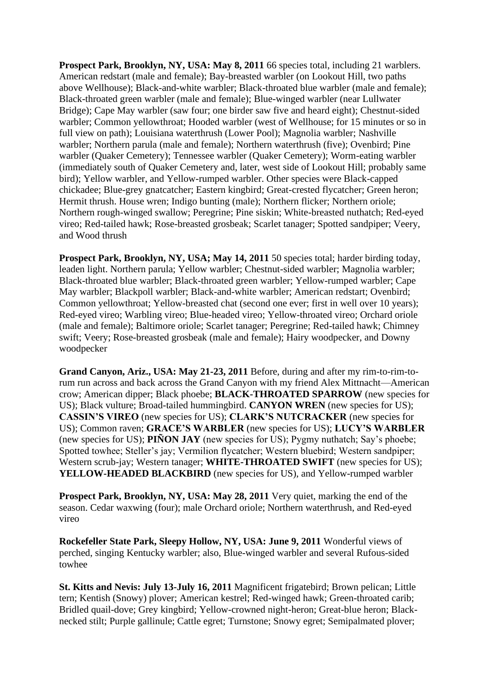**Prospect Park, Brooklyn, NY, USA: May 8, 2011** 66 species total, including 21 warblers. American redstart (male and female); Bay-breasted warbler (on Lookout Hill, two paths above Wellhouse); Black-and-white warbler; Black-throated blue warbler (male and female); Black-throated green warbler (male and female); Blue-winged warbler (near Lullwater Bridge); Cape May warbler (saw four; one birder saw five and heard eight); Chestnut-sided warbler; Common yellowthroat; Hooded warbler (west of Wellhouse; for 15 minutes or so in full view on path); Louisiana waterthrush (Lower Pool); Magnolia warbler; Nashville warbler; Northern parula (male and female); Northern waterthrush (five); Ovenbird; Pine warbler (Quaker Cemetery); Tennessee warbler (Quaker Cemetery); Worm-eating warbler (immediately south of Quaker Cemetery and, later, west side of Lookout Hill; probably same bird); Yellow warbler, and Yellow-rumped warbler. Other species were Black-capped chickadee; Blue-grey gnatcatcher; Eastern kingbird; Great-crested flycatcher; Green heron; Hermit thrush. House wren; Indigo bunting (male); Northern flicker; Northern oriole; Northern rough-winged swallow; Peregrine; Pine siskin; White-breasted nuthatch; Red-eyed vireo; Red-tailed hawk; Rose-breasted grosbeak; Scarlet tanager; Spotted sandpiper; Veery, and Wood thrush

**Prospect Park, Brooklyn, NY, USA; May 14, 2011** 50 species total; harder birding today, leaden light. Northern parula; Yellow warbler; Chestnut-sided warbler; Magnolia warbler; Black-throated blue warbler; Black-throated green warbler; Yellow-rumped warbler; Cape May warbler; Blackpoll warbler; Black-and-white warbler; American redstart; Ovenbird; Common yellowthroat; Yellow-breasted chat (second one ever; first in well over 10 years); Red-eyed vireo; Warbling vireo; Blue-headed vireo; Yellow-throated vireo; Orchard oriole (male and female); Baltimore oriole; Scarlet tanager; Peregrine; Red-tailed hawk; Chimney swift; Veery; Rose-breasted grosbeak (male and female); Hairy woodpecker, and Downy woodpecker

**Grand Canyon, Ariz., USA: May 21-23, 2011** Before, during and after my rim-to-rim-torum run across and back across the Grand Canyon with my friend Alex Mittnacht—American crow; American dipper; Black phoebe; **BLACK-THROATED SPARROW** (new species for US); Black vulture; Broad-tailed hummingbird. **CANYON WREN** (new species for US); **CASSIN'S VIREO** (new species for US); **CLARK'S NUTCRACKER** (new species for US); Common raven; **GRACE'S WARBLER** (new species for US); **LUCY'S WARBLER** (new species for US); **PIÑON JAY** (new species for US); Pygmy nuthatch; Say's phoebe; Spotted towhee; Steller's jay; Vermilion flycatcher; Western bluebird; Western sandpiper; Western scrub-jay; Western tanager; **WHITE-THROATED SWIFT** (new species for US); **YELLOW-HEADED BLACKBIRD** (new species for US), and Yellow-rumped warbler

**Prospect Park, Brooklyn, NY, USA: May 28, 2011** Very quiet, marking the end of the season. Cedar waxwing (four); male Orchard oriole; Northern waterthrush, and Red-eyed vireo

**Rockefeller State Park, Sleepy Hollow, NY, USA: June 9, 2011** Wonderful views of perched, singing Kentucky warbler; also, Blue-winged warbler and several Rufous-sided towhee

**St. Kitts and Nevis: July 13-July 16, 2011** Magnificent frigatebird; Brown pelican; Little tern; Kentish (Snowy) plover; American kestrel; Red-winged hawk; Green-throated carib; Bridled quail-dove; Grey kingbird; Yellow-crowned night-heron; Great-blue heron; Blacknecked stilt; Purple gallinule; Cattle egret; Turnstone; Snowy egret; Semipalmated plover;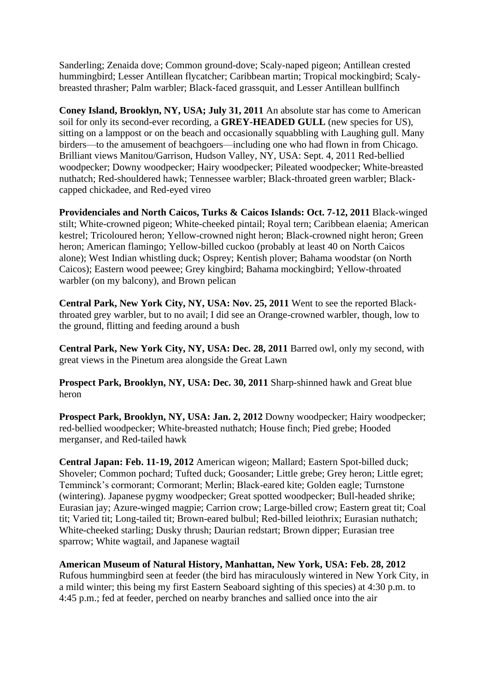Sanderling; Zenaida dove; Common ground-dove; Scaly-naped pigeon; Antillean crested hummingbird; Lesser Antillean flycatcher; Caribbean martin; Tropical mockingbird; Scalybreasted thrasher; Palm warbler; Black-faced grassquit, and Lesser Antillean bullfinch

**Coney Island, Brooklyn, NY, USA; July 31, 2011** An absolute star has come to American soil for only its second-ever recording, a **GREY-HEADED GULL** (new species for US), sitting on a lamppost or on the beach and occasionally squabbling with Laughing gull. Many birders—to the amusement of beachgoers—including one who had flown in from Chicago. Brilliant views Manitou/Garrison, Hudson Valley, NY, USA: Sept. 4, 2011 Red-bellied woodpecker; Downy woodpecker; Hairy woodpecker; Pileated woodpecker; White-breasted nuthatch; Red-shouldered hawk; Tennessee warbler; Black-throated green warbler; Blackcapped chickadee, and Red-eyed vireo

**Providenciales and North Caicos, Turks & Caicos Islands: Oct. 7-12, 2011** Black-winged stilt; White-crowned pigeon; White-cheeked pintail; Royal tern; Caribbean elaenia; American kestrel; Tricoloured heron; Yellow-crowned night heron; Black-crowned night heron; Green heron; American flamingo; Yellow-billed cuckoo (probably at least 40 on North Caicos alone); West Indian whistling duck; Osprey; Kentish plover; Bahama woodstar (on North Caicos); Eastern wood peewee; Grey kingbird; Bahama mockingbird; Yellow-throated warbler (on my balcony), and Brown pelican

**Central Park, New York City, NY, USA: Nov. 25, 2011** Went to see the reported Blackthroated grey warbler, but to no avail; I did see an Orange-crowned warbler, though, low to the ground, flitting and feeding around a bush

**Central Park, New York City, NY, USA: Dec. 28, 2011** Barred owl, only my second, with great views in the Pinetum area alongside the Great Lawn

**Prospect Park, Brooklyn, NY, USA: Dec. 30, 2011** Sharp-shinned hawk and Great blue heron

**Prospect Park, Brooklyn, NY, USA: Jan. 2, 2012** Downy woodpecker; Hairy woodpecker; red-bellied woodpecker; White-breasted nuthatch; House finch; Pied grebe; Hooded merganser, and Red-tailed hawk

**Central Japan: Feb. 11-19, 2012** American wigeon; Mallard; Eastern Spot-billed duck; Shoveler; Common pochard; Tufted duck; Goosander; Little grebe; Grey heron; Little egret; Temminck's cormorant; Cormorant; Merlin; Black-eared kite; Golden eagle; Turnstone (wintering). Japanese pygmy woodpecker; Great spotted woodpecker; Bull-headed shrike; Eurasian jay; Azure-winged magpie; Carrion crow; Large-billed crow; Eastern great tit; Coal tit; Varied tit; Long-tailed tit; Brown-eared bulbul; Red-billed leiothrix; Eurasian nuthatch; White-cheeked starling; Dusky thrush; Daurian redstart; Brown dipper; Eurasian tree sparrow; White wagtail, and Japanese wagtail

**American Museum of Natural History, Manhattan, New York, USA: Feb. 28, 2012** Rufous hummingbird seen at feeder (the bird has miraculously wintered in New York City, in a mild winter; this being my first Eastern Seaboard sighting of this species) at 4:30 p.m. to 4:45 p.m.; fed at feeder, perched on nearby branches and sallied once into the air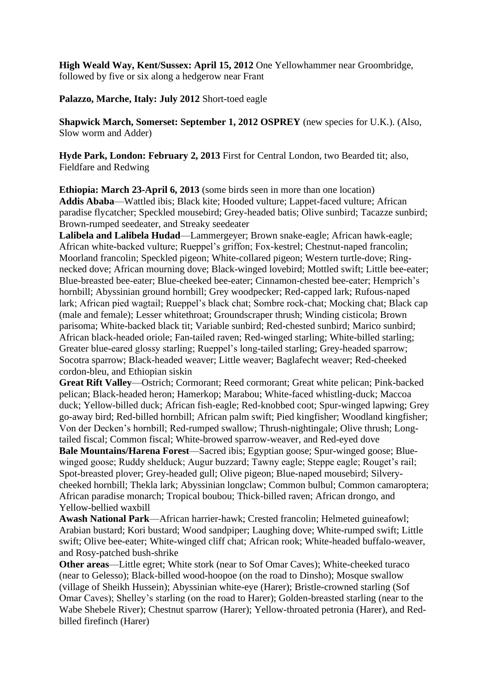**High Weald Way, Kent/Sussex: April 15, 2012** One Yellowhammer near Groombridge, followed by five or six along a hedgerow near Frant

**Palazzo, Marche, Italy: July 2012** Short-toed eagle

**Shapwick March, Somerset: September 1, 2012 OSPREY** (new species for U.K.). (Also, Slow worm and Adder)

**Hyde Park, London: February 2, 2013** First for Central London, two Bearded tit; also, Fieldfare and Redwing

**Ethiopia: March 23-April 6, 2013** (some birds seen in more than one location) **Addis Ababa**—Wattled ibis; Black kite; Hooded vulture; Lappet-faced vulture; African paradise flycatcher; Speckled mousebird; Grey-headed batis; Olive sunbird; Tacazze sunbird; Brown-rumped seedeater, and Streaky seedeater

**Lalibela and Lalibela Hudad**—Lammergeyer; Brown snake-eagle; African hawk-eagle; African white-backed vulture; Rueppel's griffon; Fox-kestrel; Chestnut-naped francolin; Moorland francolin; Speckled pigeon; White-collared pigeon; Western turtle-dove; Ringnecked dove; African mourning dove; Black-winged lovebird; Mottled swift; Little bee-eater; Blue-breasted bee-eater; Blue-cheeked bee-eater; Cinnamon-chested bee-eater; Hemprich's hornbill; Abyssinian ground hornbill; Grey woodpecker; Red-capped lark; Rufous-naped lark; African pied wagtail; Rueppel's black chat; Sombre rock-chat; Mocking chat; Black cap (male and female); Lesser whitethroat; Groundscraper thrush; Winding cisticola; Brown parisoma; White-backed black tit; Variable sunbird; Red-chested sunbird; Marico sunbird; African black-headed oriole; Fan-tailed raven; Red-winged starling; White-billed starling; Greater blue-eared glossy starling; Rueppel's long-tailed starling; Grey-headed sparrow; Socotra sparrow; Black-headed weaver; Little weaver; Baglafecht weaver; Red-cheeked cordon-bleu, and Ethiopian siskin

**Great Rift Valley**—Ostrich; Cormorant; Reed cormorant; Great white pelican; Pink-backed pelican; Black-headed heron; Hamerkop; Marabou; White-faced whistling-duck; Maccoa duck; Yellow-billed duck; African fish-eagle; Red-knobbed coot; Spur-winged lapwing; Grey go-away bird; Red-billed hornbill; African palm swift; Pied kingfisher; Woodland kingfisher; Von der Decken's hornbill; Red-rumped swallow; Thrush-nightingale; Olive thrush; Longtailed fiscal; Common fiscal; White-browed sparrow-weaver, and Red-eyed dove

**Bale Mountains/Harena Forest**—Sacred ibis; Egyptian goose; Spur-winged goose; Bluewinged goose; Ruddy shelduck; Augur buzzard; Tawny eagle; Steppe eagle; Rouget's rail; Spot-breasted plover; Grey-headed gull; Olive pigeon; Blue-naped mousebird; Silverycheeked hornbill; Thekla lark; Abyssinian longclaw; Common bulbul; Common camaroptera; African paradise monarch; Tropical boubou; Thick-billed raven; African drongo, and Yellow-bellied waxbill

**Awash National Park**—African harrier-hawk; Crested francolin; Helmeted guineafowl; Arabian bustard; Kori bustard; Wood sandpiper; Laughing dove; White-rumped swift; Little swift; Olive bee-eater; White-winged cliff chat; African rook; White-headed buffalo-weaver, and Rosy-patched bush-shrike

**Other areas**—Little egret; White stork (near to Sof Omar Caves); White-cheeked turaco (near to Gelesso); Black-billed wood-hoopoe (on the road to Dinsho); Mosque swallow (village of Sheikh Hussein); Abyssinian white-eye (Harer); Bristle-crowned starling (Sof Omar Caves); Shelley's starling (on the road to Harer); Golden-breasted starling (near to the Wabe Shebele River); Chestnut sparrow (Harer); Yellow-throated petronia (Harer), and Redbilled firefinch (Harer)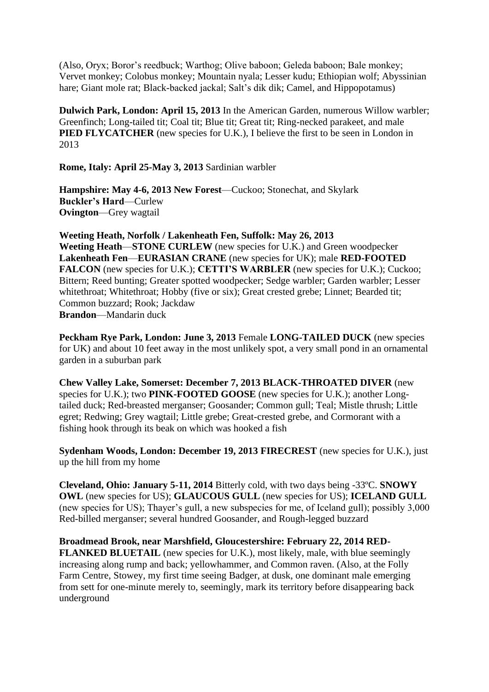(Also, Oryx; Boror's reedbuck; Warthog; Olive baboon; Geleda baboon; Bale monkey; Vervet monkey; Colobus monkey; Mountain nyala; Lesser kudu; Ethiopian wolf; Abyssinian hare; Giant mole rat; Black-backed jackal; Salt's dik dik; Camel, and Hippopotamus)

**Dulwich Park, London: April 15, 2013** In the American Garden, numerous Willow warbler; Greenfinch; Long-tailed tit; Coal tit; Blue tit; Great tit; Ring-necked parakeet, and male **PIED FLYCATCHER** (new species for U.K.), I believe the first to be seen in London in 2013

**Rome, Italy: April 25-May 3, 2013** Sardinian warbler

**Hampshire: May 4-6, 2013 New Forest**—Cuckoo; Stonechat, and Skylark **Buckler's Hard**—Curlew **Ovington**—Grey wagtail

**Weeting Heath, Norfolk / Lakenheath Fen, Suffolk: May 26, 2013 Weeting Heath**—**STONE CURLEW** (new species for U.K.) and Green woodpecker **Lakenheath Fen**—**EURASIAN CRANE** (new species for UK); male **RED-FOOTED FALCON** (new species for U.K.); **CETTI'S WARBLER** (new species for U.K.); Cuckoo; Bittern; Reed bunting; Greater spotted woodpecker; Sedge warbler; Garden warbler; Lesser whitethroat; Whitethroat; Hobby (five or six); Great crested grebe; Linnet; Bearded tit; Common buzzard; Rook; Jackdaw **Brandon**—Mandarin duck

**Peckham Rye Park, London: June 3, 2013** Female **LONG-TAILED DUCK** (new species for UK) and about 10 feet away in the most unlikely spot, a very small pond in an ornamental garden in a suburban park

**Chew Valley Lake, Somerset: December 7, 2013 BLACK-THROATED DIVER** (new species for U.K.); two **PINK-FOOTED GOOSE** (new species for U.K.); another Longtailed duck; Red-breasted merganser; Goosander; Common gull; Teal; Mistle thrush; Little egret; Redwing; Grey wagtail; Little grebe; Great-crested grebe, and Cormorant with a fishing hook through its beak on which was hooked a fish

**Sydenham Woods, London: December 19, 2013 FIRECREST** (new species for U.K.), just up the hill from my home

**Cleveland, Ohio: January 5-11, 2014** Bitterly cold, with two days being -33ºC. **SNOWY OWL** (new species for US); **GLAUCOUS GULL** (new species for US); **ICELAND GULL** (new species for US); Thayer's gull, a new subspecies for me, of Iceland gull); possibly 3,000 Red-billed merganser; several hundred Goosander, and Rough-legged buzzard

**Broadmead Brook, near Marshfield, Gloucestershire: February 22, 2014 RED-FLANKED BLUETAIL** (new species for U.K.), most likely, male, with blue seemingly increasing along rump and back; yellowhammer, and Common raven. (Also, at the Folly Farm Centre, Stowey, my first time seeing Badger, at dusk, one dominant male emerging from sett for one-minute merely to, seemingly, mark its territory before disappearing back underground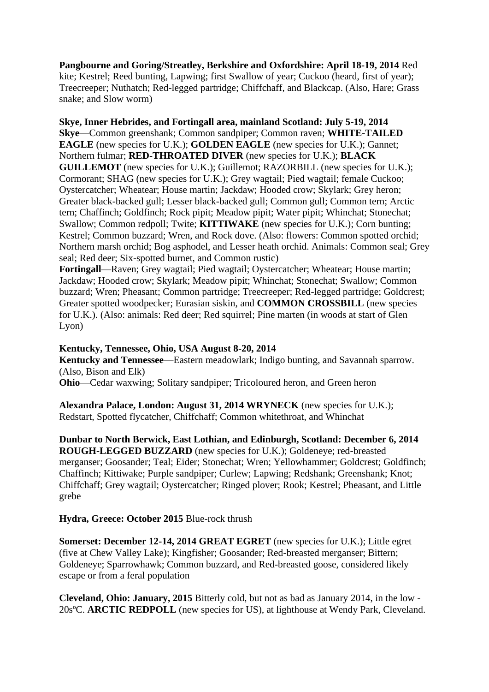**Pangbourne and Goring/Streatley, Berkshire and Oxfordshire: April 18-19, 2014** Red kite; Kestrel; Reed bunting, Lapwing; first Swallow of year; Cuckoo (heard, first of year); Treecreeper; Nuthatch; Red-legged partridge; Chiffchaff, and Blackcap. (Also, Hare; Grass snake; and Slow worm)

# **Skye, Inner Hebrides, and Fortingall area, mainland Scotland: July 5-19, 2014**

**Skye**—Common greenshank; Common sandpiper; Common raven; **WHITE-TAILED EAGLE** (new species for U.K.); **GOLDEN EAGLE** (new species for U.K.); Gannet; Northern fulmar; **RED-THROATED DIVER** (new species for U.K.); **BLACK GUILLEMOT** (new species for U.K.); Guillemot; RAZORBILL (new species for U.K.); Cormorant; SHAG (new species for U.K.); Grey wagtail; Pied wagtail; female Cuckoo; Oystercatcher; Wheatear; House martin; Jackdaw; Hooded crow; Skylark; Grey heron; Greater black-backed gull; Lesser black-backed gull; Common gull; Common tern; Arctic tern; Chaffinch; Goldfinch; Rock pipit; Meadow pipit; Water pipit; Whinchat; Stonechat; Swallow; Common redpoll; Twite; **KITTIWAKE** (new species for U.K.); Corn bunting; Kestrel; Common buzzard; Wren, and Rock dove. (Also: flowers: Common spotted orchid; Northern marsh orchid; Bog asphodel, and Lesser heath orchid. Animals: Common seal; Grey seal; Red deer; Six-spotted burnet, and Common rustic)

**Fortingall**—Raven; Grey wagtail; Pied wagtail; Oystercatcher; Wheatear; House martin; Jackdaw; Hooded crow; Skylark; Meadow pipit; Whinchat; Stonechat; Swallow; Common buzzard; Wren; Pheasant; Common partridge; Treecreeper; Red-legged partridge; Goldcrest; Greater spotted woodpecker; Eurasian siskin, and **COMMON CROSSBILL** (new species for U.K.). (Also: animals: Red deer; Red squirrel; Pine marten (in woods at start of Glen Lyon)

### **Kentucky, Tennessee, Ohio, USA August 8-20, 2014**

**Kentucky and Tennessee**—Eastern meadowlark; Indigo bunting, and Savannah sparrow. (Also, Bison and Elk)

**Ohio—Cedar waxwing: Solitary sandpiper: Tricoloured heron, and Green heron** 

**Alexandra Palace, London: August 31, 2014 WRYNECK** (new species for U.K.); Redstart, Spotted flycatcher, Chiffchaff; Common whitethroat, and Whinchat

**Dunbar to North Berwick, East Lothian, and Edinburgh, Scotland: December 6, 2014 ROUGH-LEGGED BUZZARD** (new species for U.K.); Goldeneye; red-breasted merganser; Goosander; Teal; Eider; Stonechat; Wren; Yellowhammer; Goldcrest; Goldfinch; Chaffinch; Kittiwake; Purple sandpiper; Curlew; Lapwing; Redshank; Greenshank; Knot; Chiffchaff; Grey wagtail; Oystercatcher; Ringed plover; Rook; Kestrel; Pheasant, and Little grebe

**Hydra, Greece: October 2015** Blue-rock thrush

**Somerset: December 12-14, 2014 GREAT EGRET** (new species for U.K.); Little egret (five at Chew Valley Lake); Kingfisher; Goosander; Red-breasted merganser; Bittern; Goldeneye; Sparrowhawk; Common buzzard, and Red-breasted goose, considered likely escape or from a feral population

**Cleveland, Ohio: January, 2015** Bitterly cold, but not as bad as January 2014, in the low - 20sºC. **ARCTIC REDPOLL** (new species for US), at lighthouse at Wendy Park, Cleveland.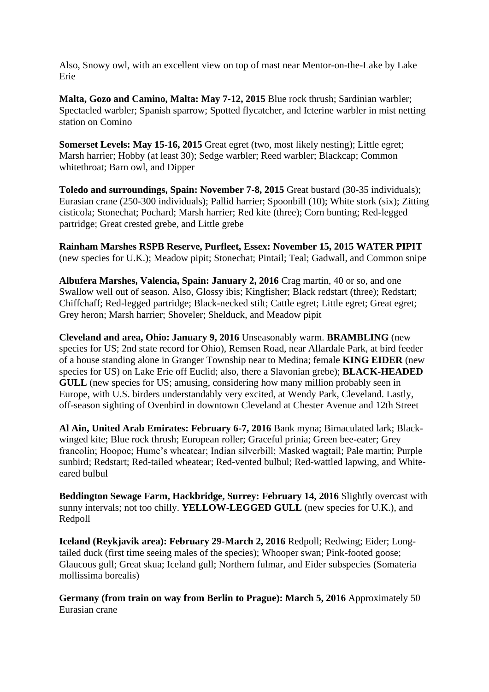Also, Snowy owl, with an excellent view on top of mast near Mentor-on-the-Lake by Lake Erie

**Malta, Gozo and Camino, Malta: May 7-12, 2015** Blue rock thrush; Sardinian warbler; Spectacled warbler; Spanish sparrow; Spotted flycatcher, and Icterine warbler in mist netting station on Comino

**Somerset Levels: May 15-16, 2015** Great egret (two, most likely nesting); Little egret; Marsh harrier; Hobby (at least 30); Sedge warbler; Reed warbler; Blackcap; Common whitethroat; Barn owl, and Dipper

**Toledo and surroundings, Spain: November 7-8, 2015** Great bustard (30-35 individuals); Eurasian crane (250-300 individuals); Pallid harrier; Spoonbill (10); White stork (six); Zitting cisticola; Stonechat; Pochard; Marsh harrier; Red kite (three); Corn bunting; Red-legged partridge; Great crested grebe, and Little grebe

**Rainham Marshes RSPB Reserve, Purfleet, Essex: November 15, 2015 WATER PIPIT** (new species for U.K.); Meadow pipit; Stonechat; Pintail; Teal; Gadwall, and Common snipe

**Albufera Marshes, Valencia, Spain: January 2, 2016** Crag martin, 40 or so, and one Swallow well out of season. Also, Glossy ibis; Kingfisher; Black redstart (three); Redstart; Chiffchaff; Red-legged partridge; Black-necked stilt; Cattle egret; Little egret; Great egret; Grey heron; Marsh harrier; Shoveler; Shelduck, and Meadow pipit

**Cleveland and area, Ohio: January 9, 2016** Unseasonably warm. **BRAMBLING** (new species for US; 2nd state record for Ohio), Remsen Road, near Allardale Park, at bird feeder of a house standing alone in Granger Township near to Medina; female **KING EIDER** (new species for US) on Lake Erie off Euclid; also, there a Slavonian grebe); **BLACK-HEADED GULL** (new species for US; amusing, considering how many million probably seen in Europe, with U.S. birders understandably very excited, at Wendy Park, Cleveland. Lastly, off-season sighting of Ovenbird in downtown Cleveland at Chester Avenue and 12th Street

**Al Ain, United Arab Emirates: February 6-7, 2016** Bank myna; Bimaculated lark; Blackwinged kite; Blue rock thrush; European roller; Graceful prinia; Green bee-eater; Grey francolin; Hoopoe; Hume's wheatear; Indian silverbill; Masked wagtail; Pale martin; Purple sunbird; Redstart; Red-tailed wheatear; Red-vented bulbul; Red-wattled lapwing, and Whiteeared bulbul

**Beddington Sewage Farm, Hackbridge, Surrey: February 14, 2016** Slightly overcast with sunny intervals; not too chilly. **YELLOW-LEGGED GULL** (new species for U.K.), and Redpoll

**Iceland (Reykjavik area): February 29-March 2, 2016** Redpoll; Redwing; Eider; Longtailed duck (first time seeing males of the species); Whooper swan; Pink-footed goose; Glaucous gull; Great skua; Iceland gull; Northern fulmar, and Eider subspecies (Somateria mollissima borealis)

**Germany (from train on way from Berlin to Prague): March 5, 2016** Approximately 50 Eurasian crane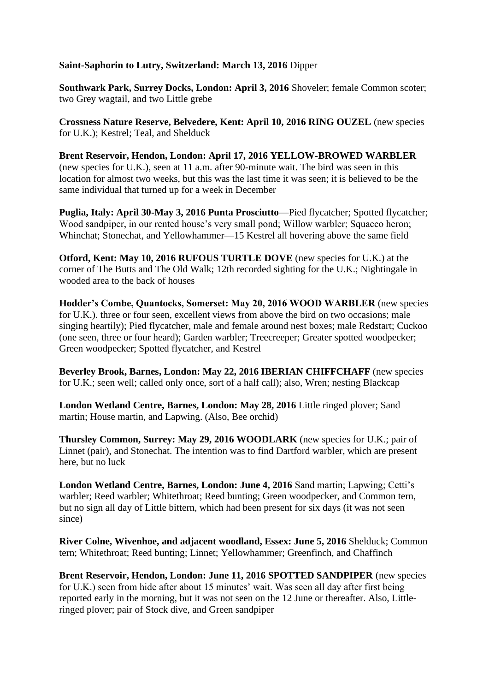## **Saint-Saphorin to Lutry, Switzerland: March 13, 2016** Dipper

**Southwark Park, Surrey Docks, London: April 3, 2016** Shoveler; female Common scoter; two Grey wagtail, and two Little grebe

**Crossness Nature Reserve, Belvedere, Kent: April 10, 2016 RING OUZEL** (new species for U.K.); Kestrel; Teal, and Shelduck

**Brent Reservoir, Hendon, London: April 17, 2016 YELLOW-BROWED WARBLER** (new species for U.K.), seen at 11 a.m. after 90-minute wait. The bird was seen in this location for almost two weeks, but this was the last time it was seen; it is believed to be the same individual that turned up for a week in December

**Puglia, Italy: April 30-May 3, 2016 Punta Prosciutto**—Pied flycatcher; Spotted flycatcher; Wood sandpiper, in our rented house's very small pond; Willow warbler; Squacco heron; Whinchat; Stonechat, and Yellowhammer—15 Kestrel all hovering above the same field

**Otford, Kent: May 10, 2016 RUFOUS TURTLE DOVE** (new species for U.K.) at the corner of The Butts and The Old Walk; 12th recorded sighting for the U.K.; Nightingale in wooded area to the back of houses

**Hodder's Combe, Quantocks, Somerset: May 20, 2016 WOOD WARBLER** (new species for U.K.). three or four seen, excellent views from above the bird on two occasions; male singing heartily); Pied flycatcher, male and female around nest boxes; male Redstart; Cuckoo (one seen, three or four heard); Garden warbler; Treecreeper; Greater spotted woodpecker; Green woodpecker; Spotted flycatcher, and Kestrel

**Beverley Brook, Barnes, London: May 22, 2016 IBERIAN CHIFFCHAFF** (new species for U.K.; seen well; called only once, sort of a half call); also, Wren; nesting Blackcap

**London Wetland Centre, Barnes, London: May 28, 2016** Little ringed plover; Sand martin; House martin, and Lapwing. (Also, Bee orchid)

**Thursley Common, Surrey: May 29, 2016 WOODLARK** (new species for U.K.; pair of Linnet (pair), and Stonechat. The intention was to find Dartford warbler, which are present here, but no luck

**London Wetland Centre, Barnes, London: June 4, 2016** Sand martin; Lapwing; Cetti's warbler; Reed warbler; Whitethroat; Reed bunting; Green woodpecker, and Common tern, but no sign all day of Little bittern, which had been present for six days (it was not seen since)

**River Colne, Wivenhoe, and adjacent woodland, Essex: June 5, 2016** Shelduck; Common tern; Whitethroat; Reed bunting; Linnet; Yellowhammer; Greenfinch, and Chaffinch

**Brent Reservoir, Hendon, London: June 11, 2016 SPOTTED SANDPIPER** (new species for U.K.) seen from hide after about 15 minutes' wait. Was seen all day after first being reported early in the morning, but it was not seen on the 12 June or thereafter. Also, Littleringed plover; pair of Stock dive, and Green sandpiper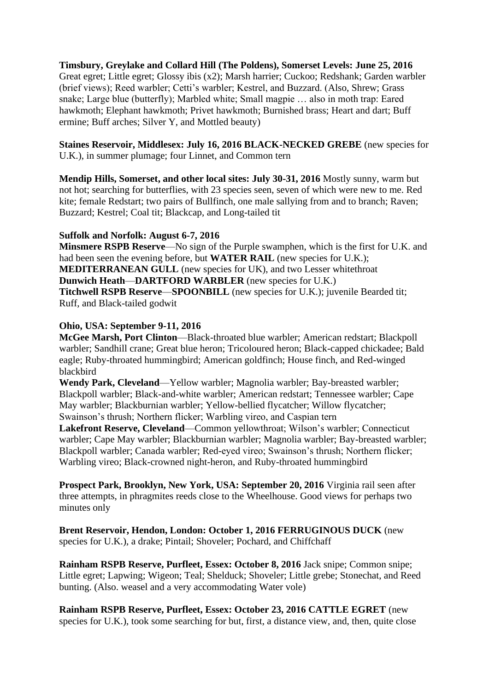**Timsbury, Greylake and Collard Hill (The Poldens), Somerset Levels: June 25, 2016** Great egret; Little egret; Glossy ibis (x2); Marsh harrier; Cuckoo; Redshank; Garden warbler (brief views); Reed warbler; Cetti's warbler; Kestrel, and Buzzard. (Also, Shrew; Grass snake; Large blue (butterfly); Marbled white; Small magpie … also in moth trap: Eared hawkmoth; Elephant hawkmoth; Privet hawkmoth; Burnished brass; Heart and dart; Buff ermine; Buff arches; Silver Y, and Mottled beauty)

**Staines Reservoir, Middlesex: July 16, 2016 BLACK-NECKED GREBE** (new species for U.K.), in summer plumage; four Linnet, and Common tern

**Mendip Hills, Somerset, and other local sites: July 30-31, 2016** Mostly sunny, warm but not hot; searching for butterflies, with 23 species seen, seven of which were new to me. Red kite; female Redstart; two pairs of Bullfinch, one male sallying from and to branch; Raven; Buzzard; Kestrel; Coal tit; Blackcap, and Long-tailed tit

### **Suffolk and Norfolk: August 6-7, 2016**

**Minsmere RSPB Reserve**—No sign of the Purple swamphen, which is the first for U.K. and had been seen the evening before, but **WATER RAIL** (new species for U.K.); **MEDITERRANEAN GULL** (new species for UK), and two Lesser whitethroat **Dunwich Heath**—**DARTFORD WARBLER** (new species for U.K.) **Titchwell RSPB Reserve**—**SPOONBILL** (new species for U.K.); juvenile Bearded tit; Ruff, and Black-tailed godwit

## **Ohio, USA: September 9-11, 2016**

**McGee Marsh, Port Clinton**—Black-throated blue warbler; American redstart; Blackpoll warbler; Sandhill crane; Great blue heron; Tricoloured heron; Black-capped chickadee; Bald eagle; Ruby-throated hummingbird; American goldfinch; House finch, and Red-winged blackbird

**Wendy Park, Cleveland**—Yellow warbler; Magnolia warbler; Bay-breasted warbler; Blackpoll warbler; Black-and-white warbler; American redstart; Tennessee warbler; Cape May warbler; Blackburnian warbler; Yellow-bellied flycatcher; Willow flycatcher; Swainson's thrush; Northern flicker; Warbling vireo, and Caspian tern

**Lakefront Reserve, Cleveland**—Common yellowthroat; Wilson's warbler; Connecticut warbler; Cape May warbler; Blackburnian warbler; Magnolia warbler; Bay-breasted warbler; Blackpoll warbler; Canada warbler; Red-eyed vireo; Swainson's thrush; Northern flicker; Warbling vireo; Black-crowned night-heron, and Ruby-throated hummingbird

**Prospect Park, Brooklyn, New York, USA: September 20, 2016** Virginia rail seen after three attempts, in phragmites reeds close to the Wheelhouse. Good views for perhaps two minutes only

**Brent Reservoir, Hendon, London: October 1, 2016 FERRUGINOUS DUCK** (new species for U.K.), a drake; Pintail; Shoveler; Pochard, and Chiffchaff

**Rainham RSPB Reserve, Purfleet, Essex: October 8, 2016** Jack snipe; Common snipe; Little egret; Lapwing; Wigeon; Teal; Shelduck; Shoveler; Little grebe; Stonechat, and Reed bunting. (Also. weasel and a very accommodating Water vole)

**Rainham RSPB Reserve, Purfleet, Essex: October 23, 2016 CATTLE EGRET** (new species for U.K.), took some searching for but, first, a distance view, and, then, quite close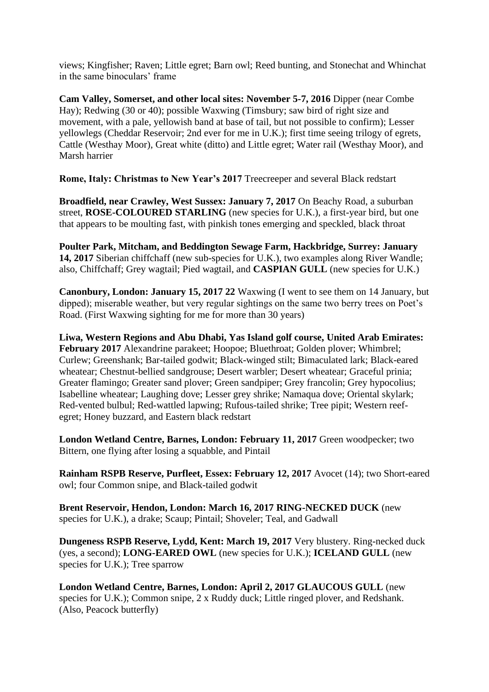views; Kingfisher; Raven; Little egret; Barn owl; Reed bunting, and Stonechat and Whinchat in the same binoculars' frame

**Cam Valley, Somerset, and other local sites: November 5-7, 2016** Dipper (near Combe Hay); Redwing (30 or 40); possible Waxwing (Timsbury; saw bird of right size and movement, with a pale, yellowish band at base of tail, but not possible to confirm); Lesser yellowlegs (Cheddar Reservoir; 2nd ever for me in U.K.); first time seeing trilogy of egrets, Cattle (Westhay Moor), Great white (ditto) and Little egret; Water rail (Westhay Moor), and Marsh harrier

**Rome, Italy: Christmas to New Year's 2017** Treecreeper and several Black redstart

**Broadfield, near Crawley, West Sussex: January 7, 2017** On Beachy Road, a suburban street, **ROSE-COLOURED STARLING** (new species for U.K.), a first-year bird, but one that appears to be moulting fast, with pinkish tones emerging and speckled, black throat

**Poulter Park, Mitcham, and Beddington Sewage Farm, Hackbridge, Surrey: January 14, 2017** Siberian chiffchaff (new sub-species for U.K.), two examples along River Wandle; also, Chiffchaff; Grey wagtail; Pied wagtail, and **CASPIAN GULL** (new species for U.K.)

**Canonbury, London: January 15, 2017 22** Waxwing (I went to see them on 14 January, but dipped); miserable weather, but very regular sightings on the same two berry trees on Poet's Road. (First Waxwing sighting for me for more than 30 years)

**Liwa, Western Regions and Abu Dhabi, Yas Island golf course, United Arab Emirates: February 2017** Alexandrine parakeet; Hoopoe; Bluethroat; Golden plover; Whimbrel; Curlew; Greenshank; Bar-tailed godwit; Black-winged stilt; Bimaculated lark; Black-eared wheatear; Chestnut-bellied sandgrouse; Desert warbler; Desert wheatear; Graceful prinia; Greater flamingo; Greater sand plover; Green sandpiper; Grey francolin; Grey hypocolius; Isabelline wheatear; Laughing dove; Lesser grey shrike; Namaqua dove; Oriental skylark; Red-vented bulbul; Red-wattled lapwing; Rufous-tailed shrike; Tree pipit; Western reefegret; Honey buzzard, and Eastern black redstart

**London Wetland Centre, Barnes, London: February 11, 2017** Green woodpecker; two Bittern, one flying after losing a squabble, and Pintail

**Rainham RSPB Reserve, Purfleet, Essex: February 12, 2017** Avocet (14); two Short-eared owl; four Common snipe, and Black-tailed godwit

**Brent Reservoir, Hendon, London: March 16, 2017 RING-NECKED DUCK** (new species for U.K.), a drake; Scaup; Pintail; Shoveler; Teal, and Gadwall

**Dungeness RSPB Reserve, Lydd, Kent: March 19, 2017** Very blustery. Ring-necked duck (yes, a second); **LONG-EARED OWL** (new species for U.K.); **ICELAND GULL** (new species for U.K.); Tree sparrow

**London Wetland Centre, Barnes, London: April 2, 2017 GLAUCOUS GULL** (new species for U.K.); Common snipe, 2 x Ruddy duck; Little ringed plover, and Redshank. (Also, Peacock butterfly)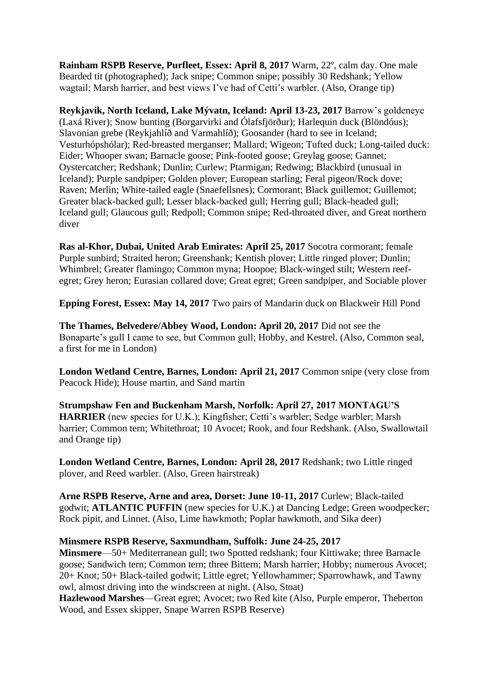**Rainham RSPB Reserve, Purfleet, Essex: April 8, 2017** Warm, 22º, calm day. One male Bearded tit (photographed); Jack snipe; Common snipe; possibly 30 Redshank; Yellow wagtail; Marsh harrier, and best views I've had of Cetti's warbler. (Also, Orange tip)

**Reykjavik, North Iceland, Lake Mývatn, Iceland: April 13-23, 2017** Barrow's goldeneye (Laxá River); Snow bunting (Borgarvirki and Ólafsfjörður); Harlequin duck (Blöndóus); Slavonian grebe (Reykjahlíð and Varmahlíð); Goosander (hard to see in Iceland; Vesturhópshólar); Red-breasted merganser; Mallard; Wigeon; Tufted duck; Long-tailed duck: Eider; Whooper swan; Barnacle goose; Pink-footed goose; Greylag goose; Gannet; Oystercatcher; Redshank; Dunlin; Curlew; Ptarmigan; Redwing; Blackbird (unusual in Iceland); Purple sandpiper; Golden plover; European starling; Feral pigeon/Rock dove; Raven; Merlin; White-tailed eagle (Snaefellsnes); Cormorant; Black guillemot; Guillemot; Greater black-backed gull; Lesser black-backed gull; Herring gull; Black-headed gull; Iceland gull; Glaucous gull; Redpoll; Common snipe; Red-throated diver, and Great northern diver

**Ras al-Khor, Dubai, United Arab Emirates: April 25, 2017** Socotra cormorant; female Purple sunbird; Straited heron; Greenshank; Kentish plover; Little ringed plover; Dunlin; Whimbrel; Greater flamingo; Common myna; Hoopoe; Black-winged stilt; Western reefegret; Grey heron; Eurasian collared dove; Great egret; Green sandpiper, and Sociable plover

**Epping Forest, Essex: May 14, 2017** Two pairs of Mandarin duck on Blackweir Hill Pond

**The Thames, Belvedere/Abbey Wood, London: April 20, 2017** Did not see the Bonaparte's gull I came to see, but Common gull; Hobby, and Kestrel. (Also, Common seal, a first for me in London)

**London Wetland Centre, Barnes, London: April 21, 2017** Common snipe (very close from Peacock Hide); House martin, and Sand martin

**Strumpshaw Fen and Buckenham Marsh, Norfolk: April 27, 2017 MONTAGU'S HARRIER** (new species for U.K.); Kingfisher; Cetti's warbler; Sedge warbler; Marsh harrier; Common tern; Whitethroat; 10 Avocet; Rook, and four Redshank. (Also, Swallowtail and Orange tip)

**London Wetland Centre, Barnes, London: April 28, 2017** Redshank; two Little ringed plover, and Reed warbler. (Also, Green hairstreak)

**Arne RSPB Reserve, Arne and area, Dorset: June 10-11, 2017** Curlew; Black-tailed godwit; **ATLANTIC PUFFIN** (new species for U.K.) at Dancing Ledge; Green woodpecker; Rock pipit, and Linnet. (Also, Lime hawkmoth; Poplar hawkmoth, and Sika deer)

### **Minsmere RSPB Reserve, Saxmundham, Suffolk: June 24-25, 2017**

**Minsmere**—50+ Mediterranean gull; two Spotted redshank; four Kittiwake; three Barnacle goose; Sandwich tern; Common tern; three Bittern; Marsh harrier; Hobby; numerous Avocet; 20+ Knot; 50+ Black-tailed godwit; Little egret; Yellowhammer; Sparrowhawk, and Tawny owl, almost driving into the windscreen at night. (Also, Stoat)

**Hazlewood Marshes**—Great egret; Avocet; two Red kite (Also, Purple emperor, Theberton Wood, and Essex skipper, Snape Warren RSPB Reserve)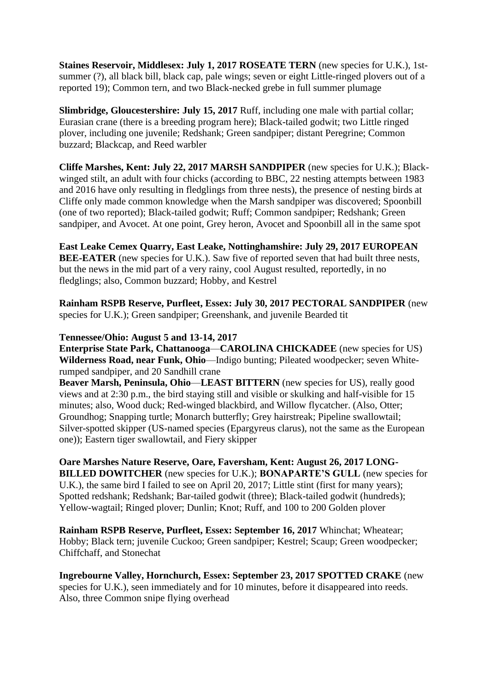**Staines Reservoir, Middlesex: July 1, 2017 ROSEATE TERN** (new species for U.K.), 1stsummer (?), all black bill, black cap, pale wings; seven or eight Little-ringed plovers out of a reported 19); Common tern, and two Black-necked grebe in full summer plumage

**Slimbridge, Gloucestershire: July 15, 2017** Ruff, including one male with partial collar; Eurasian crane (there is a breeding program here); Black-tailed godwit; two Little ringed plover, including one juvenile; Redshank; Green sandpiper; distant Peregrine; Common buzzard; Blackcap, and Reed warbler

**Cliffe Marshes, Kent: July 22, 2017 MARSH SANDPIPER** (new species for U.K.); Blackwinged stilt, an adult with four chicks (according to BBC, 22 nesting attempts between 1983 and 2016 have only resulting in fledglings from three nests), the presence of nesting birds at Cliffe only made common knowledge when the Marsh sandpiper was discovered; Spoonbill (one of two reported); Black-tailed godwit; Ruff; Common sandpiper; Redshank; Green sandpiper, and Avocet. At one point, Grey heron, Avocet and Spoonbill all in the same spot

**East Leake Cemex Quarry, East Leake, Nottinghamshire: July 29, 2017 EUROPEAN BEE-EATER** (new species for U.K.). Saw five of reported seven that had built three nests, but the news in the mid part of a very rainy, cool August resulted, reportedly, in no fledglings; also, Common buzzard; Hobby, and Kestrel

**Rainham RSPB Reserve, Purfleet, Essex: July 30, 2017 PECTORAL SANDPIPER** (new species for U.K.); Green sandpiper; Greenshank, and juvenile Bearded tit

### **Tennessee/Ohio: August 5 and 13-14, 2017**

**Enterprise State Park, Chattanooga**—**CAROLINA CHICKADEE** (new species for US) **Wilderness Road, near Funk, Ohio**—Indigo bunting; Pileated woodpecker; seven Whiterumped sandpiper, and 20 Sandhill crane

**Beaver Marsh, Peninsula, Ohio**—**LEAST BITTERN** (new species for US), really good views and at 2:30 p.m., the bird staying still and visible or skulking and half-visible for 15 minutes; also, Wood duck; Red-winged blackbird, and Willow flycatcher. (Also, Otter; Groundhog; Snapping turtle; Monarch butterfly; Grey hairstreak; Pipeline swallowtail; Silver-spotted skipper (US-named species (Epargyreus clarus), not the same as the European one)); Eastern tiger swallowtail, and Fiery skipper

**Oare Marshes Nature Reserve, Oare, Faversham, Kent: August 26, 2017 LONG-BILLED DOWITCHER** (new species for U.K.); **BONAPARTE'S GULL** (new species for U.K.), the same bird I failed to see on April 20, 2017; Little stint (first for many years); Spotted redshank; Redshank; Bar-tailed godwit (three); Black-tailed godwit (hundreds); Yellow-wagtail; Ringed plover; Dunlin; Knot; Ruff, and 100 to 200 Golden plover

**Rainham RSPB Reserve, Purfleet, Essex: September 16, 2017** Whinchat; Wheatear; Hobby; Black tern; juvenile Cuckoo; Green sandpiper; Kestrel; Scaup; Green woodpecker; Chiffchaff, and Stonechat

**Ingrebourne Valley, Hornchurch, Essex: September 23, 2017 SPOTTED CRAKE** (new species for U.K.), seen immediately and for 10 minutes, before it disappeared into reeds. Also, three Common snipe flying overhead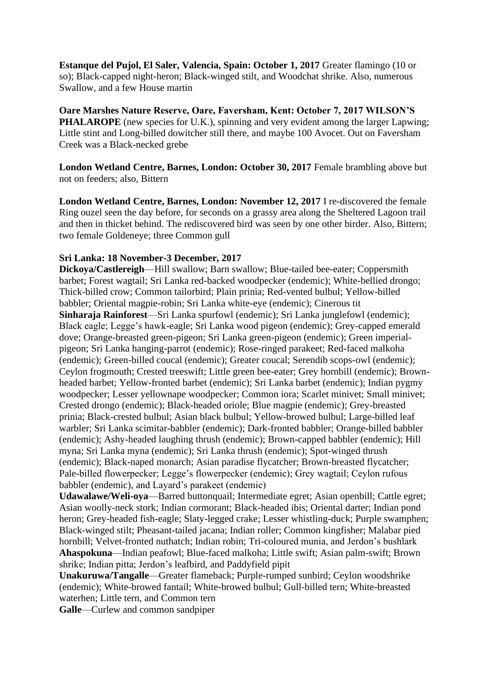**Estanque del Pujol, El Saler, Valencia, Spain: October 1, 2017** Greater flamingo (10 or so); Black-capped night-heron; Black-winged stilt, and Woodchat shrike. Also, numerous Swallow, and a few House martin

**Oare Marshes Nature Reserve, Oare, Faversham, Kent: October 7, 2017 WILSON'S PHALAROPE** (new species for U.K.), spinning and very evident among the larger Lapwing; Little stint and Long-billed dowitcher still there, and maybe 100 Avocet. Out on Faversham Creek was a Black-necked grebe

**London Wetland Centre, Barnes, London: October 30, 2017** Female brambling above but not on feeders; also, Bittern

**London Wetland Centre, Barnes, London: November 12, 2017** I re-discovered the female Ring ouzel seen the day before, for seconds on a grassy area along the Sheltered Lagoon trail and then in thicket behind. The rediscovered bird was seen by one other birder. Also, Bittern; two female Goldeneye; three Common gull

## **Sri Lanka: 18 November-3 December, 2017**

**Dickoya/Castlereigh**—Hill swallow; Barn swallow; Blue-tailed bee-eater; Coppersmith barbet; Forest wagtail; Sri Lanka red-backed woodpecker (endemic); White-bellied drongo; Thick-billed crow; Common tailorbird; Plain prinia; Red-vented bulbul; Yellow-billed babbler; Oriental magpie-robin; Sri Lanka white-eye (endemic); Cinerous tit **Sinharaja Rainforest**—Sri Lanka spurfowl (endemic); Sri Lanka junglefowl (endemic); Black eagle; Legge's hawk-eagle; Sri Lanka wood pigeon (endemic); Grey-capped emerald dove; Orange-breasted green-pigeon; Sri Lanka green-pigeon (endemic); Green imperialpigeon; Sri Lanka hanging-parrot (endemic); Rose-ringed parakeet; Red-faced malkoha (endemic); Green-billed coucal (endemic); Greater coucal; Serendib scops-owl (endemic); Ceylon frogmouth; Crested treeswift; Little green bee-eater; Grey hornbill (endemic); Brownheaded barbet; Yellow-fronted barbet (endemic); Sri Lanka barbet (endemic); Indian pygmy woodpecker; Lesser yellownape woodpecker; Common iora; Scarlet minivet; Small minivet; Crested drongo (endemic); Black-headed oriole; Blue magpie (endemic); Grey-breasted prinia; Black-crested bulbul; Asian black bulbul; Yellow-browed bulbul; Large-billed leaf warbler; Sri Lanka scimitar-babbler (endemic); Dark-fronted babbler; Orange-billed babbler (endemic); Ashy-headed laughing thrush (endemic); Brown-capped babbler (endemic); Hill myna; Sri Lanka myna (endemic); Sri Lanka thrush (endemic); Spot-winged thrush (endemic); Black-naped monarch; Asian paradise flycatcher; Brown-breasted flycatcher; Pale-billed flowerpecker; Legge's flowerpecker (endemic); Grey wagtail; Ceylon rufous babbler (endemic), and Layard's parakeet (endemic)

**Udawalawe/Weli-oya**—Barred buttonquail; Intermediate egret; Asian openbill; Cattle egret; Asian woolly-neck stork; Indian cormorant; Black-headed ibis; Oriental darter; Indian pond heron; Grey-headed fish-eagle; Slaty-legged crake; Lesser whistling-duck; Purple swamphen; Black-winged stilt; Pheasant-tailed jacana; Indian roller; Common kingfisher; Malabar pied hornbill; Velvet-fronted nuthatch; Indian robin; Tri-coloured munia, and Jerdon's bushlark **Ahaspokuna**—Indian peafowl; Blue-faced malkoha; Little swift; Asian palm-swift; Brown shrike; Indian pitta; Jerdon's leafbird, and Paddyfield pipit

**Unakuruwa/Tangalle**—Greater flameback; Purple-rumped sunbird; Ceylon woodshrike (endemic); White-browed fantail; White-browed bulbul; Gull-billed tern; White-breasted waterhen; Little tern, and Common tern

**Galle**—Curlew and common sandpiper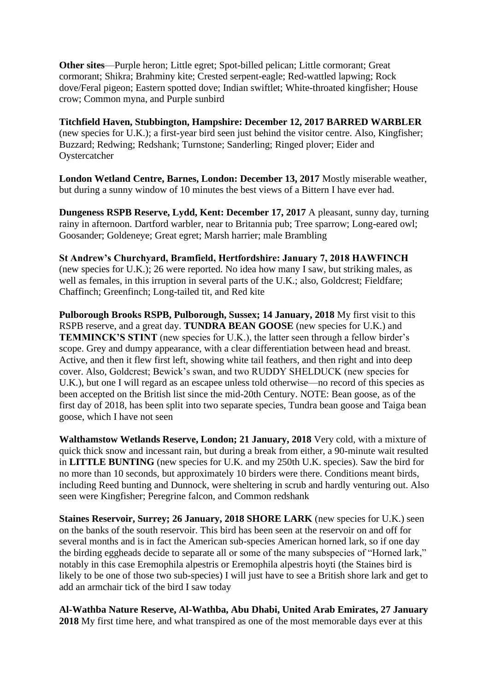**Other sites**—Purple heron; Little egret; Spot-billed pelican; Little cormorant; Great cormorant; Shikra; Brahminy kite; Crested serpent-eagle; Red-wattled lapwing; Rock dove/Feral pigeon; Eastern spotted dove; Indian swiftlet; White-throated kingfisher; House crow; Common myna, and Purple sunbird

**Titchfield Haven, Stubbington, Hampshire: December 12, 2017 BARRED WARBLER** (new species for U.K.); a first-year bird seen just behind the visitor centre. Also, Kingfisher; Buzzard; Redwing; Redshank; Turnstone; Sanderling; Ringed plover; Eider and Oystercatcher

**London Wetland Centre, Barnes, London: December 13, 2017** Mostly miserable weather, but during a sunny window of 10 minutes the best views of a Bittern I have ever had.

**Dungeness RSPB Reserve, Lydd, Kent: December 17, 2017** A pleasant, sunny day, turning rainy in afternoon. Dartford warbler, near to Britannia pub; Tree sparrow; Long-eared owl; Goosander; Goldeneye; Great egret; Marsh harrier; male Brambling

**St Andrew's Churchyard, Bramfield, Hertfordshire: January 7, 2018 HAWFINCH** (new species for U.K.); 26 were reported. No idea how many I saw, but striking males, as well as females, in this irruption in several parts of the U.K.; also, Goldcrest; Fieldfare; Chaffinch; Greenfinch; Long-tailed tit, and Red kite

**Pulborough Brooks RSPB, Pulborough, Sussex; 14 January, 2018** My first visit to this RSPB reserve, and a great day. **TUNDRA BEAN GOOSE** (new species for U.K.) and **TEMMINCK'S STINT** (new species for U.K.), the latter seen through a fellow birder's scope. Grey and dumpy appearance, with a clear differentiation between head and breast. Active, and then it flew first left, showing white tail feathers, and then right and into deep cover. Also, Goldcrest; Bewick's swan, and two RUDDY SHELDUCK (new species for U.K.), but one I will regard as an escapee unless told otherwise—no record of this species as been accepted on the British list since the mid-20th Century. NOTE: Bean goose, as of the first day of 2018, has been split into two separate species, Tundra bean goose and Taiga bean goose, which I have not seen

**Walthamstow Wetlands Reserve, London; 21 January, 2018** Very cold, with a mixture of quick thick snow and incessant rain, but during a break from either, a 90-minute wait resulted in **LITTLE BUNTING** (new species for U.K. and my 250th U.K. species). Saw the bird for no more than 10 seconds, but approximately 10 birders were there. Conditions meant birds, including Reed bunting and Dunnock, were sheltering in scrub and hardly venturing out. Also seen were Kingfisher; Peregrine falcon, and Common redshank

**Staines Reservoir, Surrey; 26 January, 2018 SHORE LARK** (new species for U.K.) seen on the banks of the south reservoir. This bird has been seen at the reservoir on and off for several months and is in fact the American sub-species American horned lark, so if one day the birding eggheads decide to separate all or some of the many subspecies of "Horned lark," notably in this case Eremophila alpestris or Eremophila alpestris hoyti (the Staines bird is likely to be one of those two sub-species) I will just have to see a British shore lark and get to add an armchair tick of the bird I saw today

**Al-Wathba Nature Reserve, Al-Wathba, Abu Dhabi, United Arab Emirates, 27 January 2018** My first time here, and what transpired as one of the most memorable days ever at this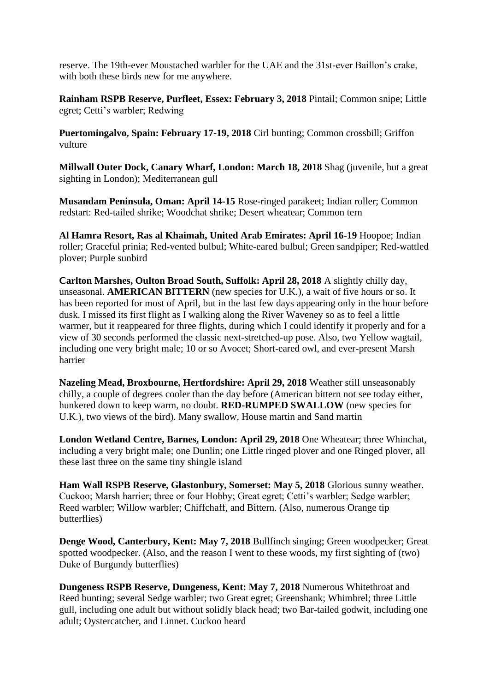reserve. The 19th-ever Moustached warbler for the UAE and the 31st-ever Baillon's crake, with both these birds new for me anywhere.

**Rainham RSPB Reserve, Purfleet, Essex: February 3, 2018** Pintail; Common snipe; Little egret; Cetti's warbler; Redwing

**Puertomingalvo, Spain: February 17-19, 2018** Cirl bunting; Common crossbill; Griffon vulture

**Millwall Outer Dock, Canary Wharf, London: March 18, 2018** Shag (juvenile, but a great sighting in London); Mediterranean gull

**Musandam Peninsula, Oman: April 14-15** Rose-ringed parakeet; Indian roller; Common redstart: Red-tailed shrike; Woodchat shrike; Desert wheatear; Common tern

**Al Hamra Resort, Ras al Khaimah, United Arab Emirates: April 16-19** Hoopoe; Indian roller; Graceful prinia; Red-vented bulbul; White-eared bulbul; Green sandpiper; Red-wattled plover; Purple sunbird

**Carlton Marshes, Oulton Broad South, Suffolk: April 28, 2018** A slightly chilly day, unseasonal. **AMERICAN BITTERN** (new species for U.K.), a wait of five hours or so. It has been reported for most of April, but in the last few days appearing only in the hour before dusk. I missed its first flight as I walking along the River Waveney so as to feel a little warmer, but it reappeared for three flights, during which I could identify it properly and for a view of 30 seconds performed the classic next-stretched-up pose. Also, two Yellow wagtail, including one very bright male; 10 or so Avocet; Short-eared owl, and ever-present Marsh harrier

**Nazeling Mead, Broxbourne, Hertfordshire: April 29, 2018** Weather still unseasonably chilly, a couple of degrees cooler than the day before (American bittern not see today either, hunkered down to keep warm, no doubt. **RED-RUMPED SWALLOW** (new species for U.K.), two views of the bird). Many swallow, House martin and Sand martin

**London Wetland Centre, Barnes, London: April 29, 2018** One Wheatear; three Whinchat, including a very bright male; one Dunlin; one Little ringed plover and one Ringed plover, all these last three on the same tiny shingle island

**Ham Wall RSPB Reserve, Glastonbury, Somerset: May 5, 2018** Glorious sunny weather. Cuckoo; Marsh harrier; three or four Hobby; Great egret; Cetti's warbler; Sedge warbler; Reed warbler; Willow warbler; Chiffchaff, and Bittern. (Also, numerous Orange tip butterflies)

**Denge Wood, Canterbury, Kent: May 7, 2018** Bullfinch singing; Green woodpecker; Great spotted woodpecker. (Also, and the reason I went to these woods, my first sighting of (two) Duke of Burgundy butterflies)

**Dungeness RSPB Reserve, Dungeness, Kent: May 7, 2018** Numerous Whitethroat and Reed bunting; several Sedge warbler; two Great egret; Greenshank; Whimbrel; three Little gull, including one adult but without solidly black head; two Bar-tailed godwit, including one adult; Oystercatcher, and Linnet. Cuckoo heard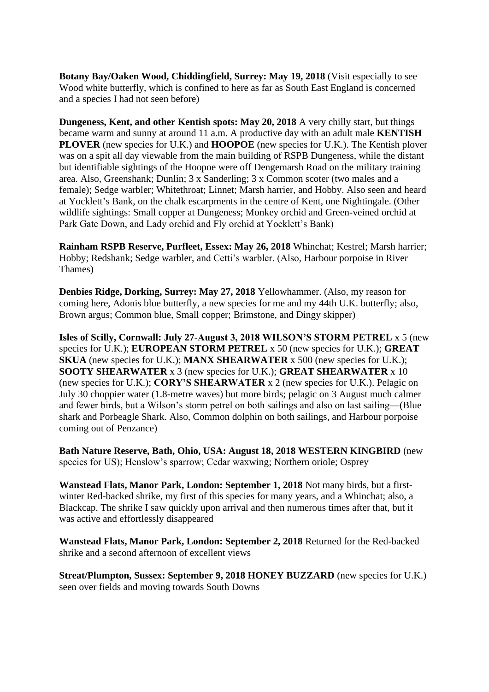**Botany Bay/Oaken Wood, Chiddingfield, Surrey: May 19, 2018** (Visit especially to see Wood white butterfly, which is confined to here as far as South East England is concerned and a species I had not seen before)

**Dungeness, Kent, and other Kentish spots: May 20, 2018** A very chilly start, but things became warm and sunny at around 11 a.m. A productive day with an adult male **KENTISH PLOVER** (new species for U.K.) and **HOOPOE** (new species for U.K.). The Kentish plover was on a spit all day viewable from the main building of RSPB Dungeness, while the distant but identifiable sightings of the Hoopoe were off Dengemarsh Road on the military training area. Also, Greenshank; Dunlin; 3 x Sanderling; 3 x Common scoter (two males and a female); Sedge warbler; Whitethroat; Linnet; Marsh harrier, and Hobby. Also seen and heard at Yocklett's Bank, on the chalk escarpments in the centre of Kent, one Nightingale. (Other wildlife sightings: Small copper at Dungeness; Monkey orchid and Green-veined orchid at Park Gate Down, and Lady orchid and Fly orchid at Yocklett's Bank)

**Rainham RSPB Reserve, Purfleet, Essex: May 26, 2018** Whinchat; Kestrel; Marsh harrier; Hobby; Redshank; Sedge warbler, and Cetti's warbler. (Also, Harbour porpoise in River Thames)

**Denbies Ridge, Dorking, Surrey: May 27, 2018** Yellowhammer. (Also, my reason for coming here, Adonis blue butterfly, a new species for me and my 44th U.K. butterfly; also, Brown argus; Common blue, Small copper; Brimstone, and Dingy skipper)

**Isles of Scilly, Cornwall: July 27-August 3, 2018 WILSON'S STORM PETREL** x 5 (new species for U.K.); **EUROPEAN STORM PETREL** x 50 (new species for U.K.); **GREAT SKUA** (new species for U.K.); **MANX SHEARWATER** x 500 (new species for U.K.); **SOOTY SHEARWATER** x 3 (new species for U.K.); **GREAT SHEARWATER** x 10 (new species for U.K.); **CORY'S SHEARWATER** x 2 (new species for U.K.). Pelagic on July 30 choppier water (1.8-metre waves) but more birds; pelagic on 3 August much calmer and fewer birds, but a Wilson's storm petrel on both sailings and also on last sailing—(Blue shark and Porbeagle Shark. Also, Common dolphin on both sailings, and Harbour porpoise coming out of Penzance)

**Bath Nature Reserve, Bath, Ohio, USA: August 18, 2018 WESTERN KINGBIRD** (new species for US); Henslow's sparrow; Cedar waxwing; Northern oriole; Osprey

**Wanstead Flats, Manor Park, London: September 1, 2018** Not many birds, but a firstwinter Red-backed shrike, my first of this species for many years, and a Whinchat; also, a Blackcap. The shrike I saw quickly upon arrival and then numerous times after that, but it was active and effortlessly disappeared

**Wanstead Flats, Manor Park, London: September 2, 2018** Returned for the Red-backed shrike and a second afternoon of excellent views

**Streat/Plumpton, Sussex: September 9, 2018 HONEY BUZZARD** (new species for U.K.) seen over fields and moving towards South Downs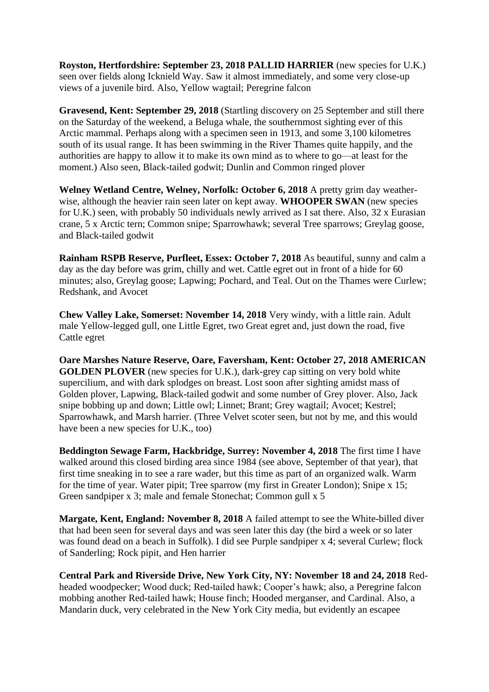**Royston, Hertfordshire: September 23, 2018 PALLID HARRIER** (new species for U.K.) seen over fields along Icknield Way. Saw it almost immediately, and some very close-up views of a juvenile bird. Also, Yellow wagtail; Peregrine falcon

**Gravesend, Kent: September 29, 2018** (Startling discovery on 25 September and still there on the Saturday of the weekend, a Beluga whale, the southernmost sighting ever of this Arctic mammal. Perhaps along with a specimen seen in 1913, and some 3,100 kilometres south of its usual range. It has been swimming in the River Thames quite happily, and the authorities are happy to allow it to make its own mind as to where to go—at least for the moment.) Also seen, Black-tailed godwit; Dunlin and Common ringed plover

**Welney Wetland Centre, Welney, Norfolk: October 6, 2018** A pretty grim day weatherwise, although the heavier rain seen later on kept away. **WHOOPER SWAN** (new species for U.K.) seen, with probably 50 individuals newly arrived as I sat there. Also, 32 x Eurasian crane, 5 x Arctic tern; Common snipe; Sparrowhawk; several Tree sparrows; Greylag goose, and Black-tailed godwit

**Rainham RSPB Reserve, Purfleet, Essex: October 7, 2018** As beautiful, sunny and calm a day as the day before was grim, chilly and wet. Cattle egret out in front of a hide for 60 minutes; also, Greylag goose; Lapwing; Pochard, and Teal. Out on the Thames were Curlew; Redshank, and Avocet

**Chew Valley Lake, Somerset: November 14, 2018** Very windy, with a little rain. Adult male Yellow-legged gull, one Little Egret, two Great egret and, just down the road, five Cattle egret

**Oare Marshes Nature Reserve, Oare, Faversham, Kent: October 27, 2018 AMERICAN GOLDEN PLOVER** (new species for U.K.), dark-grey cap sitting on very bold white supercilium, and with dark splodges on breast. Lost soon after sighting amidst mass of Golden plover, Lapwing, Black-tailed godwit and some number of Grey plover. Also, Jack snipe bobbing up and down; Little owl; Linnet; Brant; Grey wagtail; Avocet; Kestrel; Sparrowhawk, and Marsh harrier. (Three Velvet scoter seen, but not by me, and this would have been a new species for U.K., too)

**Beddington Sewage Farm, Hackbridge, Surrey: November 4, 2018** The first time I have walked around this closed birding area since 1984 (see above, September of that year), that first time sneaking in to see a rare wader, but this time as part of an organized walk. Warm for the time of year. Water pipit; Tree sparrow (my first in Greater London); Snipe x 15; Green sandpiper x 3; male and female Stonechat; Common gull x 5

**Margate, Kent, England: November 8, 2018** A failed attempt to see the White-billed diver that had been seen for several days and was seen later this day (the bird a week or so later was found dead on a beach in Suffolk). I did see Purple sandpiper x 4; several Curlew; flock of Sanderling; Rock pipit, and Hen harrier

**Central Park and Riverside Drive, New York City, NY: November 18 and 24, 2018** Redheaded woodpecker; Wood duck; Red-tailed hawk; Cooper's hawk; also, a Peregrine falcon mobbing another Red-tailed hawk; House finch; Hooded merganser, and Cardinal. Also, a Mandarin duck, very celebrated in the New York City media, but evidently an escapee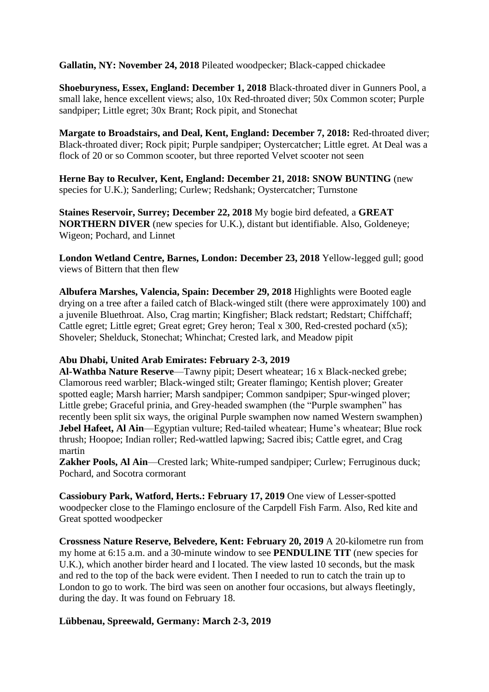**Gallatin, NY: November 24, 2018** Pileated woodpecker; Black-capped chickadee

**Shoeburyness, Essex, England: December 1, 2018** Black-throated diver in Gunners Pool, a small lake, hence excellent views; also, 10x Red-throated diver; 50x Common scoter; Purple sandpiper; Little egret; 30x Brant; Rock pipit, and Stonechat

**Margate to Broadstairs, and Deal, Kent, England: December 7, 2018:** Red-throated diver; Black-throated diver; Rock pipit; Purple sandpiper; Oystercatcher; Little egret. At Deal was a flock of 20 or so Common scooter, but three reported Velvet scooter not seen

**Herne Bay to Reculver, Kent, England: December 21, 2018: SNOW BUNTING** (new species for U.K.); Sanderling; Curlew; Redshank; Oystercatcher; Turnstone

**Staines Reservoir, Surrey; December 22, 2018** My bogie bird defeated, a **GREAT NORTHERN DIVER** (new species for U.K.), distant but identifiable. Also, Goldeneye; Wigeon; Pochard, and Linnet

**London Wetland Centre, Barnes, London: December 23, 2018** Yellow-legged gull; good views of Bittern that then flew

**Albufera Marshes, Valencia, Spain: December 29, 2018** Highlights were Booted eagle drying on a tree after a failed catch of Black-winged stilt (there were approximately 100) and a juvenile Bluethroat. Also, Crag martin; Kingfisher; Black redstart; Redstart; Chiffchaff; Cattle egret; Little egret; Great egret; Grey heron; Teal x 300, Red-crested pochard (x5); Shoveler; Shelduck, Stonechat; Whinchat; Crested lark, and Meadow pipit

### **Abu Dhabi, United Arab Emirates: February 2-3, 2019**

**Al-Wathba Nature Reserve**—Tawny pipit; Desert wheatear; 16 x Black-necked grebe; Clamorous reed warbler; Black-winged stilt; Greater flamingo; Kentish plover; Greater spotted eagle; Marsh harrier; Marsh sandpiper; Common sandpiper; Spur-winged plover; Little grebe; Graceful prinia, and Grey-headed swamphen (the "Purple swamphen" has recently been split six ways, the original Purple swamphen now named Western swamphen) **Jebel Hafeet, Al Ain**—Egyptian vulture; Red-tailed wheatear; Hume's wheatear; Blue rock thrush; Hoopoe; Indian roller; Red-wattled lapwing; Sacred ibis; Cattle egret, and Crag martin

**Zakher Pools, Al Ain**—Crested lark; White-rumped sandpiper; Curlew; Ferruginous duck; Pochard, and Socotra cormorant

**Cassiobury Park, Watford, Herts.: February 17, 2019** One view of Lesser-spotted woodpecker close to the Flamingo enclosure of the Carpdell Fish Farm. Also, Red kite and Great spotted woodpecker

**Crossness Nature Reserve, Belvedere, Kent: February 20, 2019** A 20-kilometre run from my home at 6:15 a.m. and a 30-minute window to see **PENDULINE TIT** (new species for U.K.), which another birder heard and I located. The view lasted 10 seconds, but the mask and red to the top of the back were evident. Then I needed to run to catch the train up to London to go to work. The bird was seen on another four occasions, but always fleetingly, during the day. It was found on February 18.

# **Lübbenau, Spreewald, Germany: March 2-3, 2019**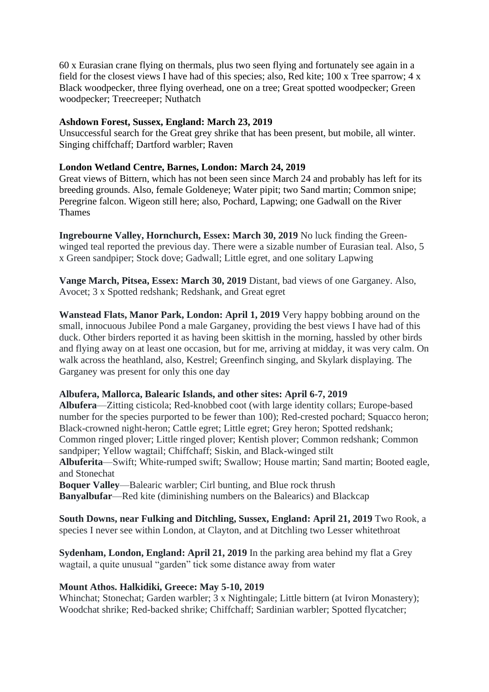60 x Eurasian crane flying on thermals, plus two seen flying and fortunately see again in a field for the closest views I have had of this species; also, Red kite; 100 x Tree sparrow; 4 x Black woodpecker, three flying overhead, one on a tree; Great spotted woodpecker; Green woodpecker; Treecreeper; Nuthatch

## **Ashdown Forest, Sussex, England: March 23, 2019**

Unsuccessful search for the Great grey shrike that has been present, but mobile, all winter. Singing chiffchaff; Dartford warbler; Raven

## **London Wetland Centre, Barnes, London: March 24, 2019**

Great views of Bittern, which has not been seen since March 24 and probably has left for its breeding grounds. Also, female Goldeneye; Water pipit; two Sand martin; Common snipe; Peregrine falcon. Wigeon still here; also, Pochard, Lapwing; one Gadwall on the River Thames

**Ingrebourne Valley, Hornchurch, Essex: March 30, 2019** No luck finding the Greenwinged teal reported the previous day. There were a sizable number of Eurasian teal. Also, 5 x Green sandpiper; Stock dove; Gadwall; Little egret, and one solitary Lapwing

**Vange March, Pitsea, Essex: March 30, 2019** Distant, bad views of one Garganey. Also, Avocet; 3 x Spotted redshank; Redshank, and Great egret

**Wanstead Flats, Manor Park, London: April 1, 2019** Very happy bobbing around on the small, innocuous Jubilee Pond a male Garganey, providing the best views I have had of this duck. Other birders reported it as having been skittish in the morning, hassled by other birds and flying away on at least one occasion, but for me, arriving at midday, it was very calm. On walk across the heathland, also, Kestrel; Greenfinch singing, and Skylark displaying. The Garganey was present for only this one day

### **Albufera, Mallorca, Balearic Islands, and other sites: April 6-7, 2019**

**Albufera**—Zitting cisticola; Red-knobbed coot (with large identity collars; Europe-based number for the species purported to be fewer than 100); Red-crested pochard; Squacco heron; Black-crowned night-heron; Cattle egret; Little egret; Grey heron; Spotted redshank; Common ringed plover; Little ringed plover; Kentish plover; Common redshank; Common sandpiper; Yellow wagtail; Chiffchaff; Siskin, and Black-winged stilt **Albuferita**—Swift; White-rumped swift; Swallow; House martin; Sand martin; Booted eagle, and Stonechat **Boquer Valley**—Balearic warbler; Cirl bunting, and Blue rock thrush **Banyalbufar**—Red kite (diminishing numbers on the Balearics) and Blackcap

**South Downs, near Fulking and Ditchling, Sussex, England: April 21, 2019** Two Rook, a species I never see within London, at Clayton, and at Ditchling two Lesser whitethroat

**Sydenham, London, England: April 21, 2019** In the parking area behind my flat a Grey wagtail, a quite unusual "garden" tick some distance away from water

# **Mount Athos. Halkidiki, Greece: May 5-10, 2019**

Whinchat; Stonechat; Garden warbler; 3 x Nightingale; Little bittern (at Iviron Monastery); Woodchat shrike; Red-backed shrike; Chiffchaff; Sardinian warbler; Spotted flycatcher;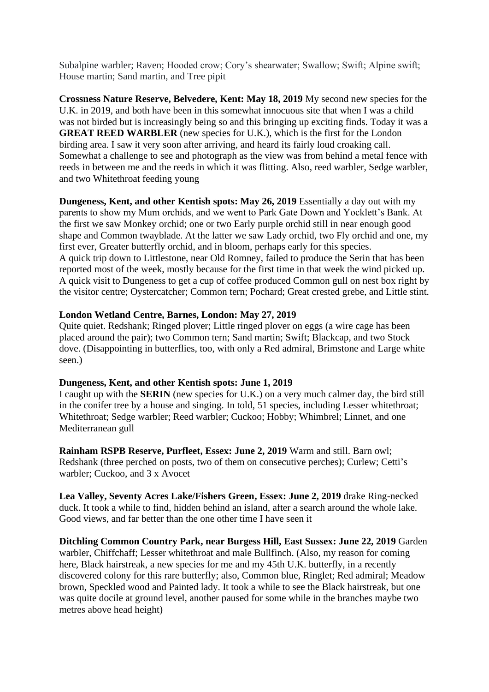Subalpine warbler; Raven; Hooded crow; Cory's shearwater; Swallow; Swift; Alpine swift; House martin; Sand martin, and Tree pipit

**Crossness Nature Reserve, Belvedere, Kent: May 18, 2019** My second new species for the U.K. in 2019, and both have been in this somewhat innocuous site that when I was a child was not birded but is increasingly being so and this bringing up exciting finds. Today it was a **GREAT REED WARBLER** (new species for U.K.), which is the first for the London birding area. I saw it very soon after arriving, and heard its fairly loud croaking call. Somewhat a challenge to see and photograph as the view was from behind a metal fence with reeds in between me and the reeds in which it was flitting. Also, reed warbler, Sedge warbler, and two Whitethroat feeding young

**Dungeness, Kent, and other Kentish spots: May 26, 2019** Essentially a day out with my parents to show my Mum orchids, and we went to Park Gate Down and Yocklett's Bank. At the first we saw Monkey orchid; one or two Early purple orchid still in near enough good shape and Common twayblade. At the latter we saw Lady orchid, two Fly orchid and one, my first ever, Greater butterfly orchid, and in bloom, perhaps early for this species. A quick trip down to Littlestone, near Old Romney, failed to produce the Serin that has been reported most of the week, mostly because for the first time in that week the wind picked up. A quick visit to Dungeness to get a cup of coffee produced Common gull on nest box right by the visitor centre; Oystercatcher; Common tern; Pochard; Great crested grebe, and Little stint.

## **London Wetland Centre, Barnes, London: May 27, 2019**

Quite quiet. Redshank; Ringed plover; Little ringed plover on eggs (a wire cage has been placed around the pair); two Common tern; Sand martin; Swift; Blackcap, and two Stock dove. (Disappointing in butterflies, too, with only a Red admiral, Brimstone and Large white seen.)

### **Dungeness, Kent, and other Kentish spots: June 1, 2019**

I caught up with the **SERIN** (new species for U.K.) on a very much calmer day, the bird still in the conifer tree by a house and singing. In told, 51 species, including Lesser whitethroat; Whitethroat; Sedge warbler; Reed warbler; Cuckoo; Hobby; Whimbrel; Linnet, and one Mediterranean gull

**Rainham RSPB Reserve, Purfleet, Essex: June 2, 2019** Warm and still. Barn owl; Redshank (three perched on posts, two of them on consecutive perches); Curlew; Cetti's warbler; Cuckoo, and 3 x Avocet

**Lea Valley, Seventy Acres Lake/Fishers Green, Essex: June 2, 2019** drake Ring-necked duck. It took a while to find, hidden behind an island, after a search around the whole lake. Good views, and far better than the one other time I have seen it

# **Ditchling Common Country Park, near Burgess Hill, East Sussex: June 22, 2019** Garden

warbler, Chiffchaff; Lesser whitethroat and male Bullfinch. (Also, my reason for coming here, Black hairstreak, a new species for me and my 45th U.K. butterfly, in a recently discovered colony for this rare butterfly; also, Common blue, Ringlet; Red admiral; Meadow brown, Speckled wood and Painted lady. It took a while to see the Black hairstreak, but one was quite docile at ground level, another paused for some while in the branches maybe two metres above head height)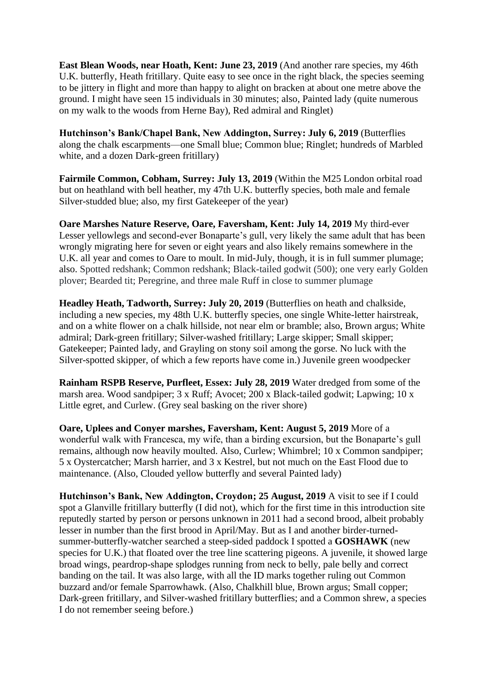**East Blean Woods, near Hoath, Kent: June 23, 2019** (And another rare species, my 46th U.K. butterfly, Heath fritillary. Quite easy to see once in the right black, the species seeming to be jittery in flight and more than happy to alight on bracken at about one metre above the ground. I might have seen 15 individuals in 30 minutes; also, Painted lady (quite numerous on my walk to the woods from Herne Bay), Red admiral and Ringlet)

**Hutchinson's Bank/Chapel Bank, New Addington, Surrey: July 6, 2019** (Butterflies along the chalk escarpments—one Small blue; Common blue; Ringlet; hundreds of Marbled white, and a dozen Dark-green fritillary)

**Fairmile Common, Cobham, Surrey: July 13, 2019** (Within the M25 London orbital road but on heathland with bell heather, my 47th U.K. butterfly species, both male and female Silver-studded blue; also, my first Gatekeeper of the year)

**Oare Marshes Nature Reserve, Oare, Faversham, Kent: July 14, 2019** My third-ever Lesser yellowlegs and second-ever Bonaparte's gull, very likely the same adult that has been wrongly migrating here for seven or eight years and also likely remains somewhere in the U.K. all year and comes to Oare to moult. In mid-July, though, it is in full summer plumage; also. Spotted redshank; Common redshank; Black-tailed godwit (500); one very early Golden plover; Bearded tit; Peregrine, and three male Ruff in close to summer plumage

**Headley Heath, Tadworth, Surrey: July 20, 2019** (Butterflies on heath and chalkside, including a new species, my 48th U.K. butterfly species, one single White-letter hairstreak, and on a white flower on a chalk hillside, not near elm or bramble; also, Brown argus; White admiral; Dark-green fritillary; Silver-washed fritillary; Large skipper; Small skipper; Gatekeeper; Painted lady, and Grayling on stony soil among the gorse. No luck with the Silver-spotted skipper, of which a few reports have come in.) Juvenile green woodpecker

**Rainham RSPB Reserve, Purfleet, Essex: July 28, 2019** Water dredged from some of the marsh area. Wood sandpiper; 3 x Ruff; Avocet; 200 x Black-tailed godwit; Lapwing; 10 x Little egret, and Curlew. (Grey seal basking on the river shore)

**Oare, Uplees and Conyer marshes, Faversham, Kent: August 5, 2019** More of a wonderful walk with Francesca, my wife, than a birding excursion, but the Bonaparte's gull remains, although now heavily moulted. Also, Curlew; Whimbrel; 10 x Common sandpiper; 5 x Oystercatcher; Marsh harrier, and 3 x Kestrel, but not much on the East Flood due to maintenance. (Also, Clouded yellow butterfly and several Painted lady)

**Hutchinson's Bank, New Addington, Croydon; 25 August, 2019** A visit to see if I could spot a Glanville fritillary butterfly (I did not), which for the first time in this introduction site reputedly started by person or persons unknown in 2011 had a second brood, albeit probably lesser in number than the first brood in April/May. But as I and another birder-turnedsummer-butterfly-watcher searched a steep-sided paddock I spotted a **GOSHAWK** (new species for U.K.) that floated over the tree line scattering pigeons. A juvenile, it showed large broad wings, peardrop-shape splodges running from neck to belly, pale belly and correct banding on the tail. It was also large, with all the ID marks together ruling out Common buzzard and/or female Sparrowhawk. (Also, Chalkhill blue, Brown argus; Small copper; Dark-green fritillary, and Silver-washed fritillary butterflies; and a Common shrew, a species I do not remember seeing before.)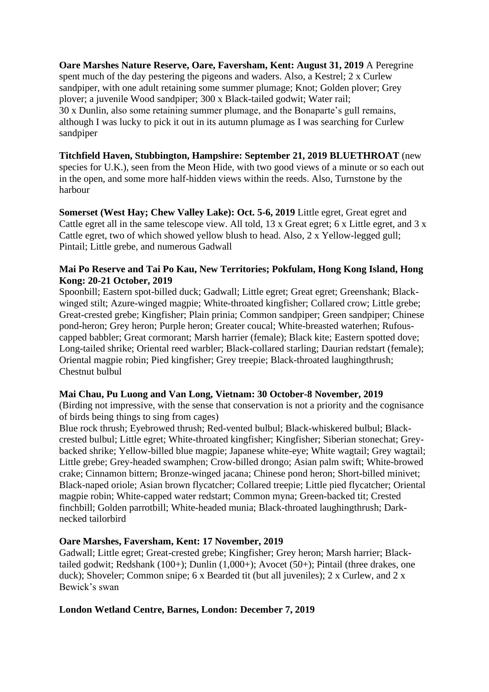**Oare Marshes Nature Reserve, Oare, Faversham, Kent: August 31, 2019** A Peregrine spent much of the day pestering the pigeons and waders. Also, a Kestrel; 2 x Curlew sandpiper, with one adult retaining some summer plumage; Knot; Golden plover; Grey plover; a juvenile Wood sandpiper; 300 x Black-tailed godwit; Water rail; 30 x Dunlin, also some retaining summer plumage, and the Bonaparte's gull remains, although I was lucky to pick it out in its autumn plumage as I was searching for Curlew sandpiper

**Titchfield Haven, Stubbington, Hampshire: September 21, 2019 BLUETHROAT** (new species for U.K.), seen from the Meon Hide, with two good views of a minute or so each out in the open, and some more half-hidden views within the reeds. Also, Turnstone by the harbour

**Somerset (West Hay; Chew Valley Lake): Oct. 5-6, 2019** Little egret, Great egret and Cattle egret all in the same telescope view. All told, 13 x Great egret; 6 x Little egret, and 3 x Cattle egret, two of which showed yellow blush to head. Also, 2 x Yellow-legged gull; Pintail; Little grebe, and numerous Gadwall

## **Mai Po Reserve and Tai Po Kau, New Territories; Pokfulam, Hong Kong Island, Hong Kong: 20-21 October, 2019**

Spoonbill; Eastern spot-billed duck; Gadwall; Little egret; Great egret; Greenshank; Blackwinged stilt; Azure-winged magpie; White-throated kingfisher; Collared crow; Little grebe; Great-crested grebe; Kingfisher; Plain prinia; Common sandpiper; Green sandpiper; Chinese pond-heron; Grey heron; Purple heron; Greater coucal; White-breasted waterhen; Rufouscapped babbler; Great cormorant; Marsh harrier (female); Black kite; Eastern spotted dove; Long-tailed shrike; Oriental reed warbler; Black-collared starling; Daurian redstart (female); Oriental magpie robin; Pied kingfisher; Grey treepie; Black-throated laughingthrush; Chestnut bulbul

# **Mai Chau, Pu Luong and Van Long, Vietnam: 30 October-8 November, 2019**

(Birding not impressive, with the sense that conservation is not a priority and the cognisance of birds being things to sing from cages)

Blue rock thrush; Eyebrowed thrush; Red-vented bulbul; Black-whiskered bulbul; Blackcrested bulbul; Little egret; White-throated kingfisher; Kingfisher; Siberian stonechat; Greybacked shrike; Yellow-billed blue magpie; Japanese white-eye; White wagtail; Grey wagtail; Little grebe; Grey-headed swamphen; Crow-billed drongo; Asian palm swift; White-browed crake; Cinnamon bittern; Bronze-winged jacana; Chinese pond heron; Short-billed minivet; Black-naped oriole; Asian brown flycatcher; Collared treepie; Little pied flycatcher; Oriental magpie robin; White-capped water redstart; Common myna; Green-backed tit; Crested finchbill; Golden parrotbill; White-headed munia; Black-throated laughingthrush; Darknecked tailorbird

# **Oare Marshes, Faversham, Kent: 17 November, 2019**

Gadwall; Little egret; Great-crested grebe; Kingfisher; Grey heron; Marsh harrier; Blacktailed godwit; Redshank (100+); Dunlin (1,000+); Avocet (50+); Pintail (three drakes, one duck); Shoveler; Common snipe; 6 x Bearded tit (but all juveniles); 2 x Curlew, and 2 x Bewick's swan

# **London Wetland Centre, Barnes, London: December 7, 2019**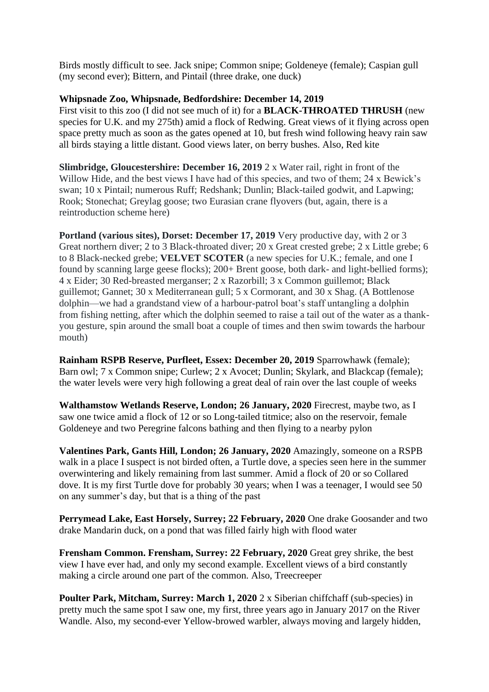Birds mostly difficult to see. Jack snipe; Common snipe; Goldeneye (female); Caspian gull (my second ever); Bittern, and Pintail (three drake, one duck)

## **Whipsnade Zoo, Whipsnade, Bedfordshire: December 14, 2019**

First visit to this zoo (I did not see much of it) for a **BLACK-THROATED THRUSH** (new species for U.K. and my 275th) amid a flock of Redwing. Great views of it flying across open space pretty much as soon as the gates opened at 10, but fresh wind following heavy rain saw all birds staying a little distant. Good views later, on berry bushes. Also, Red kite

**Slimbridge, Gloucestershire: December 16, 2019** 2 x Water rail, right in front of the Willow Hide, and the best views I have had of this species, and two of them; 24 x Bewick's swan; 10 x Pintail; numerous Ruff; Redshank; Dunlin; Black-tailed godwit, and Lapwing; Rook; Stonechat; Greylag goose; two Eurasian crane flyovers (but, again, there is a reintroduction scheme here)

**Portland (various sites), Dorset: December 17, 2019** Very productive day, with 2 or 3 Great northern diver; 2 to 3 Black-throated diver; 20 x Great crested grebe; 2 x Little grebe; 6 to 8 Black-necked grebe; **VELVET SCOTER** (a new species for U.K.; female, and one I found by scanning large geese flocks); 200+ Brent goose, both dark- and light-bellied forms); 4 x Eider; 30 Red-breasted merganser; 2 x Razorbill; 3 x Common guillemot; Black guillemot; Gannet; 30 x Mediterranean gull; 5 x Cormorant, and 30 x Shag. (A Bottlenose dolphin—we had a grandstand view of a harbour-patrol boat's staff untangling a dolphin from fishing netting, after which the dolphin seemed to raise a tail out of the water as a thankyou gesture, spin around the small boat a couple of times and then swim towards the harbour mouth)

**Rainham RSPB Reserve, Purfleet, Essex: December 20, 2019** Sparrowhawk (female); Barn owl; 7 x Common snipe; Curlew; 2 x Avocet; Dunlin; Skylark, and Blackcap (female); the water levels were very high following a great deal of rain over the last couple of weeks

**Walthamstow Wetlands Reserve, London; 26 January, 2020** Firecrest, maybe two, as I saw one twice amid a flock of 12 or so Long-tailed titmice; also on the reservoir, female Goldeneye and two Peregrine falcons bathing and then flying to a nearby pylon

**Valentines Park, Gants Hill, London; 26 January, 2020** Amazingly, someone on a RSPB walk in a place I suspect is not birded often, a Turtle dove, a species seen here in the summer overwintering and likely remaining from last summer. Amid a flock of 20 or so Collared dove. It is my first Turtle dove for probably 30 years; when I was a teenager, I would see 50 on any summer's day, but that is a thing of the past

**Perrymead Lake, East Horsely, Surrey; 22 February, 2020** One drake Goosander and two drake Mandarin duck, on a pond that was filled fairly high with flood water

**Frensham Common. Frensham, Surrey: 22 February, 2020** Great grey shrike, the best view I have ever had, and only my second example. Excellent views of a bird constantly making a circle around one part of the common. Also, Treecreeper

**Poulter Park, Mitcham, Surrey: March 1, 2020** 2 x Siberian chiffchaff (sub-species) in pretty much the same spot I saw one, my first, three years ago in January 2017 on the River Wandle. Also, my second-ever Yellow-browed warbler, always moving and largely hidden,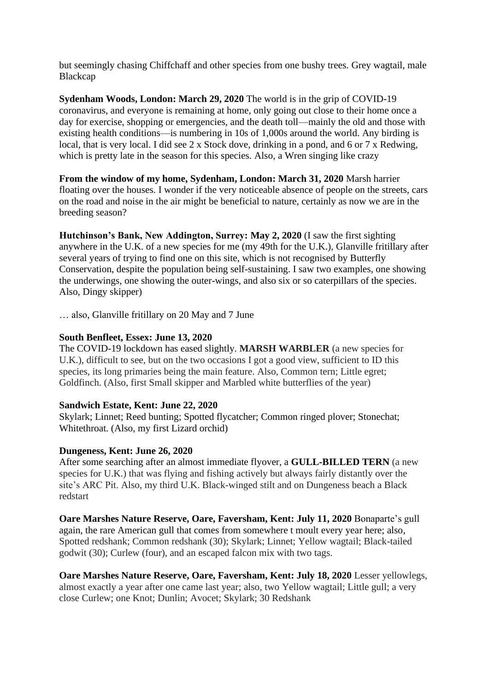but seemingly chasing Chiffchaff and other species from one bushy trees. Grey wagtail, male Blackcap

**Sydenham Woods, London: March 29, 2020** The world is in the grip of COVID-19 coronavirus, and everyone is remaining at home, only going out close to their home once a day for exercise, shopping or emergencies, and the death toll—mainly the old and those with existing health conditions—is numbering in 10s of 1,000s around the world. Any birding is local, that is very local. I did see 2 x Stock dove, drinking in a pond, and 6 or 7 x Redwing, which is pretty late in the season for this species. Also, a Wren singing like crazy

**From the window of my home, Sydenham, London: March 31, 2020** Marsh harrier floating over the houses. I wonder if the very noticeable absence of people on the streets, cars on the road and noise in the air might be beneficial to nature, certainly as now we are in the breeding season?

**Hutchinson's Bank, New Addington, Surrey: May 2, 2020** (I saw the first sighting anywhere in the U.K. of a new species for me (my 49th for the U.K.), Glanville fritillary after several years of trying to find one on this site, which is not recognised by Butterfly Conservation, despite the population being self-sustaining. I saw two examples, one showing the underwings, one showing the outer-wings, and also six or so caterpillars of the species. Also, Dingy skipper)

… also, Glanville fritillary on 20 May and 7 June

## **South Benfleet, Essex: June 13, 2020**

The COVID-19 lockdown has eased slightly. **MARSH WARBLER** (a new species for U.K.), difficult to see, but on the two occasions I got a good view, sufficient to ID this species, its long primaries being the main feature. Also, Common tern; Little egret; Goldfinch. (Also, first Small skipper and Marbled white butterflies of the year)

# **Sandwich Estate, Kent: June 22, 2020**

Skylark; Linnet; Reed bunting; Spotted flycatcher; Common ringed plover; Stonechat; Whitethroat. (Also, my first Lizard orchid)

# **Dungeness, Kent: June 26, 2020**

After some searching after an almost immediate flyover, a **GULL-BILLED TERN** (a new species for U.K.) that was flying and fishing actively but always fairly distantly over the site's ARC Pit. Also, my third U.K. Black-winged stilt and on Dungeness beach a Black redstart

**Oare Marshes Nature Reserve, Oare, Faversham, Kent: July 11, 2020** Bonaparte's gull again, the rare American gull that comes from somewhere t moult every year here; also, Spotted redshank; Common redshank (30); Skylark; Linnet; Yellow wagtail; Black-tailed godwit (30); Curlew (four), and an escaped falcon mix with two tags.

**Oare Marshes Nature Reserve, Oare, Faversham, Kent: July 18, 2020** Lesser yellowlegs, almost exactly a year after one came last year; also, two Yellow wagtail; Little gull; a very close Curlew; one Knot; Dunlin; Avocet; Skylark; 30 Redshank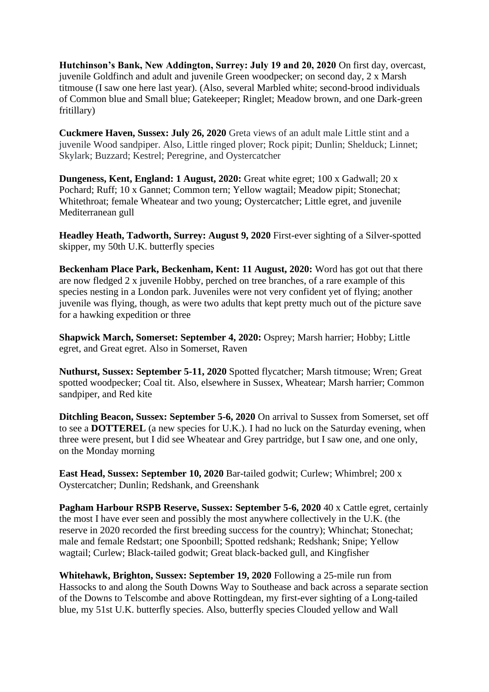**Hutchinson's Bank, New Addington, Surrey: July 19 and 20, 2020** On first day, overcast, juvenile Goldfinch and adult and juvenile Green woodpecker; on second day, 2 x Marsh titmouse (I saw one here last year). (Also, several Marbled white; second-brood individuals of Common blue and Small blue; Gatekeeper; Ringlet; Meadow brown, and one Dark-green fritillary)

**Cuckmere Haven, Sussex: July 26, 2020** Greta views of an adult male Little stint and a juvenile Wood sandpiper. Also, Little ringed plover; Rock pipit; Dunlin; Shelduck; Linnet; Skylark; Buzzard; Kestrel; Peregrine, and Oystercatcher

**Dungeness, Kent, England: 1 August, 2020:** Great white egret; 100 x Gadwall; 20 x Pochard; Ruff; 10 x Gannet; Common tern; Yellow wagtail; Meadow pipit; Stonechat; Whitethroat; female Wheatear and two young; Oystercatcher; Little egret, and juvenile Mediterranean gull

**Headley Heath, Tadworth, Surrey: August 9, 2020** First-ever sighting of a Silver-spotted skipper, my 50th U.K. butterfly species

**Beckenham Place Park, Beckenham, Kent: 11 August, 2020:** Word has got out that there are now fledged 2 x juvenile Hobby, perched on tree branches, of a rare example of this species nesting in a London park. Juveniles were not very confident yet of flying; another juvenile was flying, though, as were two adults that kept pretty much out of the picture save for a hawking expedition or three

**Shapwick March, Somerset: September 4, 2020:** Osprey; Marsh harrier; Hobby; Little egret, and Great egret. Also in Somerset, Raven

**Nuthurst, Sussex: September 5-11, 2020** Spotted flycatcher; Marsh titmouse; Wren; Great spotted woodpecker; Coal tit. Also, elsewhere in Sussex, Wheatear; Marsh harrier; Common sandpiper, and Red kite

**Ditchling Beacon, Sussex: September 5-6, 2020** On arrival to Sussex from Somerset, set off to see a **DOTTEREL** (a new species for U.K.). I had no luck on the Saturday evening, when three were present, but I did see Wheatear and Grey partridge, but I saw one, and one only, on the Monday morning

**East Head, Sussex: September 10, 2020** Bar-tailed godwit; Curlew; Whimbrel; 200 x Oystercatcher; Dunlin; Redshank, and Greenshank

**Pagham Harbour RSPB Reserve, Sussex: September 5-6, 2020** 40 x Cattle egret, certainly the most I have ever seen and possibly the most anywhere collectively in the U.K. (the reserve in 2020 recorded the first breeding success for the country); Whinchat; Stonechat; male and female Redstart; one Spoonbill; Spotted redshank; Redshank; Snipe; Yellow wagtail; Curlew; Black-tailed godwit; Great black-backed gull, and Kingfisher

**Whitehawk, Brighton, Sussex: September 19, 2020** Following a 25-mile run from Hassocks to and along the South Downs Way to Southease and back across a separate section of the Downs to Telscombe and above Rottingdean, my first-ever sighting of a Long-tailed blue, my 51st U.K. butterfly species. Also, butterfly species Clouded yellow and Wall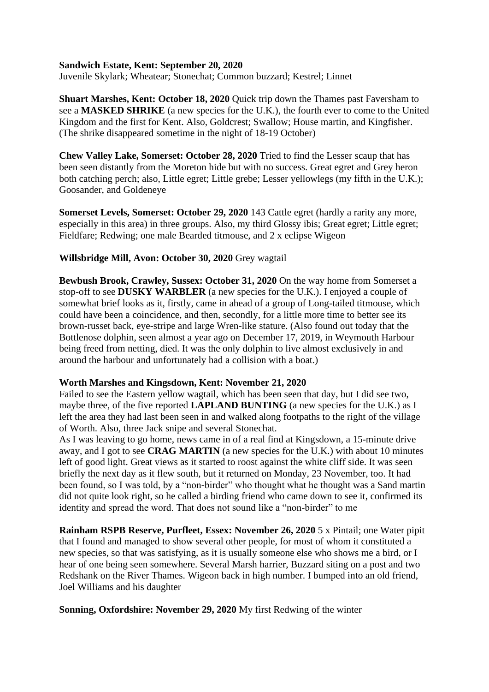### **Sandwich Estate, Kent: September 20, 2020**

Juvenile Skylark; Wheatear; Stonechat; Common buzzard; Kestrel; Linnet

**Shuart Marshes, Kent: October 18, 2020** Quick trip down the Thames past Faversham to see a **MASKED SHRIKE** (a new species for the U.K.), the fourth ever to come to the United Kingdom and the first for Kent. Also, Goldcrest; Swallow; House martin, and Kingfisher. (The shrike disappeared sometime in the night of 18-19 October)

**Chew Valley Lake, Somerset: October 28, 2020** Tried to find the Lesser scaup that has been seen distantly from the Moreton hide but with no success. Great egret and Grey heron both catching perch; also, Little egret; Little grebe; Lesser yellowlegs (my fifth in the U.K.); Goosander, and Goldeneye

**Somerset Levels, Somerset: October 29, 2020** 143 Cattle egret (hardly a rarity any more, especially in this area) in three groups. Also, my third Glossy ibis; Great egret; Little egret; Fieldfare; Redwing; one male Bearded titmouse, and 2 x eclipse Wigeon

### **Willsbridge Mill, Avon: October 30, 2020** Grey wagtail

**Bewbush Brook, Crawley, Sussex: October 31, 2020** On the way home from Somerset a stop-off to see **DUSKY WARBLER** (a new species for the U.K.). I enjoyed a couple of somewhat brief looks as it, firstly, came in ahead of a group of Long-tailed titmouse, which could have been a coincidence, and then, secondly, for a little more time to better see its brown-russet back, eye-stripe and large Wren-like stature. (Also found out today that the Bottlenose dolphin, seen almost a year ago on December 17, 2019, in Weymouth Harbour being freed from netting, died. It was the only dolphin to live almost exclusively in and around the harbour and unfortunately had a collision with a boat.)

#### **Worth Marshes and Kingsdown, Kent: November 21, 2020**

Failed to see the Eastern yellow wagtail, which has been seen that day, but I did see two, maybe three, of the five reported **LAPLAND BUNTING** (a new species for the U.K.) as I left the area they had last been seen in and walked along footpaths to the right of the village of Worth. Also, three Jack snipe and several Stonechat.

As I was leaving to go home, news came in of a real find at Kingsdown, a 15-minute drive away, and I got to see **CRAG MARTIN** (a new species for the U.K.) with about 10 minutes left of good light. Great views as it started to roost against the white cliff side. It was seen briefly the next day as it flew south, but it returned on Monday, 23 November, too. It had been found, so I was told, by a "non-birder" who thought what he thought was a Sand martin did not quite look right, so he called a birding friend who came down to see it, confirmed its identity and spread the word. That does not sound like a "non-birder" to me

**Rainham RSPB Reserve, Purfleet, Essex: November 26, 2020** 5 x Pintail; one Water pipit that I found and managed to show several other people, for most of whom it constituted a new species, so that was satisfying, as it is usually someone else who shows me a bird, or I hear of one being seen somewhere. Several Marsh harrier, Buzzard siting on a post and two Redshank on the River Thames. Wigeon back in high number. I bumped into an old friend, Joel Williams and his daughter

**Sonning, Oxfordshire: November 29, 2020** My first Redwing of the winter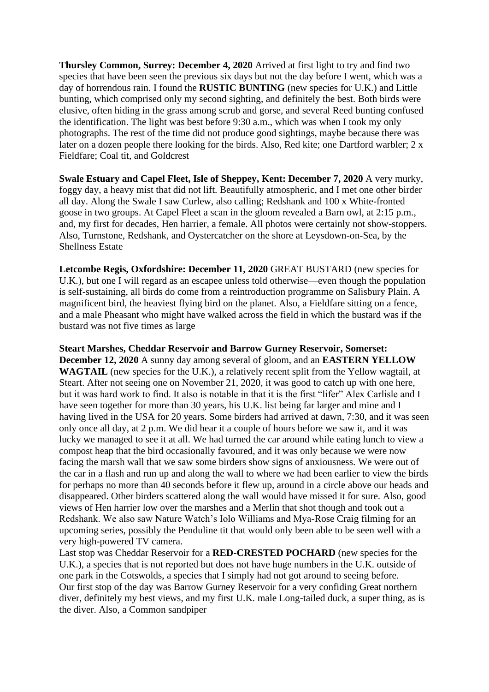**Thursley Common, Surrey: December 4, 2020** Arrived at first light to try and find two species that have been seen the previous six days but not the day before I went, which was a day of horrendous rain. I found the **RUSTIC BUNTING** (new species for U.K.) and Little bunting, which comprised only my second sighting, and definitely the best. Both birds were elusive, often hiding in the grass among scrub and gorse, and several Reed bunting confused the identification. The light was best before 9:30 a.m., which was when I took my only photographs. The rest of the time did not produce good sightings, maybe because there was later on a dozen people there looking for the birds. Also, Red kite; one Dartford warbler; 2 x Fieldfare; Coal tit, and Goldcrest

**Swale Estuary and Capel Fleet, Isle of Sheppey, Kent: December 7, 2020** A very murky, foggy day, a heavy mist that did not lift. Beautifully atmospheric, and I met one other birder all day. Along the Swale I saw Curlew, also calling; Redshank and 100 x White-fronted goose in two groups. At Capel Fleet a scan in the gloom revealed a Barn owl, at 2:15 p.m., and, my first for decades, Hen harrier, a female. All photos were certainly not show-stoppers. Also, Turnstone, Redshank, and Oystercatcher on the shore at Leysdown-on-Sea, by the Shellness Estate

**Letcombe Regis, Oxfordshire: December 11, 2020** GREAT BUSTARD (new species for U.K.), but one I will regard as an escapee unless told otherwise—even though the population is self-sustaining, all birds do come from a reintroduction programme on Salisbury Plain. A magnificent bird, the heaviest flying bird on the planet. Also, a Fieldfare sitting on a fence, and a male Pheasant who might have walked across the field in which the bustard was if the bustard was not five times as large

**Steart Marshes, Cheddar Reservoir and Barrow Gurney Reservoir, Somerset: December 12, 2020** A sunny day among several of gloom, and an **EASTERN YELLOW WAGTAIL** (new species for the U.K.), a relatively recent split from the Yellow wagtail, at Steart. After not seeing one on November 21, 2020, it was good to catch up with one here, but it was hard work to find. It also is notable in that it is the first "lifer" Alex Carlisle and I have seen together for more than 30 years, his U.K. list being far larger and mine and I having lived in the USA for 20 years. Some birders had arrived at dawn, 7:30, and it was seen only once all day, at 2 p.m. We did hear it a couple of hours before we saw it, and it was lucky we managed to see it at all. We had turned the car around while eating lunch to view a compost heap that the bird occasionally favoured, and it was only because we were now facing the marsh wall that we saw some birders show signs of anxiousness. We were out of the car in a flash and run up and along the wall to where we had been earlier to view the birds for perhaps no more than 40 seconds before it flew up, around in a circle above our heads and disappeared. Other birders scattered along the wall would have missed it for sure. Also, good views of Hen harrier low over the marshes and a Merlin that shot though and took out a Redshank. We also saw Nature Watch's Iolo Williams and Mya-Rose Craig filming for an upcoming series, possibly the Penduline tit that would only been able to be seen well with a very high-powered TV camera.

Last stop was Cheddar Reservoir for a **RED-CRESTED POCHARD** (new species for the U.K.), a species that is not reported but does not have huge numbers in the U.K. outside of one park in the Cotswolds, a species that I simply had not got around to seeing before. Our first stop of the day was Barrow Gurney Reservoir for a very confiding Great northern diver, definitely my best views, and my first U.K. male Long-tailed duck, a super thing, as is the diver. Also, a Common sandpiper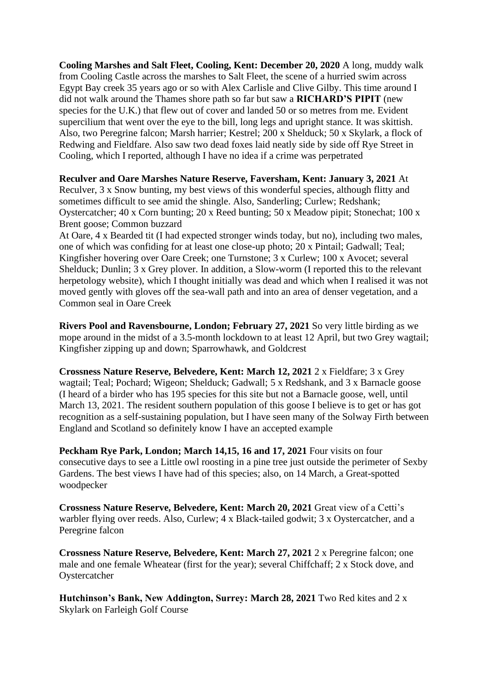**Cooling Marshes and Salt Fleet, Cooling, Kent: December 20, 2020** A long, muddy walk from Cooling Castle across the marshes to Salt Fleet, the scene of a hurried swim across Egypt Bay creek 35 years ago or so with Alex Carlisle and Clive Gilby. This time around I did not walk around the Thames shore path so far but saw a **RICHARD'S PIPIT** (new species for the U.K.) that flew out of cover and landed 50 or so metres from me. Evident supercilium that went over the eye to the bill, long legs and upright stance. It was skittish. Also, two Peregrine falcon; Marsh harrier; Kestrel; 200 x Shelduck; 50 x Skylark, a flock of Redwing and Fieldfare. Also saw two dead foxes laid neatly side by side off Rye Street in Cooling, which I reported, although I have no idea if a crime was perpetrated

**Reculver and Oare Marshes Nature Reserve, Faversham, Kent: January 3, 2021** At

Reculver, 3 x Snow bunting, my best views of this wonderful species, although flitty and sometimes difficult to see amid the shingle. Also, Sanderling; Curlew; Redshank; Oystercatcher; 40 x Corn bunting; 20 x Reed bunting; 50 x Meadow pipit; Stonechat; 100 x Brent goose; Common buzzard

At Oare, 4 x Bearded tit (I had expected stronger winds today, but no), including two males, one of which was confiding for at least one close-up photo; 20 x Pintail; Gadwall; Teal; Kingfisher hovering over Oare Creek; one Turnstone; 3 x Curlew; 100 x Avocet; several Shelduck; Dunlin;  $\overline{3}$  x Grey plover. In addition, a Slow-worm (I reported this to the relevant herpetology website), which I thought initially was dead and which when I realised it was not moved gently with gloves off the sea-wall path and into an area of denser vegetation, and a Common seal in Oare Creek

**Rivers Pool and Ravensbourne, London; February 27, 2021** So very little birding as we mope around in the midst of a 3.5-month lockdown to at least 12 April, but two Grey wagtail; Kingfisher zipping up and down; Sparrowhawk, and Goldcrest

**Crossness Nature Reserve, Belvedere, Kent: March 12, 2021** 2 x Fieldfare; 3 x Grey wagtail; Teal; Pochard; Wigeon; Shelduck; Gadwall; 5 x Redshank, and 3 x Barnacle goose (I heard of a birder who has 195 species for this site but not a Barnacle goose, well, until March 13, 2021. The resident southern population of this goose I believe is to get or has got recognition as a self-sustaining population, but I have seen many of the Solway Firth between England and Scotland so definitely know I have an accepted example

**Peckham Rye Park, London; March 14,15, 16 and 17, 2021** Four visits on four consecutive days to see a Little owl roosting in a pine tree just outside the perimeter of Sexby Gardens. The best views I have had of this species; also, on 14 March, a Great-spotted woodpecker

**Crossness Nature Reserve, Belvedere, Kent: March 20, 2021** Great view of a Cetti's warbler flying over reeds. Also, Curlew; 4 x Black-tailed godwit; 3 x Oystercatcher, and a Peregrine falcon

**Crossness Nature Reserve, Belvedere, Kent: March 27, 2021** 2 x Peregrine falcon; one male and one female Wheatear (first for the year); several Chiffchaff; 2 x Stock dove, and Oystercatcher

**Hutchinson's Bank, New Addington, Surrey: March 28, 2021** Two Red kites and 2 x Skylark on Farleigh Golf Course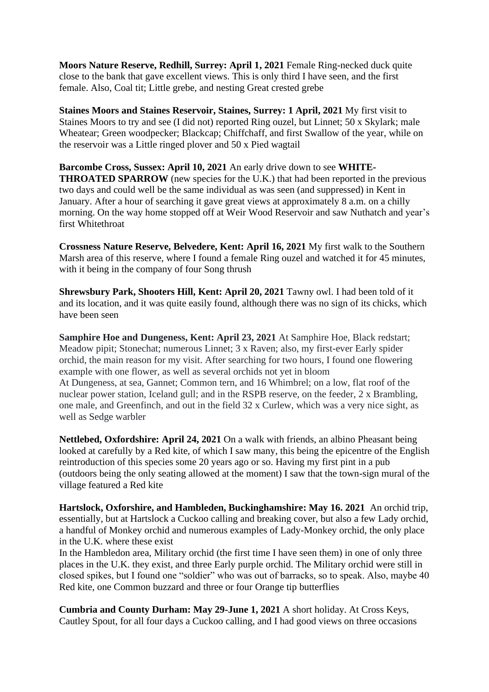**Moors Nature Reserve, Redhill, Surrey: April 1, 2021** Female Ring-necked duck quite close to the bank that gave excellent views. This is only third I have seen, and the first female. Also, Coal tit; Little grebe, and nesting Great crested grebe

**Staines Moors and Staines Reservoir, Staines, Surrey: 1 April, 2021** My first visit to Staines Moors to try and see (I did not) reported Ring ouzel, but Linnet; 50 x Skylark; male Wheatear; Green woodpecker; Blackcap; Chiffchaff, and first Swallow of the year, while on the reservoir was a Little ringed plover and 50 x Pied wagtail

**Barcombe Cross, Sussex: April 10, 2021** An early drive down to see **WHITE-THROATED SPARROW** (new species for the U.K.) that had been reported in the previous two days and could well be the same individual as was seen (and suppressed) in Kent in January. After a hour of searching it gave great views at approximately 8 a.m. on a chilly morning. On the way home stopped off at Weir Wood Reservoir and saw Nuthatch and year's first Whitethroat

**Crossness Nature Reserve, Belvedere, Kent: April 16, 2021** My first walk to the Southern Marsh area of this reserve, where I found a female Ring ouzel and watched it for 45 minutes, with it being in the company of four Song thrush

**Shrewsbury Park, Shooters Hill, Kent: April 20, 2021** Tawny owl. I had been told of it and its location, and it was quite easily found, although there was no sign of its chicks, which have been seen

**Samphire Hoe and Dungeness, Kent: April 23, 2021** At Samphire Hoe, Black redstart; Meadow pipit; Stonechat; numerous Linnet; 3 x Raven; also, my first-ever Early spider orchid, the main reason for my visit. After searching for two hours, I found one flowering example with one flower, as well as several orchids not yet in bloom At Dungeness, at sea, Gannet; Common tern, and 16 Whimbrel; on a low, flat roof of the nuclear power station, Iceland gull; and in the RSPB reserve, on the feeder, 2 x Brambling, one male, and Greenfinch, and out in the field 32 x Curlew, which was a very nice sight, as well as Sedge warbler

**Nettlebed, Oxfordshire: April 24, 2021** On a walk with friends, an albino Pheasant being looked at carefully by a Red kite, of which I saw many, this being the epicentre of the English reintroduction of this species some 20 years ago or so. Having my first pint in a pub (outdoors being the only seating allowed at the moment) I saw that the town-sign mural of the village featured a Red kite

**Hartslock, Oxforshire, and Hambleden, Buckinghamshire: May 16. 2021** An orchid trip, essentially, but at Hartslock a Cuckoo calling and breaking cover, but also a few Lady orchid, a handful of Monkey orchid and numerous examples of Lady-Monkey orchid, the only place in the U.K. where these exist

In the Hambledon area, Military orchid (the first time I have seen them) in one of only three places in the U.K. they exist, and three Early purple orchid. The Military orchid were still in closed spikes, but I found one "soldier" who was out of barracks, so to speak. Also, maybe 40 Red kite, one Common buzzard and three or four Orange tip butterflies

**Cumbria and County Durham: May 29-June 1, 2021** A short holiday. At Cross Keys, Cautley Spout, for all four days a Cuckoo calling, and I had good views on three occasions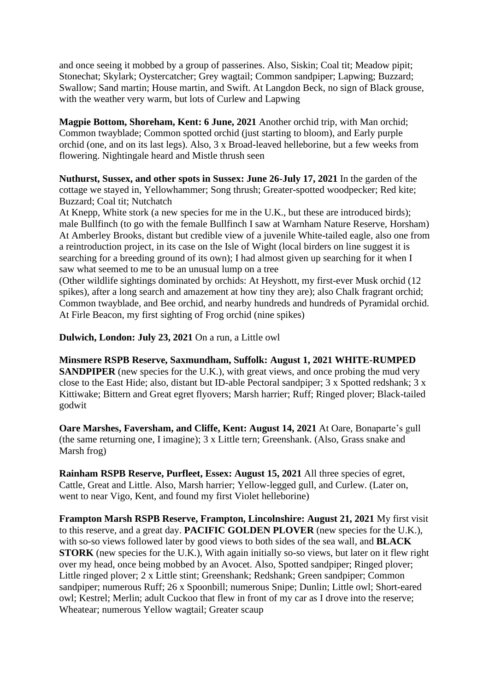and once seeing it mobbed by a group of passerines. Also, Siskin; Coal tit; Meadow pipit; Stonechat; Skylark; Oystercatcher; Grey wagtail; Common sandpiper; Lapwing; Buzzard; Swallow; Sand martin; House martin, and Swift. At Langdon Beck, no sign of Black grouse, with the weather very warm, but lots of Curlew and Lapwing

**Magpie Bottom, Shoreham, Kent: 6 June, 2021** Another orchid trip, with Man orchid; Common twayblade; Common spotted orchid (just starting to bloom), and Early purple orchid (one, and on its last legs). Also, 3 x Broad-leaved helleborine, but a few weeks from flowering. Nightingale heard and Mistle thrush seen

**Nuthurst, Sussex, and other spots in Sussex: June 26-July 17, 2021** In the garden of the cottage we stayed in, Yellowhammer; Song thrush; Greater-spotted woodpecker; Red kite; Buzzard; Coal tit; Nutchatch

At Knepp, White stork (a new species for me in the U.K., but these are introduced birds); male Bullfinch (to go with the female Bullfinch I saw at Warnham Nature Reserve, Horsham) At Amberley Brooks, distant but credible view of a juvenile White-tailed eagle, also one from a reintroduction project, in its case on the Isle of Wight (local birders on line suggest it is searching for a breeding ground of its own); I had almost given up searching for it when I saw what seemed to me to be an unusual lump on a tree

(Other wildlife sightings dominated by orchids: At Heyshott, my first-ever Musk orchid (12 spikes), after a long search and amazement at how tiny they are); also Chalk fragrant orchid; Common twayblade, and Bee orchid, and nearby hundreds and hundreds of Pyramidal orchid. At Firle Beacon, my first sighting of Frog orchid (nine spikes)

**Dulwich, London: July 23, 2021** On a run, a Little owl

**Minsmere RSPB Reserve, Saxmundham, Suffolk: August 1, 2021 WHITE-RUMPED SANDPIPER** (new species for the U.K.), with great views, and once probing the mud very close to the East Hide; also, distant but ID-able Pectoral sandpiper;  $3 \times$  Spotted redshank;  $3 \times$ Kittiwake; Bittern and Great egret flyovers; Marsh harrier; Ruff; Ringed plover; Black-tailed godwit

**Oare Marshes, Faversham, and Cliffe, Kent: August 14, 2021** At Oare, Bonaparte's gull (the same returning one, I imagine); 3 x Little tern; Greenshank. (Also, Grass snake and Marsh frog)

**Rainham RSPB Reserve, Purfleet, Essex: August 15, 2021** All three species of egret, Cattle, Great and Little. Also, Marsh harrier; Yellow-legged gull, and Curlew. (Later on, went to near Vigo, Kent, and found my first Violet helleborine)

**Frampton Marsh RSPB Reserve, Frampton, Lincolnshire: August 21, 2021** My first visit to this reserve, and a great day. **PACIFIC GOLDEN PLOVER** (new species for the U.K.), with so-so views followed later by good views to both sides of the sea wall, and **BLACK STORK** (new species for the U.K.), With again initially so-so views, but later on it flew right over my head, once being mobbed by an Avocet. Also, Spotted sandpiper; Ringed plover; Little ringed plover; 2 x Little stint; Greenshank; Redshank; Green sandpiper; Common sandpiper; numerous Ruff; 26 x Spoonbill; numerous Snipe; Dunlin; Little owl; Short-eared owl; Kestrel; Merlin; adult Cuckoo that flew in front of my car as I drove into the reserve; Wheatear; numerous Yellow wagtail; Greater scaup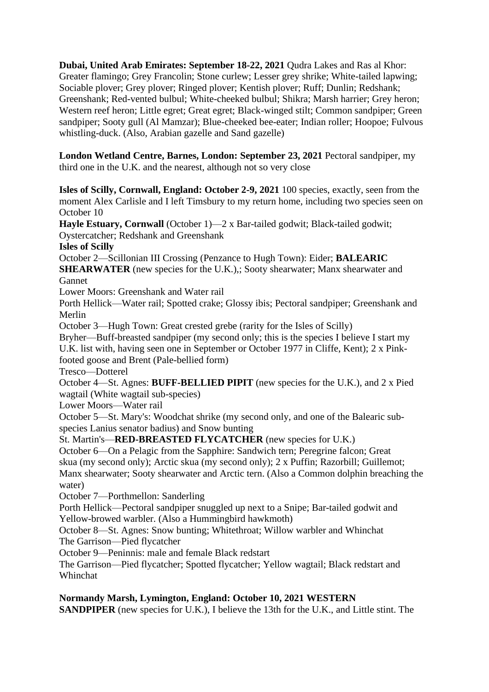**Dubai, United Arab Emirates: September 18-22, 2021** Qudra Lakes and Ras al Khor: Greater flamingo; Grey Francolin; Stone curlew; Lesser grey shrike; White-tailed lapwing; Sociable plover; Grey plover; Ringed plover; Kentish plover; Ruff; Dunlin; Redshank; Greenshank; Red-vented bulbul; White-cheeked bulbul; Shikra; Marsh harrier; Grey heron; Western reef heron; Little egret; Great egret; Black-winged stilt; Common sandpiper; Green sandpiper; Sooty gull (Al Mamzar); Blue-cheeked bee-eater; Indian roller; Hoopoe; Fulvous whistling-duck. (Also, Arabian gazelle and Sand gazelle)

**London Wetland Centre, Barnes, London: September 23, 2021** Pectoral sandpiper, my third one in the U.K. and the nearest, although not so very close

**Isles of Scilly, Cornwall, England: October 2-9, 2021** 100 species, exactly, seen from the moment Alex Carlisle and I left Timsbury to my return home, including two species seen on October 10

**Hayle Estuary, Cornwall** (October 1)—2 x Bar-tailed godwit; Black-tailed godwit; Oystercatcher; Redshank and Greenshank

**Isles of Scilly**

October 2—Scillonian III Crossing (Penzance to Hugh Town): Eider; **BALEARIC** 

**SHEARWATER** (new species for the U.K.),; Sooty shearwater; Manx shearwater and Gannet

Lower Moors: Greenshank and Water rail

Porth Hellick—Water rail; Spotted crake; Glossy ibis; Pectoral sandpiper; Greenshank and Merlin

October 3—Hugh Town: Great crested grebe (rarity for the Isles of Scilly)

Bryher—Buff-breasted sandpiper (my second only; this is the species I believe I start my U.K. list with, having seen one in September or October 1977 in Cliffe, Kent); 2 x Pinkfooted goose and Brent (Pale-bellied form)

Tresco—Dotterel

October 4—St. Agnes: **BUFF-BELLIED PIPIT** (new species for the U.K.), and 2 x Pied wagtail (White wagtail sub-species)

Lower Moors—Water rail

October 5—St. Mary's: Woodchat shrike (my second only, and one of the Balearic subspecies Lanius senator badius) and Snow bunting

St. Martin's—**RED-BREASTED FLYCATCHER** (new species for U.K.)

October 6—On a Pelagic from the Sapphire: Sandwich tern; Peregrine falcon; Great skua (my second only); Arctic skua (my second only); 2 x Puffin; Razorbill; Guillemot; Manx shearwater; Sooty shearwater and Arctic tern. (Also a Common dolphin breaching the water)

October 7—Porthmellon: Sanderling

Porth Hellick—Pectoral sandpiper snuggled up next to a Snipe; Bar-tailed godwit and Yellow-browed warbler. (Also a Hummingbird hawkmoth)

October 8—St. Agnes: Snow bunting; Whitethroat; Willow warbler and Whinchat The Garrison—Pied flycatcher

October 9—Peninnis: male and female Black redstart

The Garrison—Pied flycatcher; Spotted flycatcher; Yellow wagtail; Black redstart and Whinchat

# **Normandy Marsh, Lymington, England: October 10, 2021 WESTERN**

**SANDPIPER** (new species for U.K.), I believe the 13th for the U.K., and Little stint. The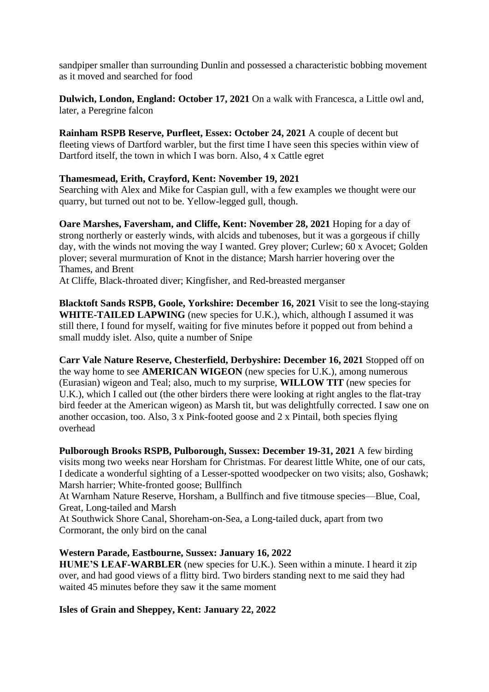sandpiper smaller than surrounding Dunlin and possessed a characteristic bobbing movement as it moved and searched for food

**Dulwich, London, England: October 17, 2021** On a walk with Francesca, a Little owl and, later, a Peregrine falcon

**Rainham RSPB Reserve, Purfleet, Essex: October 24, 2021** A couple of decent but fleeting views of Dartford warbler, but the first time I have seen this species within view of Dartford itself, the town in which I was born. Also, 4 x Cattle egret

## **Thamesmead, Erith, Crayford, Kent: November 19, 2021**

Searching with Alex and Mike for Caspian gull, with a few examples we thought were our quarry, but turned out not to be. Yellow-legged gull, though.

**Oare Marshes, Faversham, and Cliffe, Kent: November 28, 2021** Hoping for a day of strong northerly or easterly winds, with alcids and tubenoses, but it was a gorgeous if chilly day, with the winds not moving the way I wanted. Grey plover; Curlew; 60 x Avocet; Golden plover; several murmuration of Knot in the distance; Marsh harrier hovering over the Thames, and Brent

At Cliffe, Black-throated diver; Kingfisher, and Red-breasted merganser

**Blacktoft Sands RSPB, Goole, Yorkshire: December 16, 2021** Visit to see the long-staying **WHITE-TAILED LAPWING** (new species for U.K.), which, although I assumed it was still there, I found for myself, waiting for five minutes before it popped out from behind a small muddy islet. Also, quite a number of Snipe

**Carr Vale Nature Reserve, Chesterfield, Derbyshire: December 16, 2021** Stopped off on the way home to see **AMERICAN WIGEON** (new species for U.K.), among numerous (Eurasian) wigeon and Teal; also, much to my surprise, **WILLOW TIT** (new species for U.K.), which I called out (the other birders there were looking at right angles to the flat-tray bird feeder at the American wigeon) as Marsh tit, but was delightfully corrected. I saw one on another occasion, too. Also, 3 x Pink-footed goose and 2 x Pintail, both species flying overhead

**Pulborough Brooks RSPB, Pulborough, Sussex: December 19-31, 2021** A few birding visits mong two weeks near Horsham for Christmas. For dearest little White, one of our cats, I dedicate a wonderful sighting of a Lesser-spotted woodpecker on two visits; also, Goshawk; Marsh harrier; White-fronted goose; Bullfinch

At Warnham Nature Reserve, Horsham, a Bullfinch and five titmouse species—Blue, Coal, Great, Long-tailed and Marsh

At Southwick Shore Canal, Shoreham-on-Sea, a Long-tailed duck, apart from two Cormorant, the only bird on the canal

# **Western Parade, Eastbourne, Sussex: January 16, 2022**

**HUME'S LEAF-WARBLER** (new species for U.K.). Seen within a minute. I heard it zip over, and had good views of a flitty bird. Two birders standing next to me said they had waited 45 minutes before they saw it the same moment

# **Isles of Grain and Sheppey, Kent: January 22, 2022**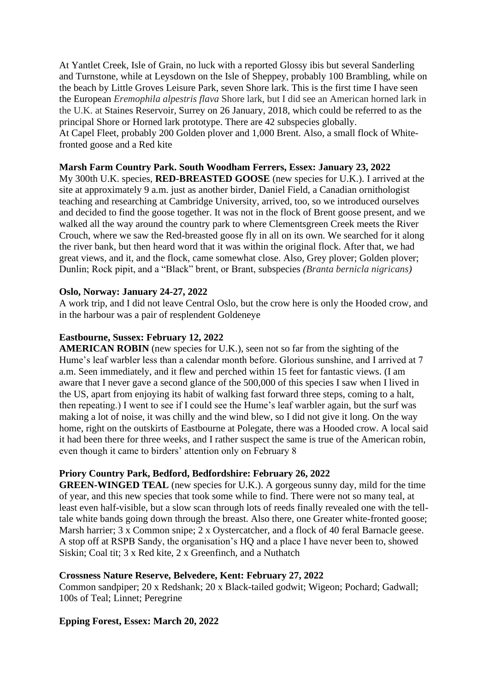At Yantlet Creek, Isle of Grain, no luck with a reported Glossy ibis but several Sanderling and Turnstone, while at Leysdown on the Isle of Sheppey, probably 100 Brambling, while on the beach by Little Groves Leisure Park, seven Shore lark. This is the first time I have seen the European *Eremophila alpestris flava* Shore lark, but I did see an American horned lark in the U.K. at Staines Reservoir, Surrey on 26 January, 2018, which could be referred to as the principal Shore or Horned lark prototype. There are 42 subspecies globally. At Capel Fleet, probably 200 Golden plover and 1,000 Brent. Also, a small flock of Whitefronted goose and a Red kite

## **Marsh Farm Country Park. South Woodham Ferrers, Essex: January 23, 2022**

My 300th U.K. species, **RED-BREASTED GOOSE** (new species for U.K.). I arrived at the site at approximately 9 a.m. just as another birder, Daniel Field, a Canadian ornithologist teaching and researching at Cambridge University, arrived, too, so we introduced ourselves and decided to find the goose together. It was not in the flock of Brent goose present, and we walked all the way around the country park to where Clementsgreen Creek meets the River Crouch, where we saw the Red-breasted goose fly in all on its own. We searched for it along the river bank, but then heard word that it was within the original flock. After that, we had great views, and it, and the flock, came somewhat close. Also, Grey plover; Golden plover; Dunlin; Rock pipit, and a "Black" brent, or Brant, subspecies *(Branta bernicla nigricans)*

### **Oslo, Norway: January 24-27, 2022**

A work trip, and I did not leave Central Oslo, but the crow here is only the Hooded crow, and in the harbour was a pair of resplendent Goldeneye

### **Eastbourne, Sussex: February 12, 2022**

**AMERICAN ROBIN** (new species for U.K.), seen not so far from the sighting of the Hume's leaf warbler less than a calendar month before. Glorious sunshine, and I arrived at 7 a.m. Seen immediately, and it flew and perched within 15 feet for fantastic views. (I am aware that I never gave a second glance of the 500,000 of this species I saw when I lived in the US, apart from enjoying its habit of walking fast forward three steps, coming to a halt, then repeating.) I went to see if I could see the Hume's leaf warbler again, but the surf was making a lot of noise, it was chilly and the wind blew, so I did not give it long. On the way home, right on the outskirts of Eastbourne at Polegate, there was a Hooded crow. A local said it had been there for three weeks, and I rather suspect the same is true of the American robin, even though it came to birders' attention only on February 8

# **Priory Country Park, Bedford, Bedfordshire: February 26, 2022**

**GREEN-WINGED TEAL** (new species for U.K.). A gorgeous sunny day, mild for the time of year, and this new species that took some while to find. There were not so many teal, at least even half-visible, but a slow scan through lots of reeds finally revealed one with the telltale white bands going down through the breast. Also there, one Greater white-fronted goose; Marsh harrier; 3 x Common snipe; 2 x Oystercatcher, and a flock of 40 feral Barnacle geese. A stop off at RSPB Sandy, the organisation's HQ and a place I have never been to, showed Siskin; Coal tit; 3 x Red kite, 2 x Greenfinch, and a Nuthatch

### **Crossness Nature Reserve, Belvedere, Kent: February 27, 2022**

Common sandpiper; 20 x Redshank; 20 x Black-tailed godwit; Wigeon; Pochard; Gadwall; 100s of Teal; Linnet; Peregrine

### **Epping Forest, Essex: March 20, 2022**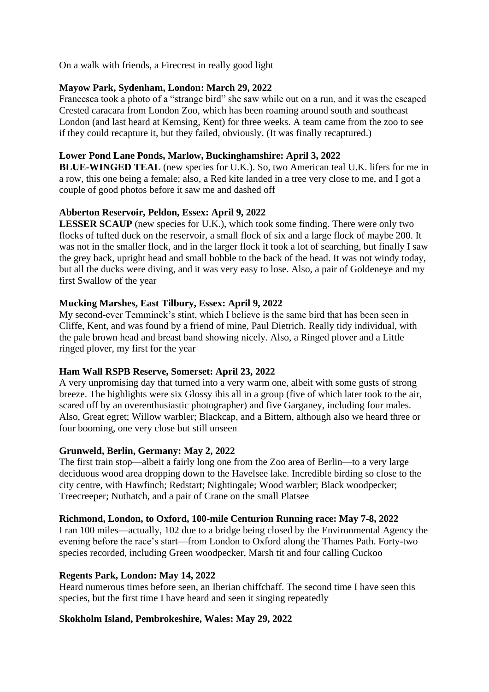On a walk with friends, a Firecrest in really good light

## **Mayow Park, Sydenham, London: March 29, 2022**

Francesca took a photo of a "strange bird" she saw while out on a run, and it was the escaped Crested caracara from London Zoo, which has been roaming around south and southeast London (and last heard at Kemsing, Kent) for three weeks. A team came from the zoo to see if they could recapture it, but they failed, obviously. (It was finally recaptured.)

## **Lower Pond Lane Ponds, Marlow, Buckinghamshire: April 3, 2022**

**BLUE-WINGED TEAL** (new species for U.K.). So, two American teal U.K. lifers for me in a row, this one being a female; also, a Red kite landed in a tree very close to me, and I got a couple of good photos before it saw me and dashed off

## **Abberton Reservoir, Peldon, Essex: April 9, 2022**

**LESSER SCAUP** (new species for U.K.), which took some finding. There were only two flocks of tufted duck on the reservoir, a small flock of six and a large flock of maybe 200. It was not in the smaller flock, and in the larger flock it took a lot of searching, but finally I saw the grey back, upright head and small bobble to the back of the head. It was not windy today, but all the ducks were diving, and it was very easy to lose. Also, a pair of Goldeneye and my first Swallow of the year

# **Mucking Marshes, East Tilbury, Essex: April 9, 2022**

My second-ever Temminck's stint, which I believe is the same bird that has been seen in Cliffe, Kent, and was found by a friend of mine, Paul Dietrich. Really tidy individual, with the pale brown head and breast band showing nicely. Also, a Ringed plover and a Little ringed plover, my first for the year

### **Ham Wall RSPB Reserve, Somerset: April 23, 2022**

A very unpromising day that turned into a very warm one, albeit with some gusts of strong breeze. The highlights were six Glossy ibis all in a group (five of which later took to the air, scared off by an overenthusiastic photographer) and five Garganey, including four males. Also, Great egret; Willow warbler; Blackcap, and a Bittern, although also we heard three or four booming, one very close but still unseen

### **Grunweld, Berlin, Germany: May 2, 2022**

The first train stop—albeit a fairly long one from the Zoo area of Berlin—to a very large deciduous wood area dropping down to the Havelsee lake. Incredible birding so close to the city centre, with Hawfinch; Redstart; Nightingale; Wood warbler; Black woodpecker; Treecreeper; Nuthatch, and a pair of Crane on the small Platsee

### **Richmond, London, to Oxford, 100-mile Centurion Running race: May 7-8, 2022**

I ran 100 miles—actually, 102 due to a bridge being closed by the Environmental Agency the evening before the race's start—from London to Oxford along the Thames Path. Forty-two species recorded, including Green woodpecker, Marsh tit and four calling Cuckoo

### **Regents Park, London: May 14, 2022**

Heard numerous times before seen, an Iberian chiffchaff. The second time I have seen this species, but the first time I have heard and seen it singing repeatedly

# **Skokholm Island, Pembrokeshire, Wales: May 29, 2022**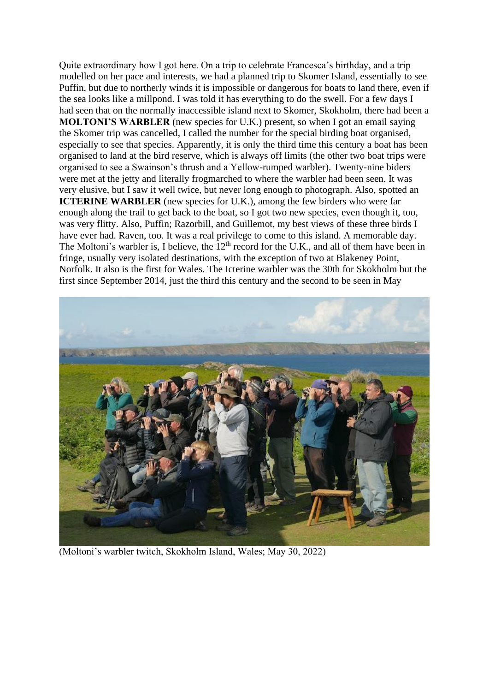Quite extraordinary how I got here. On a trip to celebrate Francesca's birthday, and a trip modelled on her pace and interests, we had a planned trip to Skomer Island, essentially to see Puffin, but due to northerly winds it is impossible or dangerous for boats to land there, even if the sea looks like a millpond. I was told it has everything to do the swell. For a few days I had seen that on the normally inaccessible island next to Skomer, Skokholm, there had been a **MOLTONI'S WARBLER** (new species for U.K.) present, so when I got an email saying the Skomer trip was cancelled, I called the number for the special birding boat organised, especially to see that species. Apparently, it is only the third time this century a boat has been organised to land at the bird reserve, which is always off limits (the other two boat trips were organised to see a Swainson's thrush and a Yellow-rumped warbler). Twenty-nine biders were met at the jetty and literally frogmarched to where the warbler had been seen. It was very elusive, but I saw it well twice, but never long enough to photograph. Also, spotted an **ICTERINE WARBLER** (new species for U.K.), among the few birders who were far enough along the trail to get back to the boat, so I got two new species, even though it, too, was very flitty. Also, Puffin; Razorbill, and Guillemot, my best views of these three birds I have ever had. Raven, too. It was a real privilege to come to this island. A memorable day. The Moltoni's warbler is, I believe, the  $12<sup>th</sup>$  record for the U.K., and all of them have been in fringe, usually very isolated destinations, with the exception of two at Blakeney Point, Norfolk. It also is the first for Wales. The Icterine warbler was the 30th for Skokholm but the first since September 2014, just the third this century and the second to be seen in May



(Moltoni's warbler twitch, Skokholm Island, Wales; May 30, 2022)